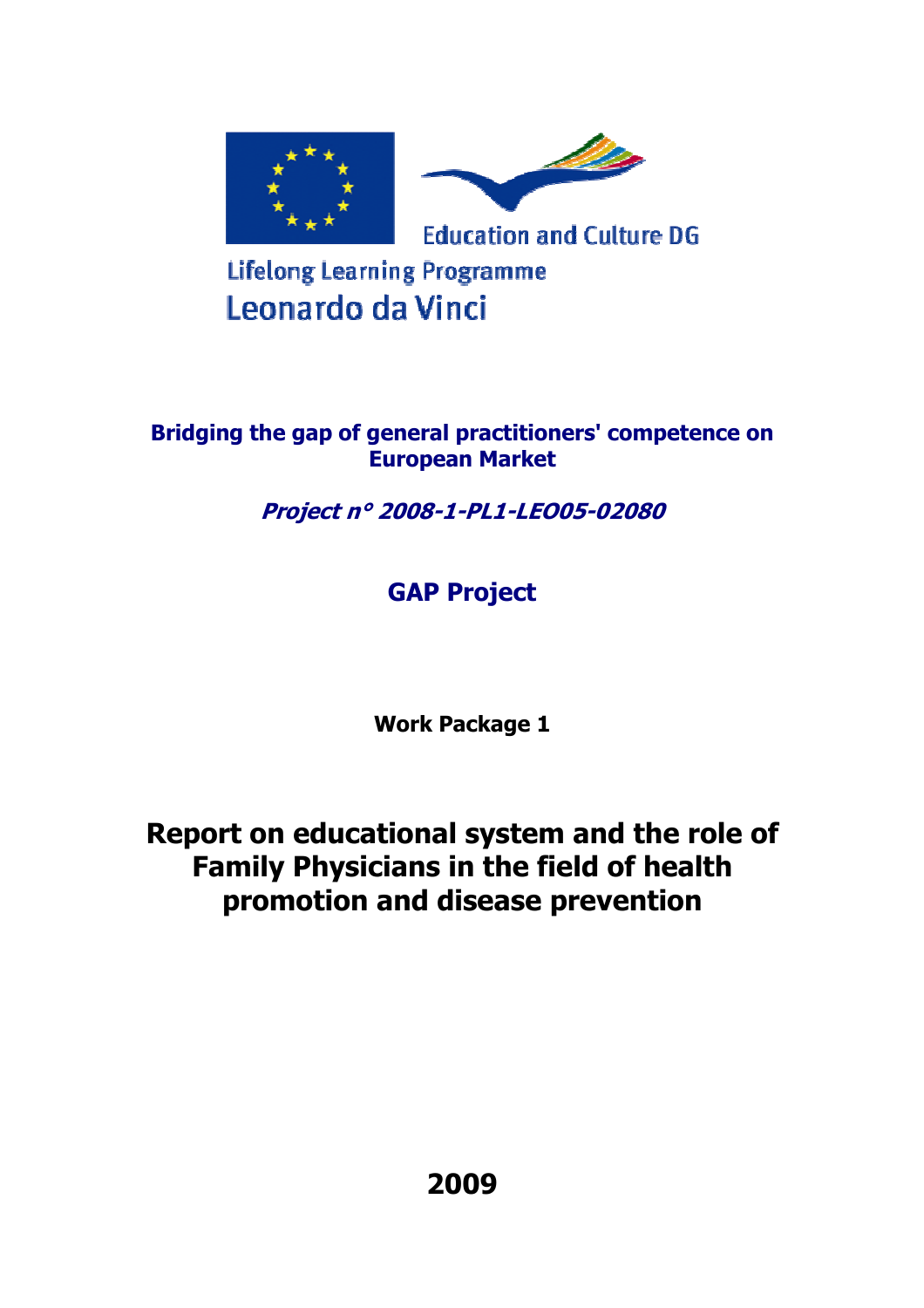

**Lifelong Learning Programme** Leonardo da Vinci

# **Bridging the gap of general practitioners' competence on European Market**

**Project n° 2008-1-PL1-LEO05-02080** 

# **GAP Project**

**Work Package 1** 

**Report on educational system and the role of Family Physicians in the field of health promotion and disease prevention**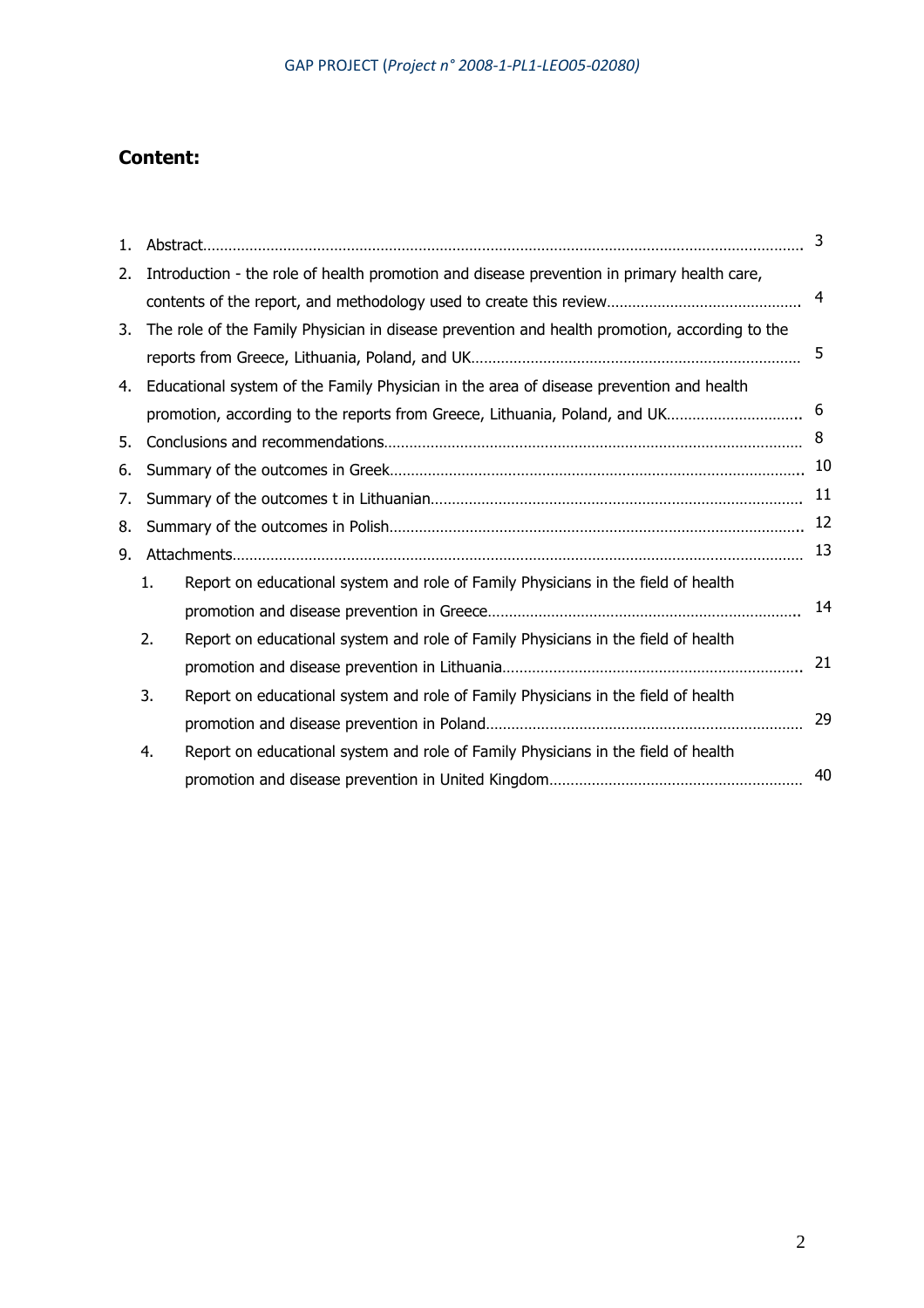# **Content:**

| 1. |    |                                                                                               | 3  |
|----|----|-----------------------------------------------------------------------------------------------|----|
| 2. |    | Introduction - the role of health promotion and disease prevention in primary health care,    |    |
|    |    |                                                                                               | 4  |
| 3. |    | The role of the Family Physician in disease prevention and health promotion, according to the |    |
|    |    |                                                                                               | 5  |
| 4. |    | Educational system of the Family Physician in the area of disease prevention and health       |    |
|    |    | promotion, according to the reports from Greece, Lithuania, Poland, and UK                    | 6  |
| 5. |    |                                                                                               | 8  |
| 6. |    |                                                                                               | 10 |
| 7. |    |                                                                                               | 11 |
| 8. |    |                                                                                               | 12 |
| 9. |    |                                                                                               | 13 |
|    | 1. | Report on educational system and role of Family Physicians in the field of health             |    |
|    |    |                                                                                               | 14 |
|    | 2. | Report on educational system and role of Family Physicians in the field of health             |    |
|    |    |                                                                                               | 21 |
|    | 3. | Report on educational system and role of Family Physicians in the field of health             |    |
|    |    |                                                                                               | 29 |
|    | 4. | Report on educational system and role of Family Physicians in the field of health             |    |
|    |    |                                                                                               | 40 |
|    |    |                                                                                               |    |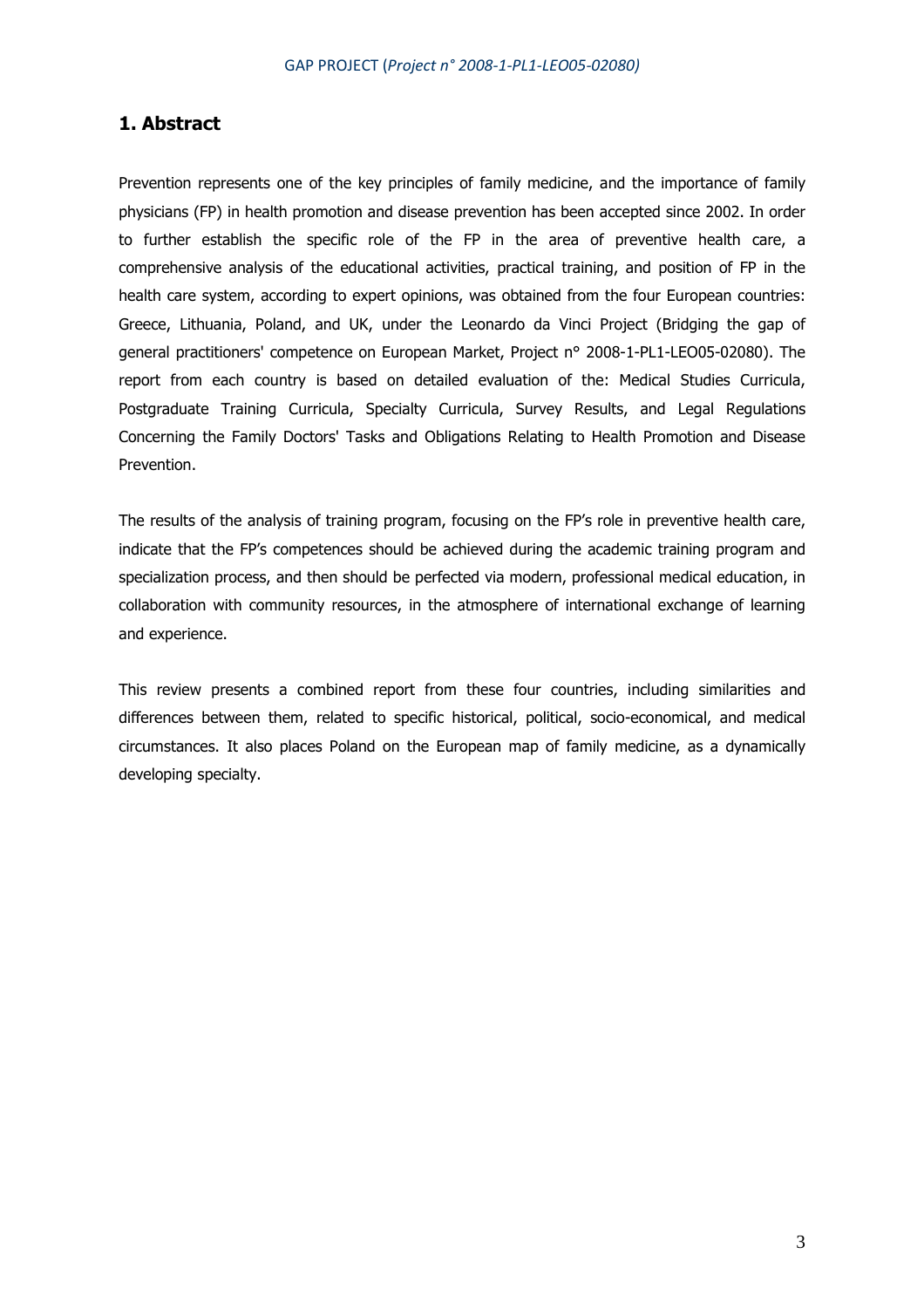## **1. Abstract**

Prevention represents one of the key principles of family medicine, and the importance of family physicians (FP) in health promotion and disease prevention has been accepted since 2002. In order to further establish the specific role of the FP in the area of preventive health care, a comprehensive analysis of the educational activities, practical training, and position of FP in the health care system, according to expert opinions, was obtained from the four European countries: Greece, Lithuania, Poland, and UK, under the Leonardo da Vinci Project (Bridging the gap of general practitioners' competence on European Market, Project n° 2008-1-PL1-LEO05-02080). The report from each country is based on detailed evaluation of the: Medical Studies Curricula, Postgraduate Training Curricula, Specialty Curricula, Survey Results, and Legal Regulations Concerning the Family Doctors' Tasks and Obligations Relating to Health Promotion and Disease Prevention.

The results of the analysis of training program, focusing on the FP's role in preventive health care, indicate that the FP's competences should be achieved during the academic training program and specialization process, and then should be perfected via modern, professional medical education, in collaboration with community resources, in the atmosphere of international exchange of learning and experience.

This review presents a combined report from these four countries, including similarities and differences between them, related to specific historical, political, socio-economical, and medical circumstances. It also places Poland on the European map of family medicine, as a dynamically developing specialty.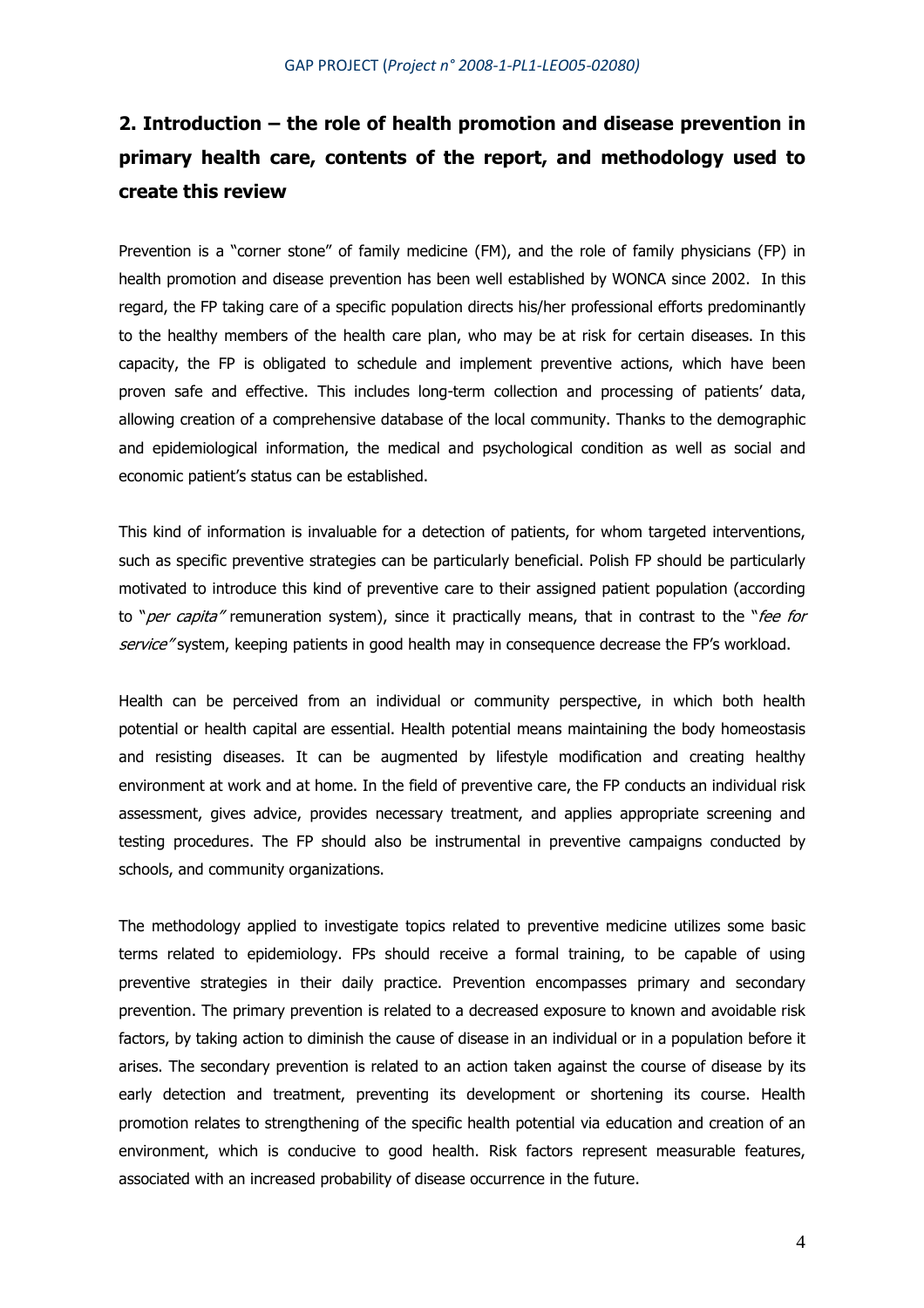# **2. Introduction – the role of health promotion and disease prevention in primary health care, contents of the report, and methodology used to create this review**

Prevention is a "corner stone" of family medicine (FM), and the role of family physicians (FP) in health promotion and disease prevention has been well established by WONCA since 2002. In this regard, the FP taking care of a specific population directs his/her professional efforts predominantly to the healthy members of the health care plan, who may be at risk for certain diseases. In this capacity, the FP is obligated to schedule and implement preventive actions, which have been proven safe and effective. This includes long-term collection and processing of patients' data, allowing creation of a comprehensive database of the local community. Thanks to the demographic and epidemiological information, the medical and psychological condition as well as social and economic patient's status can be established.

This kind of information is invaluable for a detection of patients, for whom targeted interventions, such as specific preventive strategies can be particularly beneficial. Polish FP should be particularly motivated to introduce this kind of preventive care to their assigned patient population (according to "*per capita"* remuneration system), since it practically means, that in contrast to the "*fee for* service" system, keeping patients in good health may in consequence decrease the FP's workload.

Health can be perceived from an individual or community perspective, in which both health potential or health capital are essential. Health potential means maintaining the body homeostasis and resisting diseases. It can be augmented by lifestyle modification and creating healthy environment at work and at home. In the field of preventive care, the FP conducts an individual risk assessment, gives advice, provides necessary treatment, and applies appropriate screening and testing procedures. The FP should also be instrumental in preventive campaigns conducted by schools, and community organizations.

The methodology applied to investigate topics related to preventive medicine utilizes some basic terms related to epidemiology. FPs should receive a formal training, to be capable of using preventive strategies in their daily practice. Prevention encompasses primary and secondary prevention. The primary prevention is related to a decreased exposure to known and avoidable risk factors, by taking action to diminish the cause of disease in an individual or in a population before it arises. The secondary prevention is related to an action taken against the course of disease by its early detection and treatment, preventing its development or shortening its course. Health promotion relates to strengthening of the specific health potential via education and creation of an environment, which is conducive to good health. Risk factors represent measurable features, associated with an increased probability of disease occurrence in the future.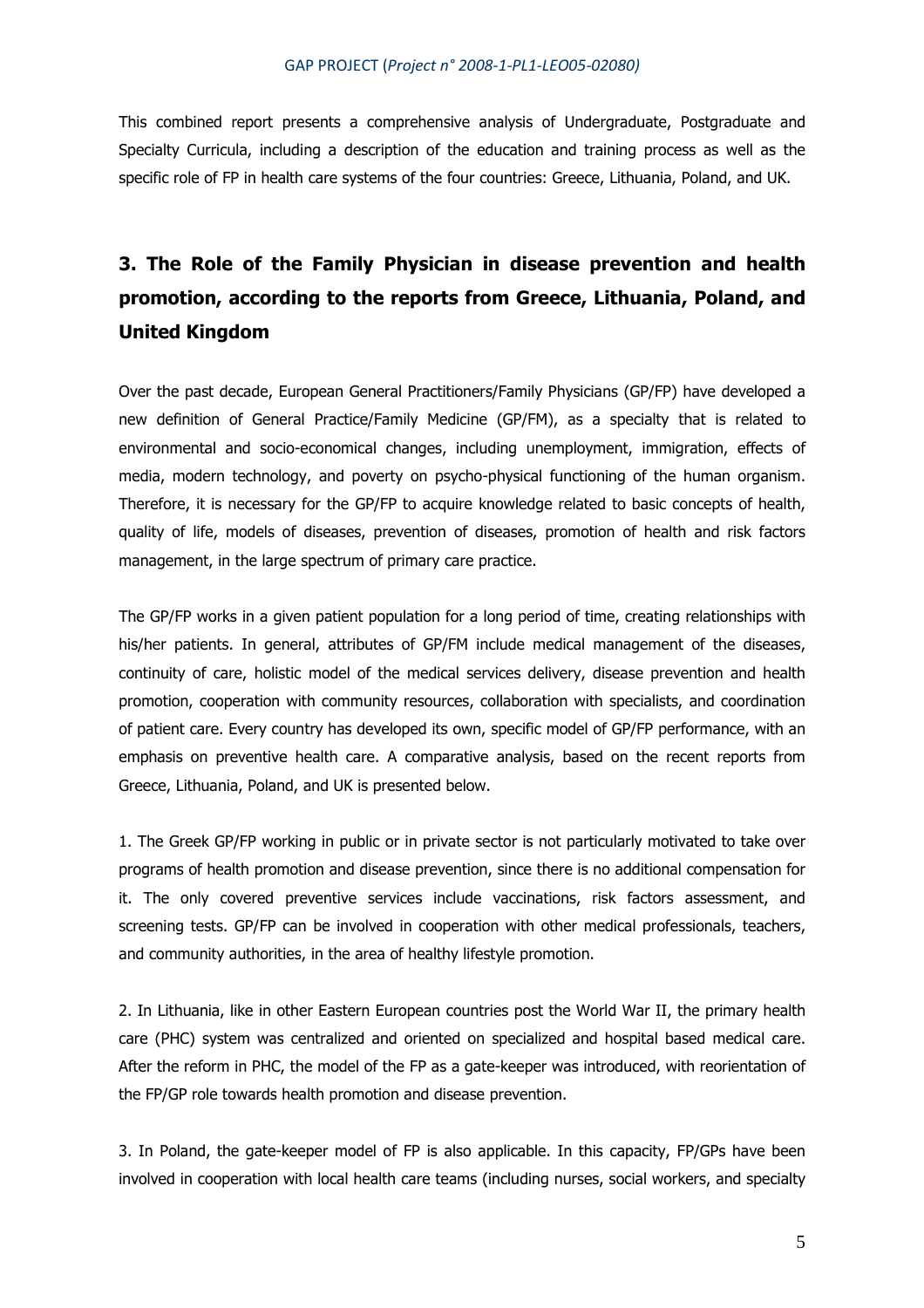This combined report presents a comprehensive analysis of Undergraduate, Postgraduate and Specialty Curricula, including a description of the education and training process as well as the specific role of FP in health care systems of the four countries: Greece, Lithuania, Poland, and UK.

# **3. The Role of the Family Physician in disease prevention and health promotion, according to the reports from Greece, Lithuania, Poland, and United Kingdom**

Over the past decade, European General Practitioners/Family Physicians (GP/FP) have developed a new definition of General Practice/Family Medicine (GP/FM), as a specialty that is related to environmental and socio-economical changes, including unemployment, immigration, effects of media, modern technology, and poverty on psycho-physical functioning of the human organism. Therefore, it is necessary for the GP/FP to acquire knowledge related to basic concepts of health, quality of life, models of diseases, prevention of diseases, promotion of health and risk factors management, in the large spectrum of primary care practice.

The GP/FP works in a given patient population for a long period of time, creating relationships with his/her patients. In general, attributes of GP/FM include medical management of the diseases, continuity of care, holistic model of the medical services delivery, disease prevention and health promotion, cooperation with community resources, collaboration with specialists, and coordination of patient care. Every country has developed its own, specific model of GP/FP performance, with an emphasis on preventive health care. A comparative analysis, based on the recent reports from Greece, Lithuania, Poland, and UK is presented below.

1. The Greek GP/FP working in public or in private sector is not particularly motivated to take over programs of health promotion and disease prevention, since there is no additional compensation for it. The only covered preventive services include vaccinations, risk factors assessment, and screening tests. GP/FP can be involved in cooperation with other medical professionals, teachers, and community authorities, in the area of healthy lifestyle promotion.

2. In Lithuania, like in other Eastern European countries post the World War II, the primary health care (PHC) system was centralized and oriented on specialized and hospital based medical care. After the reform in PHC, the model of the FP as a gate-keeper was introduced, with reorientation of the FP/GP role towards health promotion and disease prevention.

3. In Poland, the gate-keeper model of FP is also applicable. In this capacity, FP/GPs have been involved in cooperation with local health care teams (including nurses, social workers, and specialty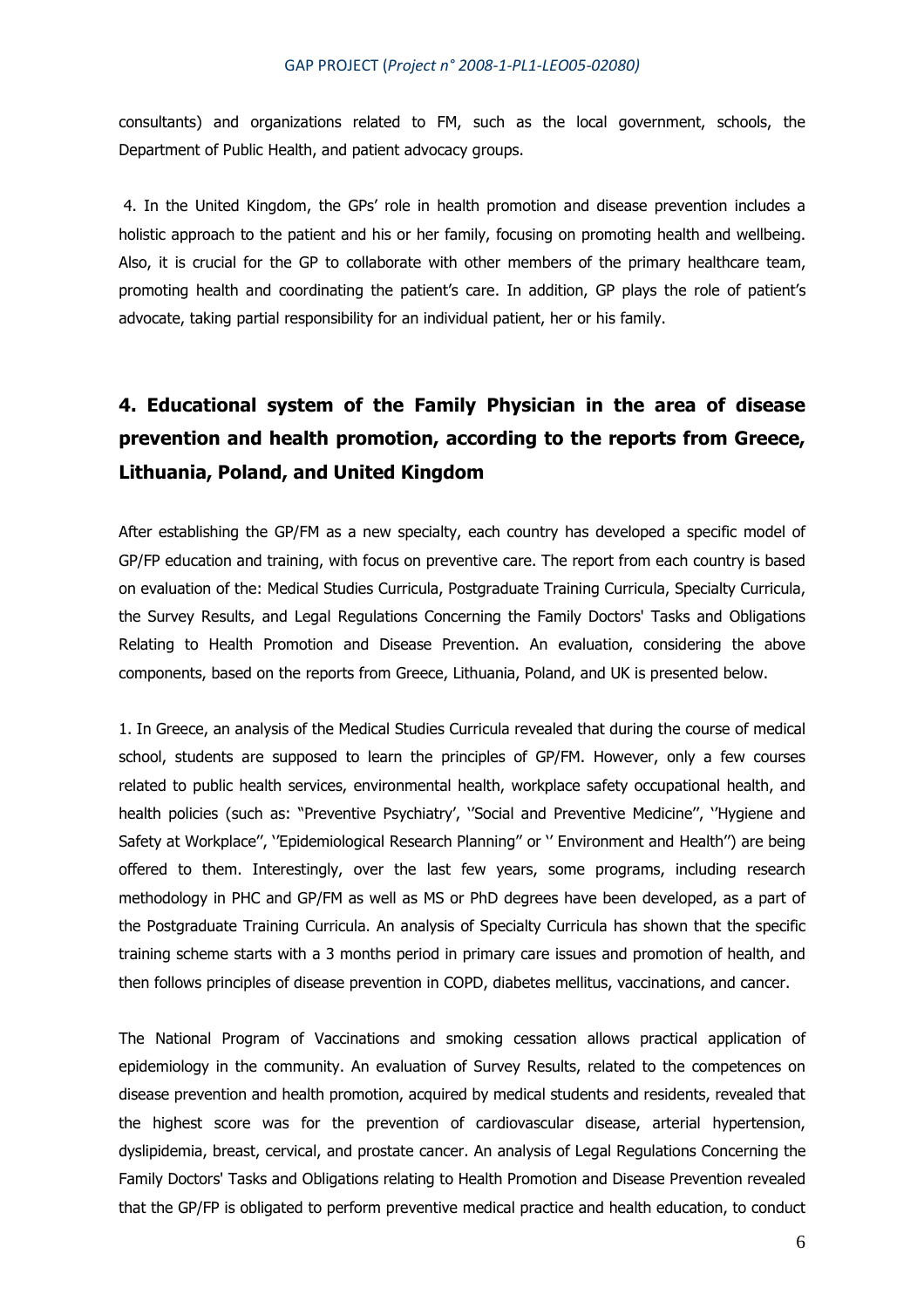consultants) and organizations related to FM, such as the local government, schools, the Department of Public Health, and patient advocacy groups.

 4. In the United Kingdom, the GPs' role in health promotion and disease prevention includes a holistic approach to the patient and his or her family, focusing on promoting health and wellbeing. Also, it is crucial for the GP to collaborate with other members of the primary healthcare team, promoting health and coordinating the patient's care. In addition, GP plays the role of patient's advocate, taking partial responsibility for an individual patient, her or his family.

# **4. Educational system of the Family Physician in the area of disease prevention and health promotion, according to the reports from Greece, Lithuania, Poland, and United Kingdom**

After establishing the GP/FM as a new specialty, each country has developed a specific model of GP/FP education and training, with focus on preventive care. The report from each country is based on evaluation of the: Medical Studies Curricula, Postgraduate Training Curricula, Specialty Curricula, the Survey Results, and Legal Regulations Concerning the Family Doctors' Tasks and Obligations Relating to Health Promotion and Disease Prevention. An evaluation, considering the above components, based on the reports from Greece, Lithuania, Poland, and UK is presented below.

1. In Greece, an analysis of the Medical Studies Curricula revealed that during the course of medical school, students are supposed to learn the principles of GP/FM. However, only a few courses related to public health services, environmental health, workplace safety occupational health, and health policies (such as: "Preventive Psychiatry', ''Social and Preventive Medicine'', ''Hygiene and Safety at Workplace'', ''Epidemiological Research Planning'' or '' Environment and Health'') are being offered to them. Interestingly, over the last few years, some programs, including research methodology in PHC and GP/FM as well as MS or PhD degrees have been developed, as a part of the Postgraduate Training Curricula. An analysis of Specialty Curricula has shown that the specific training scheme starts with a 3 months period in primary care issues and promotion of health, and then follows principles of disease prevention in COPD, diabetes mellitus, vaccinations, and cancer.

The National Program of Vaccinations and smoking cessation allows practical application of epidemiology in the community. An evaluation of Survey Results, related to the competences on disease prevention and health promotion, acquired by medical students and residents, revealed that the highest score was for the prevention of cardiovascular disease, arterial hypertension, dyslipidemia, breast, cervical, and prostate cancer. An analysis of Legal Regulations Concerning the Family Doctors' Tasks and Obligations relating to Health Promotion and Disease Prevention revealed that the GP/FP is obligated to perform preventive medical practice and health education, to conduct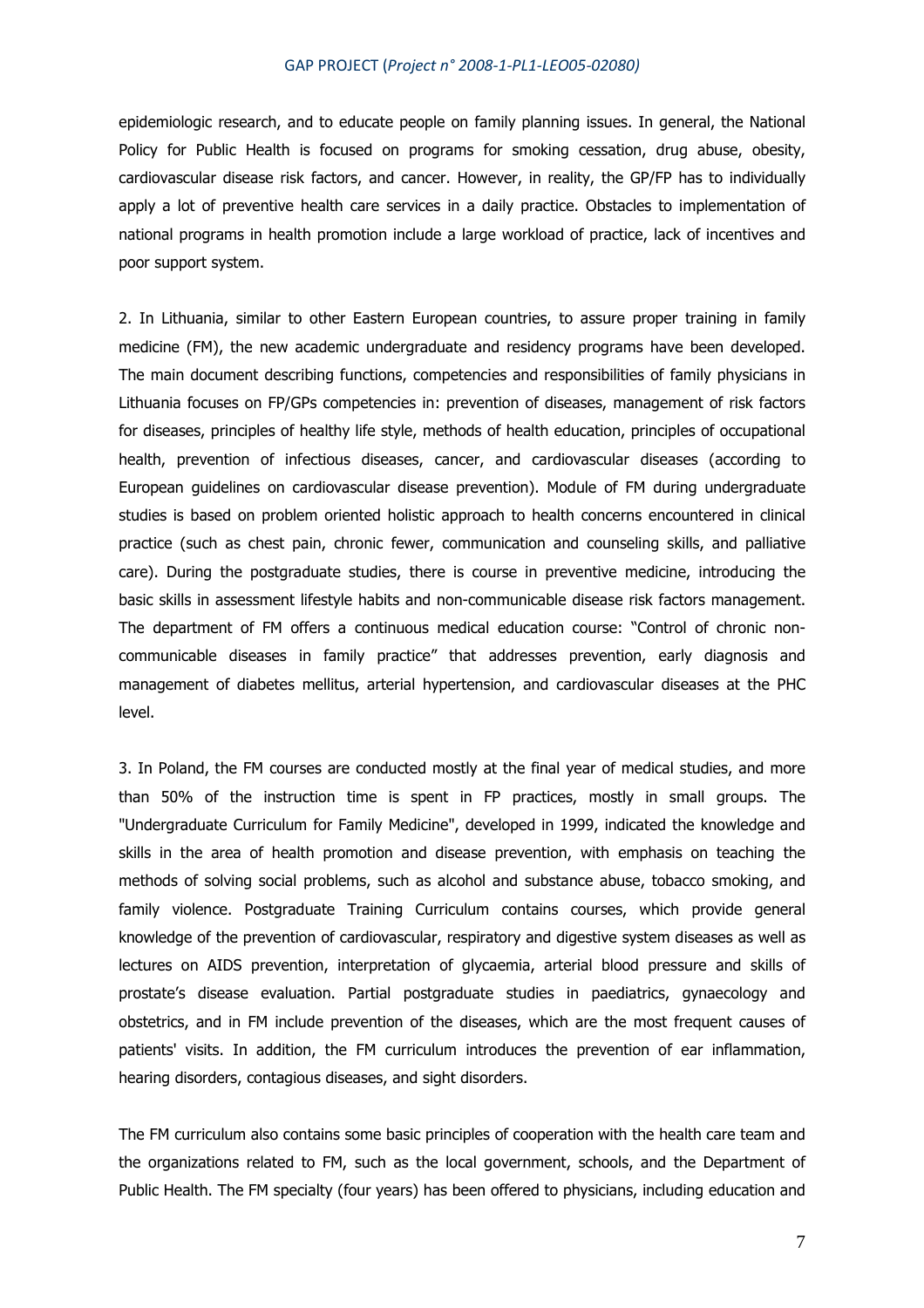epidemiologic research, and to educate people on family planning issues. In general, the National Policy for Public Health is focused on programs for smoking cessation, drug abuse, obesity, cardiovascular disease risk factors, and cancer. However, in reality, the GP/FP has to individually apply a lot of preventive health care services in a daily practice. Obstacles to implementation of national programs in health promotion include a large workload of practice, lack of incentives and poor support system.

2. In Lithuania, similar to other Eastern European countries, to assure proper training in family medicine (FM), the new academic undergraduate and residency programs have been developed. The main document describing functions, competencies and responsibilities of family physicians in Lithuania focuses on FP/GPs competencies in: prevention of diseases, management of risk factors for diseases, principles of healthy life style, methods of health education, principles of occupational health, prevention of infectious diseases, cancer, and cardiovascular diseases (according to European guidelines on cardiovascular disease prevention). Module of FM during undergraduate studies is based on problem oriented holistic approach to health concerns encountered in clinical practice (such as chest pain, chronic fewer, communication and counseling skills, and palliative care). During the postgraduate studies, there is course in preventive medicine, introducing the basic skills in assessment lifestyle habits and non-communicable disease risk factors management. The department of FM offers a continuous medical education course: "Control of chronic noncommunicable diseases in family practice" that addresses prevention, early diagnosis and management of diabetes mellitus, arterial hypertension, and cardiovascular diseases at the PHC level.

3. In Poland, the FM courses are conducted mostly at the final year of medical studies, and more than 50% of the instruction time is spent in FP practices, mostly in small groups. The "Undergraduate Curriculum for Family Medicine", developed in 1999, indicated the knowledge and skills in the area of health promotion and disease prevention, with emphasis on teaching the methods of solving social problems, such as alcohol and substance abuse, tobacco smoking, and family violence. Postgraduate Training Curriculum contains courses, which provide general knowledge of the prevention of cardiovascular, respiratory and digestive system diseases as well as lectures on AIDS prevention, interpretation of glycaemia, arterial blood pressure and skills of prostate's disease evaluation. Partial postgraduate studies in paediatrics, gynaecology and obstetrics, and in FM include prevention of the diseases, which are the most frequent causes of patients' visits. In addition, the FM curriculum introduces the prevention of ear inflammation, hearing disorders, contagious diseases, and sight disorders.

The FM curriculum also contains some basic principles of cooperation with the health care team and the organizations related to FM, such as the local government, schools, and the Department of Public Health. The FM specialty (four years) has been offered to physicians, including education and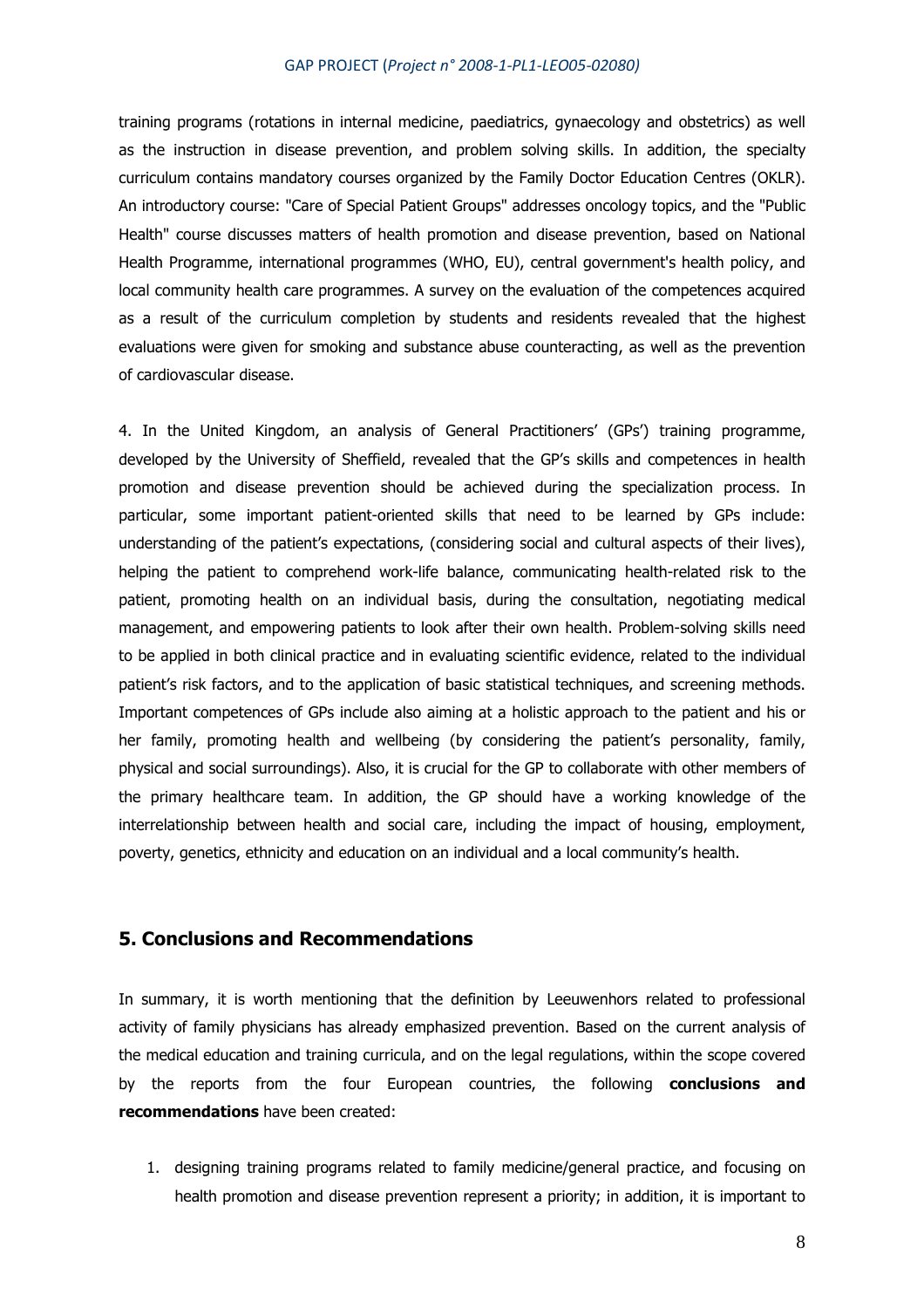training programs (rotations in internal medicine, paediatrics, gynaecology and obstetrics) as well as the instruction in disease prevention, and problem solving skills. In addition, the specialty curriculum contains mandatory courses organized by the Family Doctor Education Centres (OKLR). An introductory course: "Care of Special Patient Groups" addresses oncology topics, and the "Public Health" course discusses matters of health promotion and disease prevention, based on National Health Programme, international programmes (WHO, EU), central government's health policy, and local community health care programmes. A survey on the evaluation of the competences acquired as a result of the curriculum completion by students and residents revealed that the highest evaluations were given for smoking and substance abuse counteracting, as well as the prevention of cardiovascular disease.

4. In the United Kingdom, an analysis of General Practitioners' (GPs') training programme, developed by the University of Sheffield, revealed that the GP's skills and competences in health promotion and disease prevention should be achieved during the specialization process. In particular, some important patient-oriented skills that need to be learned by GPs include: understanding of the patient's expectations, (considering social and cultural aspects of their lives), helping the patient to comprehend work-life balance, communicating health-related risk to the patient, promoting health on an individual basis, during the consultation, negotiating medical management, and empowering patients to look after their own health. Problem-solving skills need to be applied in both clinical practice and in evaluating scientific evidence, related to the individual patient's risk factors, and to the application of basic statistical techniques, and screening methods. Important competences of GPs include also aiming at a holistic approach to the patient and his or her family, promoting health and wellbeing (by considering the patient's personality, family, physical and social surroundings). Also, it is crucial for the GP to collaborate with other members of the primary healthcare team. In addition, the GP should have a working knowledge of the interrelationship between health and social care, including the impact of housing, employment, poverty, genetics, ethnicity and education on an individual and a local community's health.

### **5. Conclusions and Recommendations**

In summary, it is worth mentioning that the definition by Leeuwenhors related to professional activity of family physicians has already emphasized prevention. Based on the current analysis of the medical education and training curricula, and on the legal regulations, within the scope covered by the reports from the four European countries, the following **conclusions and recommendations** have been created:

1. designing training programs related to family medicine/general practice, and focusing on health promotion and disease prevention represent a priority; in addition, it is important to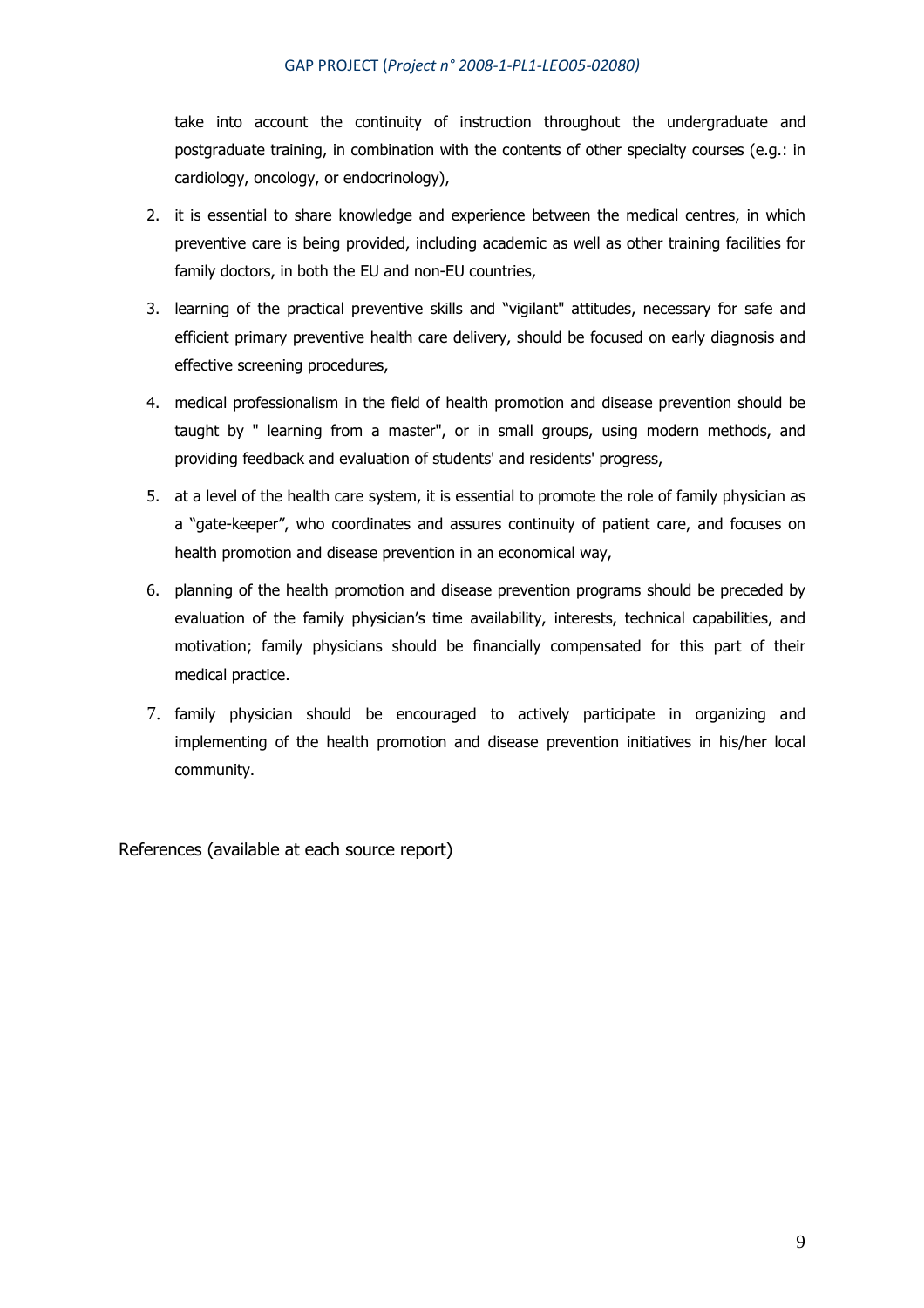take into account the continuity of instruction throughout the undergraduate and postgraduate training, in combination with the contents of other specialty courses (e.g.: in cardiology, oncology, or endocrinology),

- 2. it is essential to share knowledge and experience between the medical centres, in which preventive care is being provided, including academic as well as other training facilities for family doctors, in both the EU and non-EU countries,
- 3. learning of the practical preventive skills and "vigilant" attitudes, necessary for safe and efficient primary preventive health care delivery, should be focused on early diagnosis and effective screening procedures,
- 4. medical professionalism in the field of health promotion and disease prevention should be taught by " learning from a master", or in small groups, using modern methods, and providing feedback and evaluation of students' and residents' progress,
- 5. at a level of the health care system, it is essential to promote the role of family physician as a "gate-keeper", who coordinates and assures continuity of patient care, and focuses on health promotion and disease prevention in an economical way,
- 6. planning of the health promotion and disease prevention programs should be preceded by evaluation of the family physician's time availability, interests, technical capabilities, and motivation; family physicians should be financially compensated for this part of their medical practice.
- 7. family physician should be encouraged to actively participate in organizing and implementing of the health promotion and disease prevention initiatives in his/her local community.

References (available at each source report)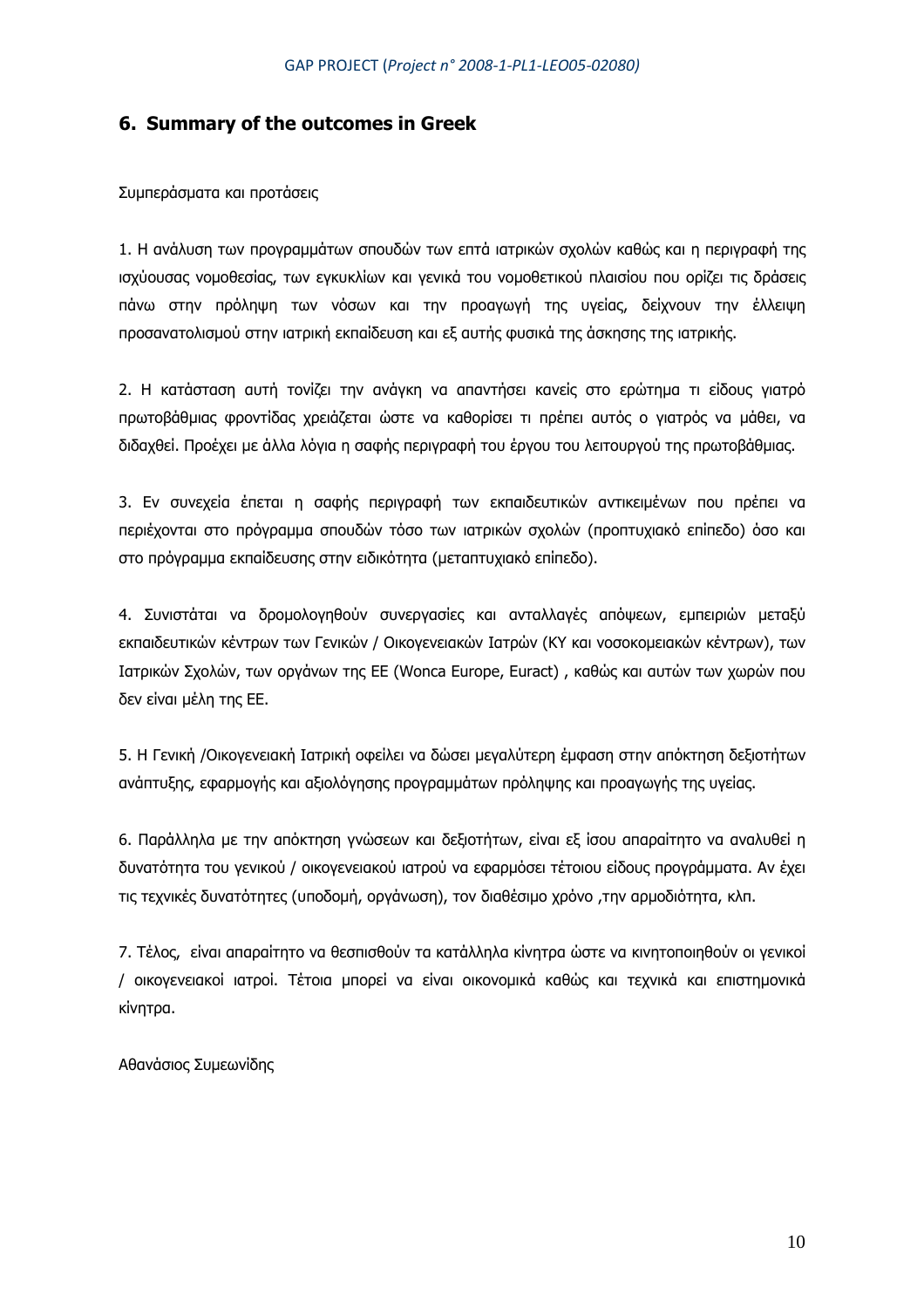## **6. Summary of the outcomes in Greek**

Συµπεράσµατα και προτάσεις

1. Η ανάλυση των προγραµµάτων σπουδών των επτά ιατρικών σχολών καθώς και η περιγραφή της ισχύουσας νοµοθεσίας, των εγκυκλίων και γενικά του νοµοθετικού πλαισίου που ορίζει τις δράσεις πάνω στην πρόληψη των νόσων και την προαγωγή της υγείας, δείχνουν την έλλειψη προσανατολισµού στην ιατρική εκπαίδευση και εξ αυτής φυσικά της άσκησης της ιατρικής.

2. Η κατάσταση αυτή τονίζει την ανάγκη να απαντήσει κανείς στο ερώτηµα τι είδους γιατρό πρωτοβάθµιας φροντίδας χρειάζεται ώστε να καθορίσει τι πρέπει αυτός ο γιατρός να µάθει, να διδαχθεί. Προέχει µε άλλα λόγια η σαφής περιγραφή του έργου του λειτουργού της πρωτοβάθµιας.

3. Εν συνεχεία έπεται η σαφής περιγραφή των εκπαιδευτικών αντικειµένων που πρέπει να περιέχονται στο πρόγραµµα σπουδών τόσο των ιατρικών σχολών (προπτυχιακό επίπεδο) όσο και στο πρόγραµµα εκπαίδευσης στην ειδικότητα (µεταπτυχιακό επίπεδο).

4. Συνιστάται να δροµολογηθούν συνεργασίες και ανταλλαγές απόψεων, εµπειριών µεταξύ εκπαιδευτικών κέντρων των Γενικών / Οικογενειακών Ιατρών (ΚΥ και νοσοκοµειακών κέντρων), των Ιατρικών Σχολών, των οργάνων της ΕΕ (Wonca Europe, Euract) , καθώς και αυτών των χωρών που δεν είναι µέλη της ΕΕ.

5. Η Γενική /Οικογενειακή Ιατρική οφείλει να δώσει µεγαλύτερη έµφαση στην απόκτηση δεξιοτήτων ανάπτυξης, εφαρµογής και αξιολόγησης προγραµµάτων πρόληψης και προαγωγής της υγείας.

6. Παράλληλα µε την απόκτηση γνώσεων και δεξιοτήτων, είναι εξ ίσου απαραίτητο να αναλυθεί η δυνατότητα του γενικού / οικογενειακού ιατρού να εφαρµόσει τέτοιου είδους προγράµµατα. Αν έχει τις τεχνικές δυνατότητες (υποδοµή, οργάνωση), τον διαθέσιµο χρόνο ,την αρµοδιότητα, κλπ.

7. Τέλος, είναι απαραίτητο να θεσπισθούν τα κατάλληλα κίνητρα ώστε να κινητοποιηθούν οι γενικοί / οικογενειακοί ιατροί. Τέτοια µπορεί να είναι οικονοµικά καθώς και τεχνικά και επιστηµονικά κίνητρα.

Αθανάσιος Συµεωνίδης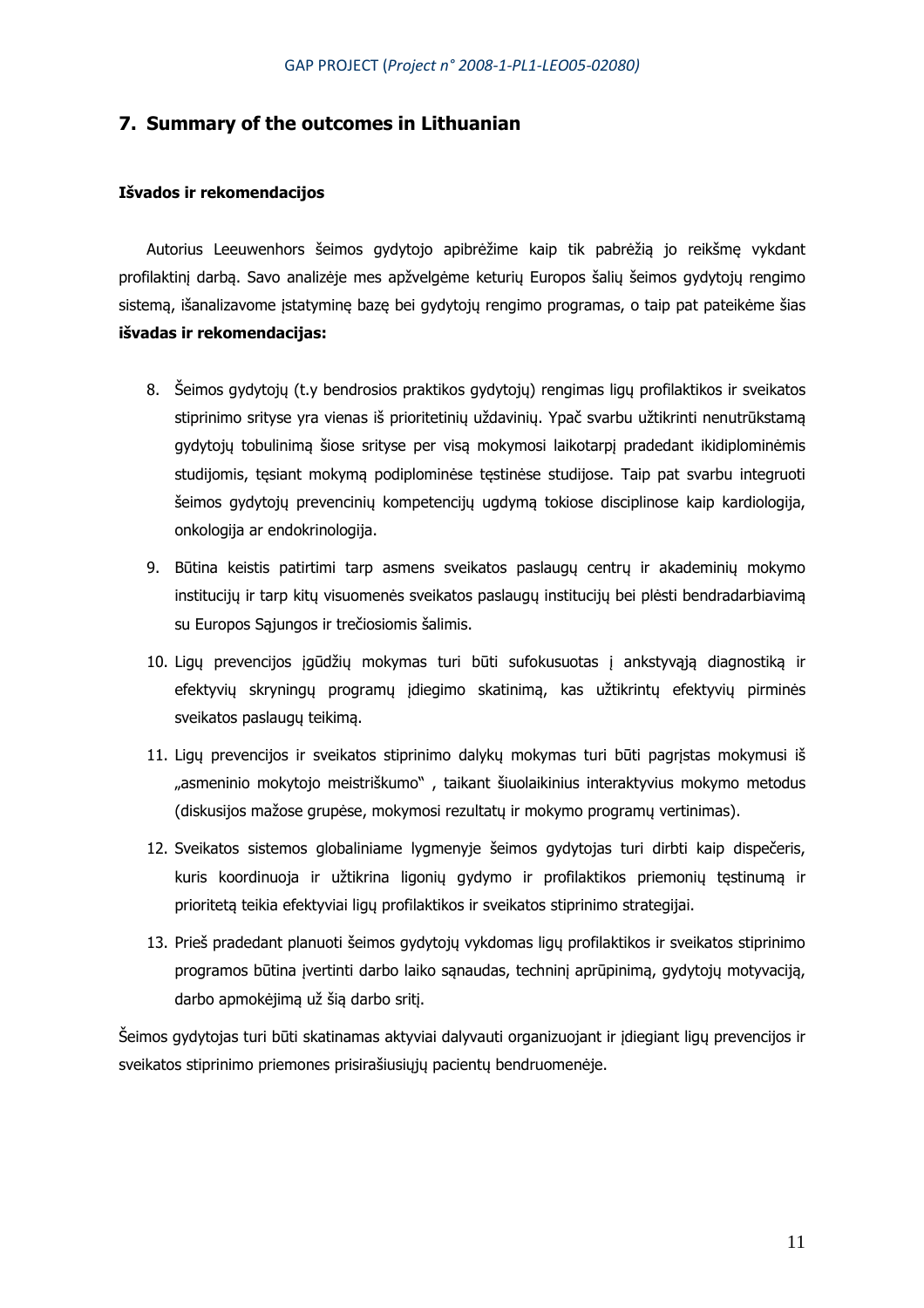## **7. Summary of the outcomes in Lithuanian**

### **Išvados ir rekomendacijos**

Autorius Leeuwenhors šeimos gydytojo apibrėžime kaip tik pabrėžią jo reikšmę vykdant profilaktinį darbą. Savo analizėje mes apžvelgėme keturių Europos šalių šeimos gydytojų rengimo sistemą, išanalizavome įstatyminę bazę bei gydytojų rengimo programas, o taip pat pateikėme šias **išvadas ir rekomendacijas:**

- 8. Šeimos gydytojų (t.y bendrosios praktikos gydytojų) rengimas ligų profilaktikos ir sveikatos stiprinimo srityse yra vienas iš prioritetinių uždavinių. Ypač svarbu užtikrinti nenutrūkstamą gydytojų tobulinimą šiose srityse per visą mokymosi laikotarpį pradedant ikidiplominėmis studijomis, tęsiant mokymą podiplominėse tęstinėse studijose. Taip pat svarbu integruoti šeimos gydytojų prevencinių kompetencijų ugdymą tokiose disciplinose kaip kardiologija, onkologija ar endokrinologija.
- 9. Būtina keistis patirtimi tarp asmens sveikatos paslaugų centrų ir akademinių mokymo institucijų ir tarp kitų visuomenės sveikatos paslaugų institucijų bei plėsti bendradarbiavimą su Europos Sąjungos ir trečiosiomis šalimis.
- 10. Ligų prevencijos įgūdžių mokymas turi būti sufokusuotas į ankstyvąją diagnostiką ir efektyvių skryningų programų įdiegimo skatinimą, kas užtikrintų efektyvių pirminės sveikatos paslaugų teikimą.
- 11. Ligų prevencijos ir sveikatos stiprinimo dalykų mokymas turi būti pagrįstas mokymusi iš "asmeninio mokytojo meistriškumo", taikant šiuolaikinius interaktyvius mokymo metodus (diskusijos mažose grupėse, mokymosi rezultatų ir mokymo programų vertinimas).
- 12. Sveikatos sistemos globaliniame lygmenyje šeimos gydytojas turi dirbti kaip dispečeris, kuris koordinuoja ir užtikrina ligonių gydymo ir profilaktikos priemonių tęstinumą ir prioritetą teikia efektyviai ligų profilaktikos ir sveikatos stiprinimo strategijai.
- 13. Prieš pradedant planuoti šeimos gydytojų vykdomas ligų profilaktikos ir sveikatos stiprinimo programos būtina įvertinti darbo laiko sąnaudas, techninį aprūpinimą, gydytojų motyvaciją, darbo apmokėjimą už šią darbo sritį.

Šeimos gydytojas turi būti skatinamas aktyviai dalyvauti organizuojant ir įdiegiant ligų prevencijos ir sveikatos stiprinimo priemones prisirašiusiųjų pacientų bendruomenėje.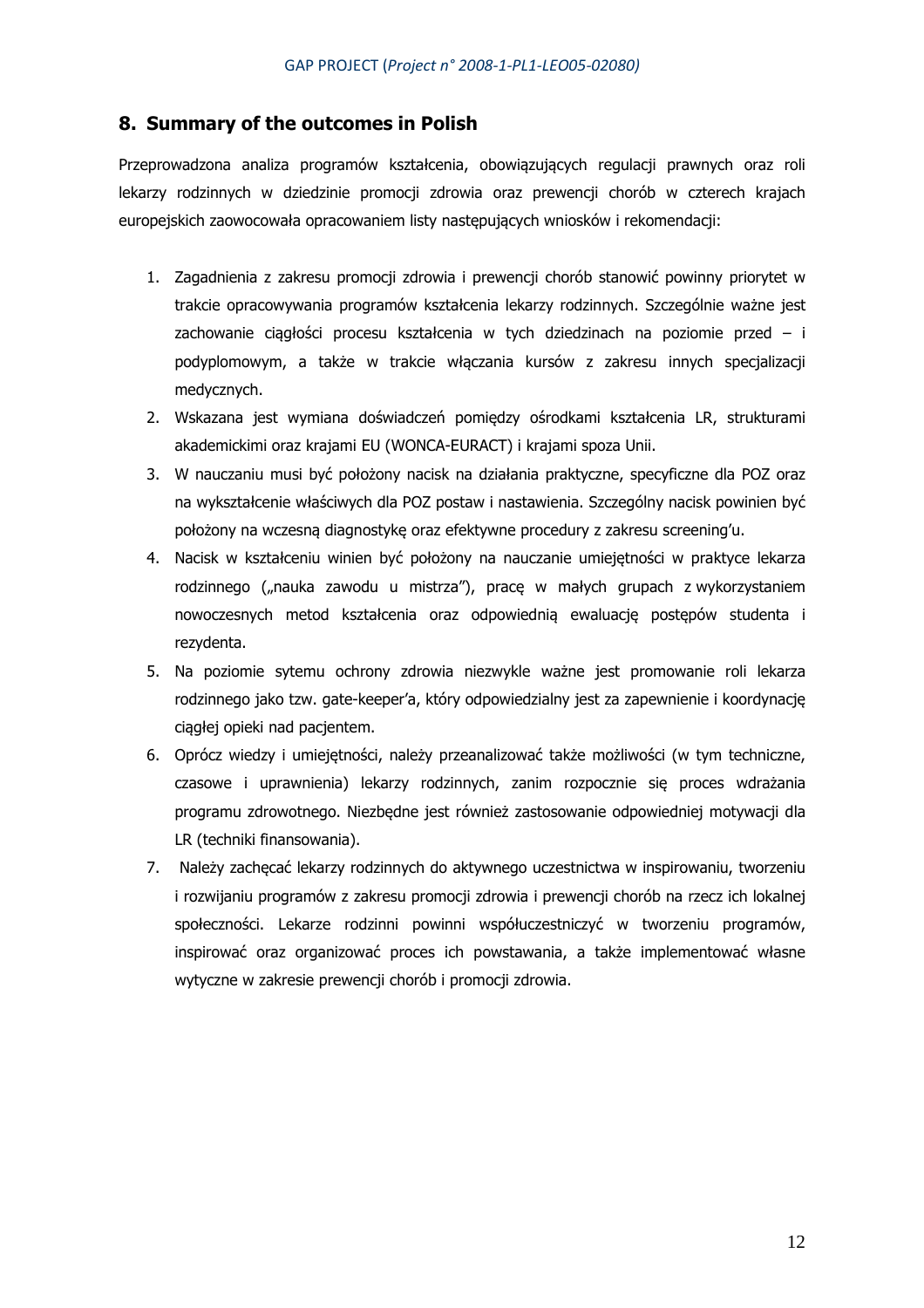## **8. Summary of the outcomes in Polish**

Przeprowadzona analiza programów kształcenia, obowiązujących regulacji prawnych oraz roli lekarzy rodzinnych w dziedzinie promocji zdrowia oraz prewencji chorób w czterech krajach europejskich zaowocowała opracowaniem listy następujących wniosków i rekomendacji:

- 1. Zagadnienia z zakresu promocji zdrowia i prewencji chorób stanowić powinny priorytet w trakcie opracowywania programów kształcenia lekarzy rodzinnych. Szczególnie ważne jest zachowanie ciągłości procesu kształcenia w tych dziedzinach na poziomie przed – i podyplomowym, a także w trakcie włączania kursów z zakresu innych specjalizacji medycznych.
- 2. Wskazana jest wymiana doświadczeń pomiędzy ośrodkami kształcenia LR, strukturami akademickimi oraz krajami EU (WONCA-EURACT) i krajami spoza Unii.
- 3. W nauczaniu musi być położony nacisk na działania praktyczne, specyficzne dla POZ oraz na wykształcenie właściwych dla POZ postaw i nastawienia. Szczególny nacisk powinien być położony na wczesną diagnostykę oraz efektywne procedury z zakresu screening'u.
- 4. Nacisk w kształceniu winien być położony na nauczanie umiejętności w praktyce lekarza rodzinnego ("nauka zawodu u mistrza"), pracę w małych grupach z wykorzystaniem nowoczesnych metod kształcenia oraz odpowiednią ewaluację postępów studenta i rezydenta.
- 5. Na poziomie sytemu ochrony zdrowia niezwykle ważne jest promowanie roli lekarza rodzinnego jako tzw. gate-keeper'a, który odpowiedzialny jest za zapewnienie i koordynację ciągłej opieki nad pacjentem.
- 6. Oprócz wiedzy i umiejętności, należy przeanalizować także możliwości (w tym techniczne, czasowe i uprawnienia) lekarzy rodzinnych, zanim rozpocznie się proces wdrażania programu zdrowotnego. Niezbędne jest również zastosowanie odpowiedniej motywacji dla LR (techniki finansowania).
- 7. Należy zachęcać lekarzy rodzinnych do aktywnego uczestnictwa w inspirowaniu, tworzeniu i rozwijaniu programów z zakresu promocji zdrowia i prewencji chorób na rzecz ich lokalnej społeczności. Lekarze rodzinni powinni współuczestniczyć w tworzeniu programów, inspirować oraz organizować proces ich powstawania, a także implementować własne wytyczne w zakresie prewencji chorób i promocji zdrowia.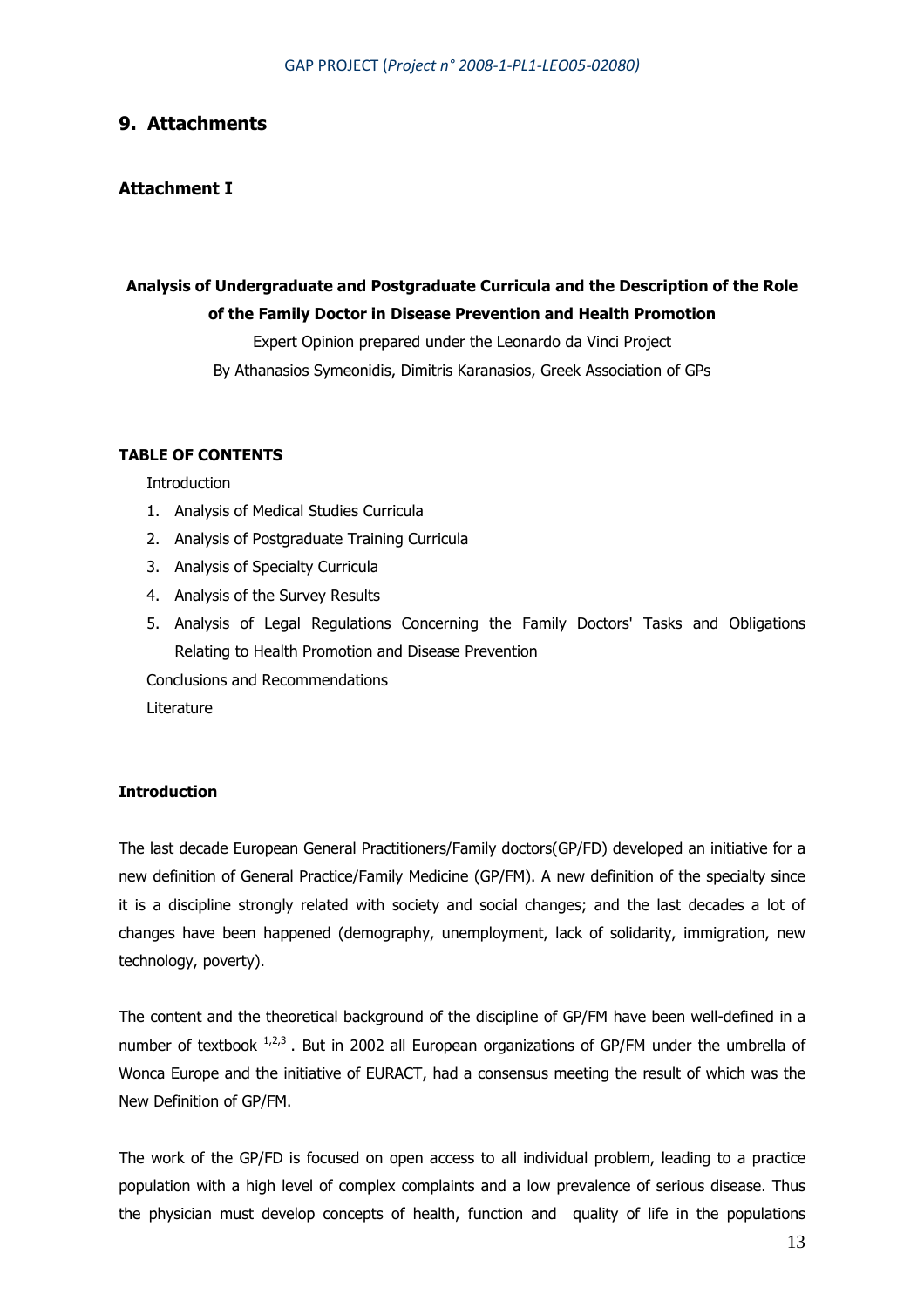## **9. Attachments**

## **Attachment I**

# **Analysis of Undergraduate and Postgraduate Curricula and the Description of the Role of the Family Doctor in Disease Prevention and Health Promotion**

Expert Opinion prepared under the Leonardo da Vinci Project By Athanasios Symeonidis, Dimitris Karanasios, Greek Association of GPs

## **TABLE OF CONTENTS**

**Introduction** 

- 1. Analysis of Medical Studies Curricula
- 2. Analysis of Postgraduate Training Curricula
- 3. Analysis of Specialty Curricula
- 4. Analysis of the Survey Results
- 5. Analysis of Legal Regulations Concerning the Family Doctors' Tasks and Obligations Relating to Health Promotion and Disease Prevention

Conclusions and Recommendations

Literature

## **Introduction**

The last decade European General Practitioners/Family doctors(GP/FD) developed an initiative for a new definition of General Practice/Family Medicine (GP/FM). A new definition of the specialty since it is a discipline strongly related with society and social changes; and the last decades a lot of changes have been happened (demography, unemployment, lack of solidarity, immigration, new technology, poverty).

The content and the theoretical background of the discipline of GP/FM have been well-defined in a number of textbook  $1,2,3$ . But in 2002 all European organizations of GP/FM under the umbrella of Wonca Europe and the initiative of EURACT, had a consensus meeting the result of which was the New Definition of GP/FM.

The work of the GP/FD is focused on open access to all individual problem, leading to a practice population with a high level of complex complaints and a low prevalence of serious disease. Thus the physician must develop concepts of health, function and quality of life in the populations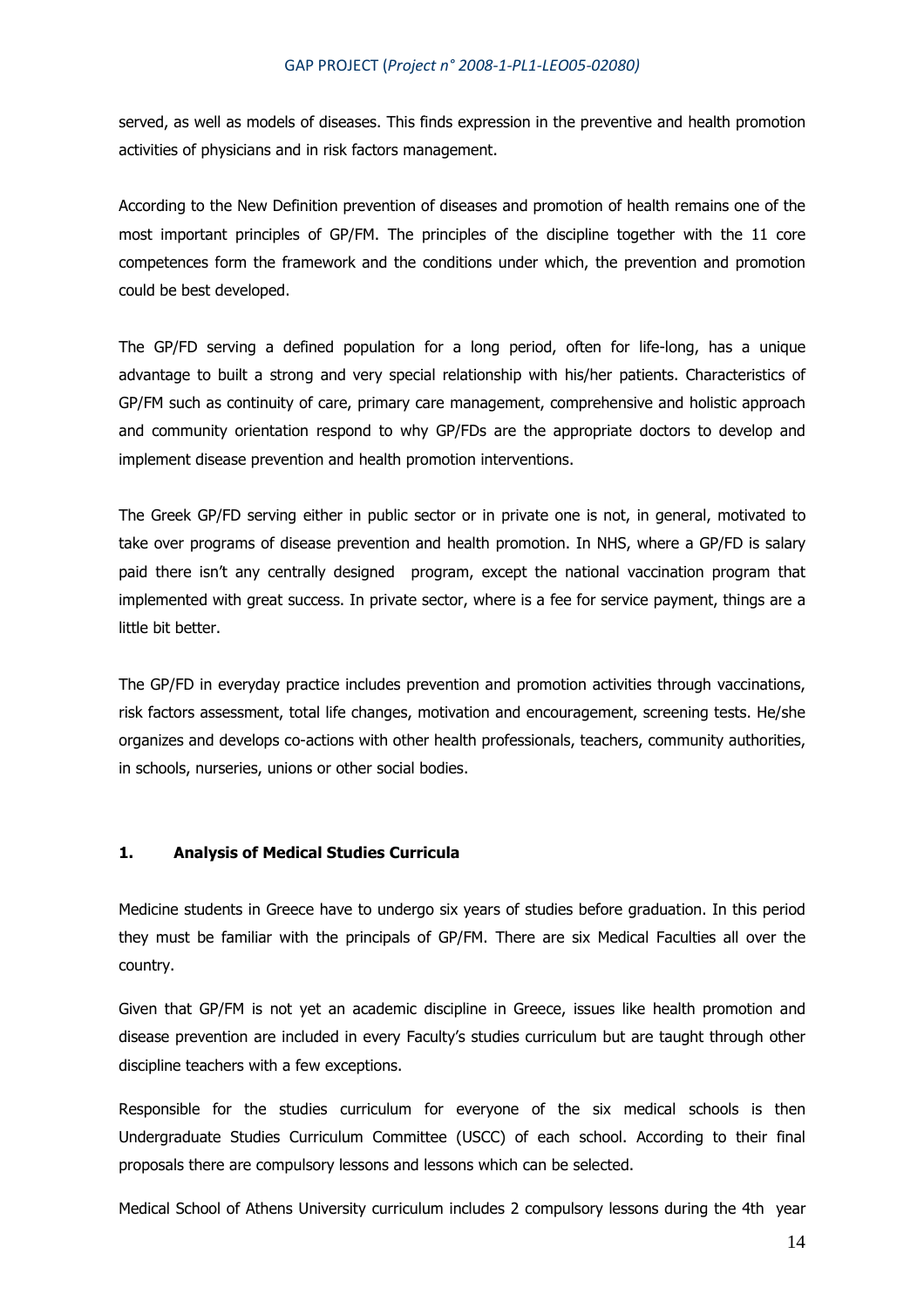served, as well as models of diseases. This finds expression in the preventive and health promotion activities of physicians and in risk factors management.

According to the New Definition prevention of diseases and promotion of health remains one of the most important principles of GP/FM. The principles of the discipline together with the 11 core competences form the framework and the conditions under which, the prevention and promotion could be best developed.

The GP/FD serving a defined population for a long period, often for life-long, has a unique advantage to built a strong and very special relationship with his/her patients. Characteristics of GP/FM such as continuity of care, primary care management, comprehensive and holistic approach and community orientation respond to why GP/FDs are the appropriate doctors to develop and implement disease prevention and health promotion interventions.

The Greek GP/FD serving either in public sector or in private one is not, in general, motivated to take over programs of disease prevention and health promotion. In NHS, where a GP/FD is salary paid there isn't any centrally designed program, except the national vaccination program that implemented with great success. In private sector, where is a fee for service payment, things are a little bit better.

The GP/FD in everyday practice includes prevention and promotion activities through vaccinations, risk factors assessment, total life changes, motivation and encouragement, screening tests. He/she organizes and develops co-actions with other health professionals, teachers, community authorities, in schools, nurseries, unions or other social bodies.

### **1. Analysis of Medical Studies Curricula**

Medicine students in Greece have to undergo six years of studies before graduation. In this period they must be familiar with the principals of GP/FM. There are six Medical Faculties all over the country.

Given that GP/FM is not yet an academic discipline in Greece, issues like health promotion and disease prevention are included in every Faculty's studies curriculum but are taught through other discipline teachers with a few exceptions.

Responsible for the studies curriculum for everyone of the six medical schools is then Undergraduate Studies Curriculum Committee (USCC) of each school. According to their final proposals there are compulsory lessons and lessons which can be selected.

Medical School of Athens University curriculum includes 2 compulsory lessons during the 4th year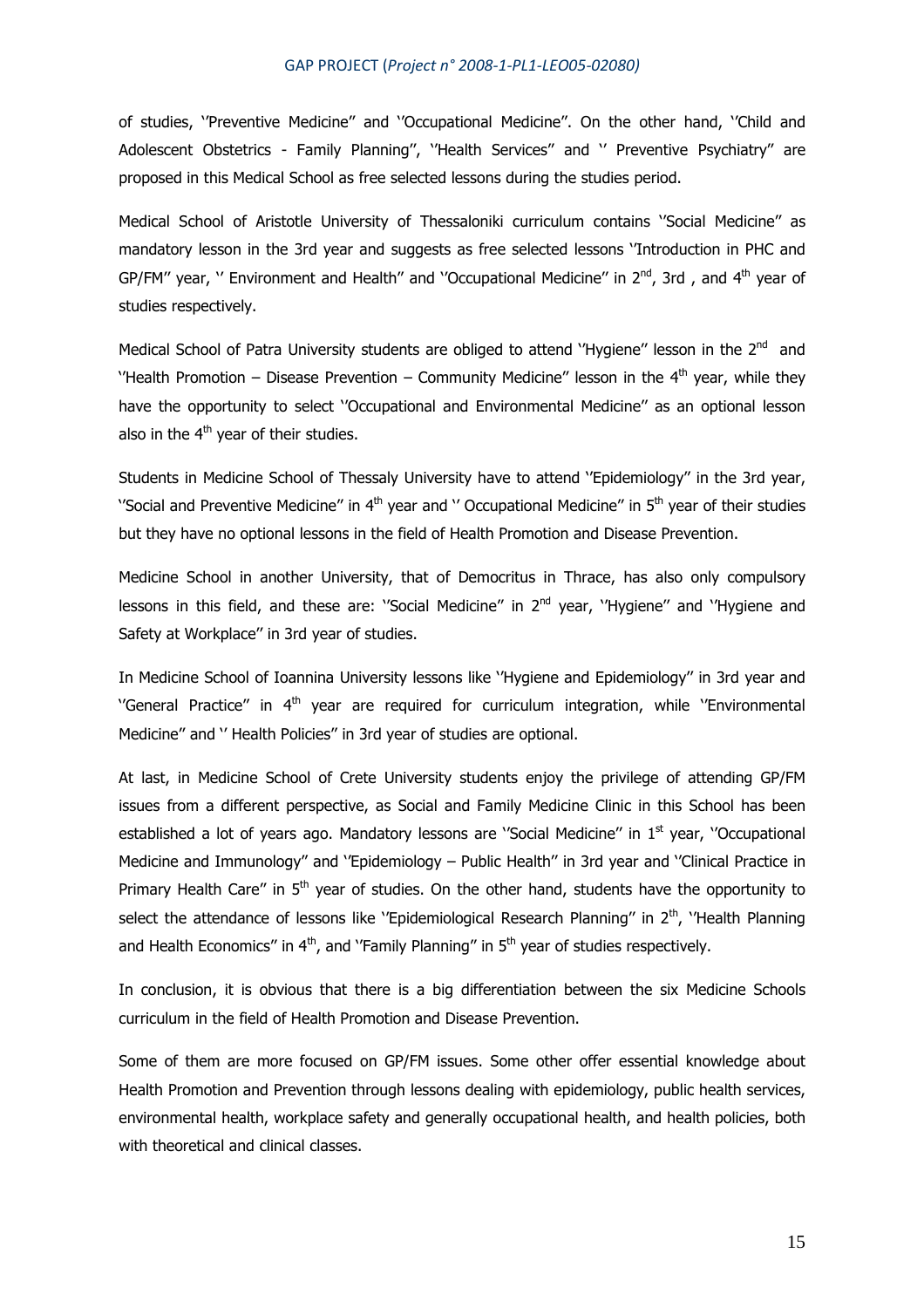of studies, ''Preventive Medicine'' and ''Occupational Medicine''. On the other hand, ''Child and Adolescent Obstetrics - Family Planning", "Health Services" and " Preventive Psychiatry" are proposed in this Medical School as free selected lessons during the studies period.

Medical School of Aristotle University of Thessaloniki curriculum contains ''Social Medicine'' as mandatory lesson in the 3rd year and suggests as free selected lessons ''Introduction in PHC and GP/FM" year, " Environment and Health" and "Occupational Medicine" in  $2^{nd}$ , 3rd, and  $4^{th}$  year of studies respectively.

Medical School of Patra University students are obliged to attend "Hygiene" lesson in the  $2^{nd}$  and ''Health Promotion – Disease Prevention – Community Medicine" lesson in the  $4<sup>th</sup>$  year, while they have the opportunity to select ''Occupational and Environmental Medicine'' as an optional lesson also in the  $4<sup>th</sup>$  year of their studies.

Students in Medicine School of Thessaly University have to attend ''Epidemiology'' in the 3rd year, ''Social and Preventive Medicine" in  $4<sup>th</sup>$  year and '' Occupational Medicine" in  $5<sup>th</sup>$  year of their studies but they have no optional lessons in the field of Health Promotion and Disease Prevention.

Medicine School in another University, that of Democritus in Thrace, has also only compulsory lessons in this field, and these are: "Social Medicine" in 2<sup>nd</sup> year, "Hygiene" and "Hygiene and Safety at Workplace'' in 3rd year of studies.

In Medicine School of Ioannina University lessons like ''Hygiene and Epidemiology'' in 3rd year and  $'$ General Practice" in  $4<sup>th</sup>$  year are required for curriculum integration, while  $'$ Environmental Medicine'' and '' Health Policies'' in 3rd year of studies are optional.

At last, in Medicine School of Crete University students enjoy the privilege of attending GP/FM issues from a different perspective, as Social and Family Medicine Clinic in this School has been established a lot of years ago. Mandatory lessons are "Social Medicine" in 1<sup>st</sup> year, "Occupational Medicine and Immunology'' and ''Epidemiology – Public Health'' in 3rd year and ''Clinical Practice in Primary Health Care" in  $5<sup>th</sup>$  year of studies. On the other hand, students have the opportunity to select the attendance of lessons like ''Epidemiological Research Planning'' in 2<sup>th</sup>, 'Health Planning and Health Economics" in  $4<sup>th</sup>$ , and 'Family Planning" in  $5<sup>th</sup>$  year of studies respectively.

In conclusion, it is obvious that there is a big differentiation between the six Medicine Schools curriculum in the field of Health Promotion and Disease Prevention.

Some of them are more focused on GP/FM issues. Some other offer essential knowledge about Health Promotion and Prevention through lessons dealing with epidemiology, public health services, environmental health, workplace safety and generally occupational health, and health policies, both with theoretical and clinical classes.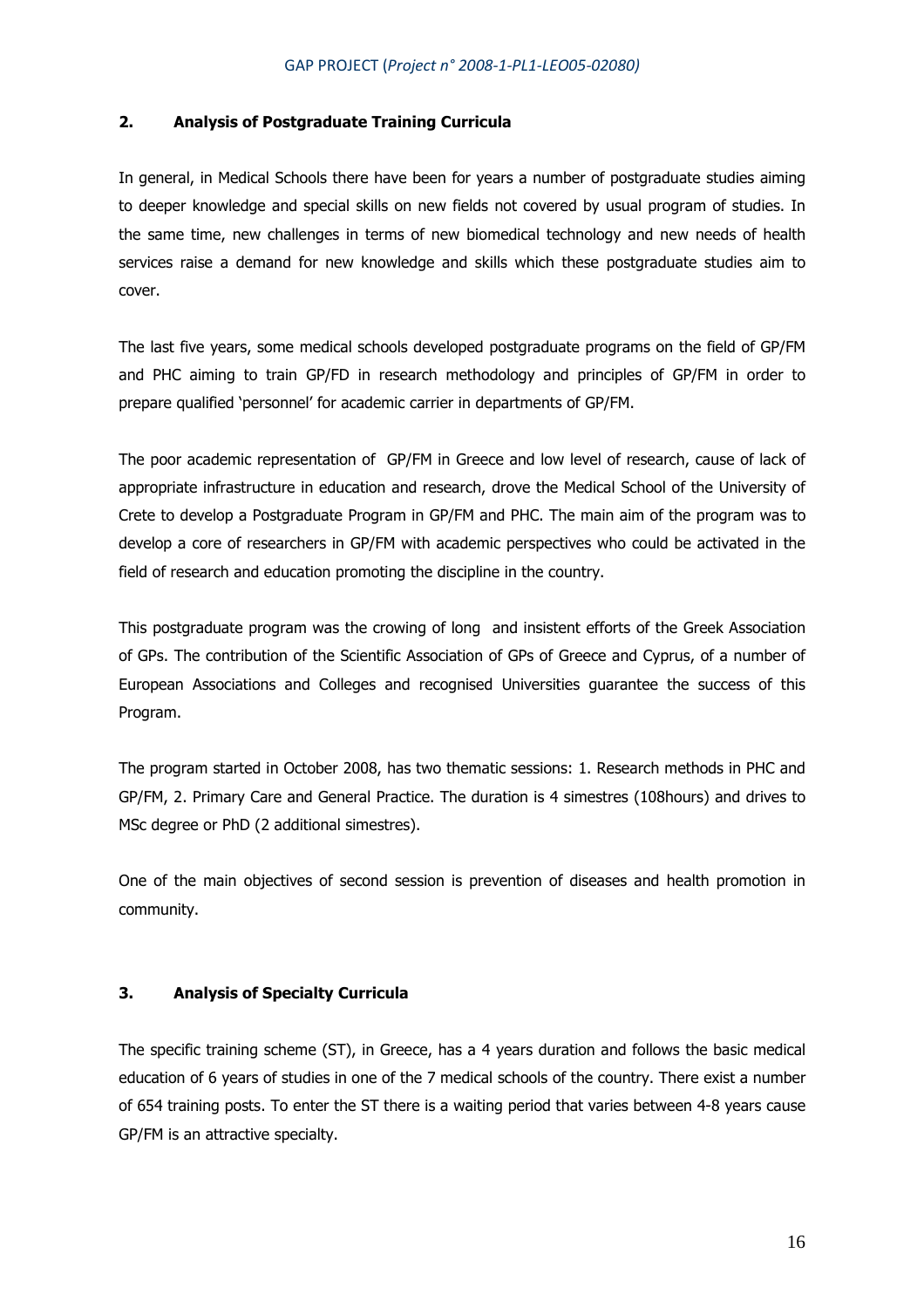## **2. Analysis of Postgraduate Training Curricula**

In general, in Medical Schools there have been for years a number of postgraduate studies aiming to deeper knowledge and special skills on new fields not covered by usual program of studies. In the same time, new challenges in terms of new biomedical technology and new needs of health services raise a demand for new knowledge and skills which these postgraduate studies aim to cover.

The last five years, some medical schools developed postgraduate programs on the field of GP/FM and PHC aiming to train GP/FD in research methodology and principles of GP/FM in order to prepare qualified 'personnel' for academic carrier in departments of GP/FM.

The poor academic representation of GP/FM in Greece and low level of research, cause of lack of appropriate infrastructure in education and research, drove the Medical School of the University of Crete to develop a Postgraduate Program in GP/FM and PHC. The main aim of the program was to develop a core of researchers in GP/FM with academic perspectives who could be activated in the field of research and education promoting the discipline in the country.

This postgraduate program was the crowing of long and insistent efforts of the Greek Association of GPs. The contribution of the Scientific Association of GPs of Greece and Cyprus, of a number of European Associations and Colleges and recognised Universities guarantee the success of this Program.

The program started in October 2008, has two thematic sessions: 1. Research methods in PHC and GP/FM, 2. Primary Care and General Practice. The duration is 4 simestres (108hours) and drives to MSc degree or PhD (2 additional simestres).

One of the main objectives of second session is prevention of diseases and health promotion in community.

## **3. Analysis of Specialty Curricula**

The specific training scheme (ST), in Greece, has a 4 years duration and follows the basic medical education of 6 years of studies in one of the 7 medical schools of the country. There exist a number of 654 training posts. To enter the ST there is a waiting period that varies between 4-8 years cause GP/FM is an attractive specialty.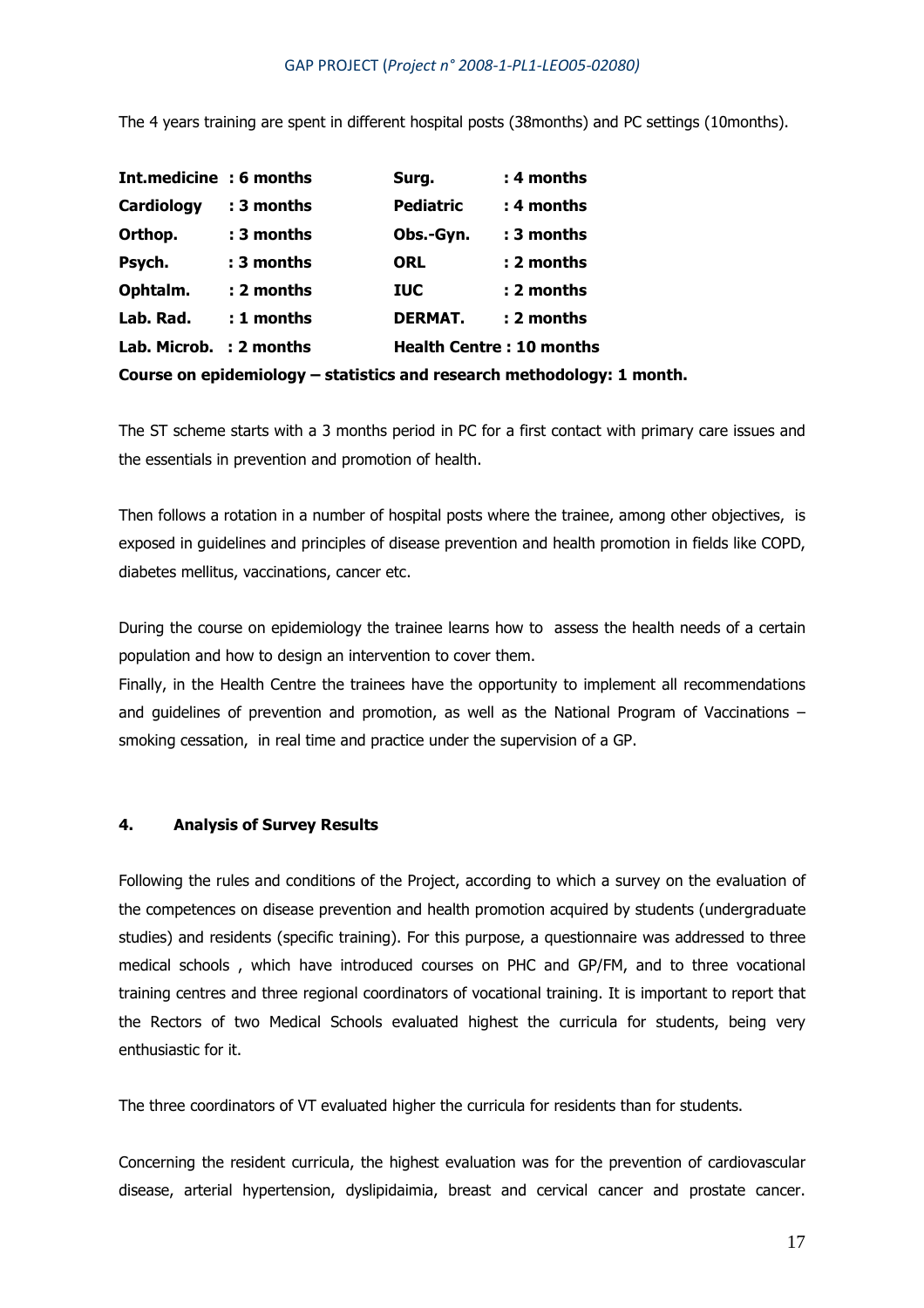The 4 years training are spent in different hospital posts (38months) and PC settings (10months).

| Int.medicine : 6 months |              | Surg.                           | : 4 months                                                             |
|-------------------------|--------------|---------------------------------|------------------------------------------------------------------------|
| Cardiology              | : 3 months   | <b>Pediatric</b>                | : 4 months                                                             |
| Orthop.                 | : 3 months   | Obs.-Gyn.                       | : 3 months                                                             |
| Psych.                  | : 3 months   | <b>ORL</b>                      | : 2 months                                                             |
| Ophtalm.                | :2 months    | <b>IUC</b>                      | : 2 months                                                             |
| Lab. Rad.               | $: 1$ months | <b>DERMAT.</b>                  | : 2 months                                                             |
| Lab. Microb. : 2 months |              | <b>Health Centre: 10 months</b> |                                                                        |
|                         |              |                                 | Course on epidemiology – statistics and research methodology: 1 month. |

The ST scheme starts with a 3 months period in PC for a first contact with primary care issues and the essentials in prevention and promotion of health.

Then follows a rotation in a number of hospital posts where the trainee, among other objectives, is exposed in guidelines and principles of disease prevention and health promotion in fields like COPD, diabetes mellitus, vaccinations, cancer etc.

During the course on epidemiology the trainee learns how to assess the health needs of a certain population and how to design an intervention to cover them.

Finally, in the Health Centre the trainees have the opportunity to implement all recommendations and guidelines of prevention and promotion, as well as the National Program of Vaccinations – smoking cessation, in real time and practice under the supervision of a GP.

## **4. Analysis of Survey Results**

Following the rules and conditions of the Project, according to which a survey on the evaluation of the competences on disease prevention and health promotion acquired by students (undergraduate studies) and residents (specific training). For this purpose, a questionnaire was addressed to three medical schools , which have introduced courses on PHC and GP/FM, and to three vocational training centres and three regional coordinators of vocational training. It is important to report that the Rectors of two Medical Schools evaluated highest the curricula for students, being very enthusiastic for it.

The three coordinators of VT evaluated higher the curricula for residents than for students.

Concerning the resident curricula, the highest evaluation was for the prevention of cardiovascular disease, arterial hypertension, dyslipidaimia, breast and cervical cancer and prostate cancer.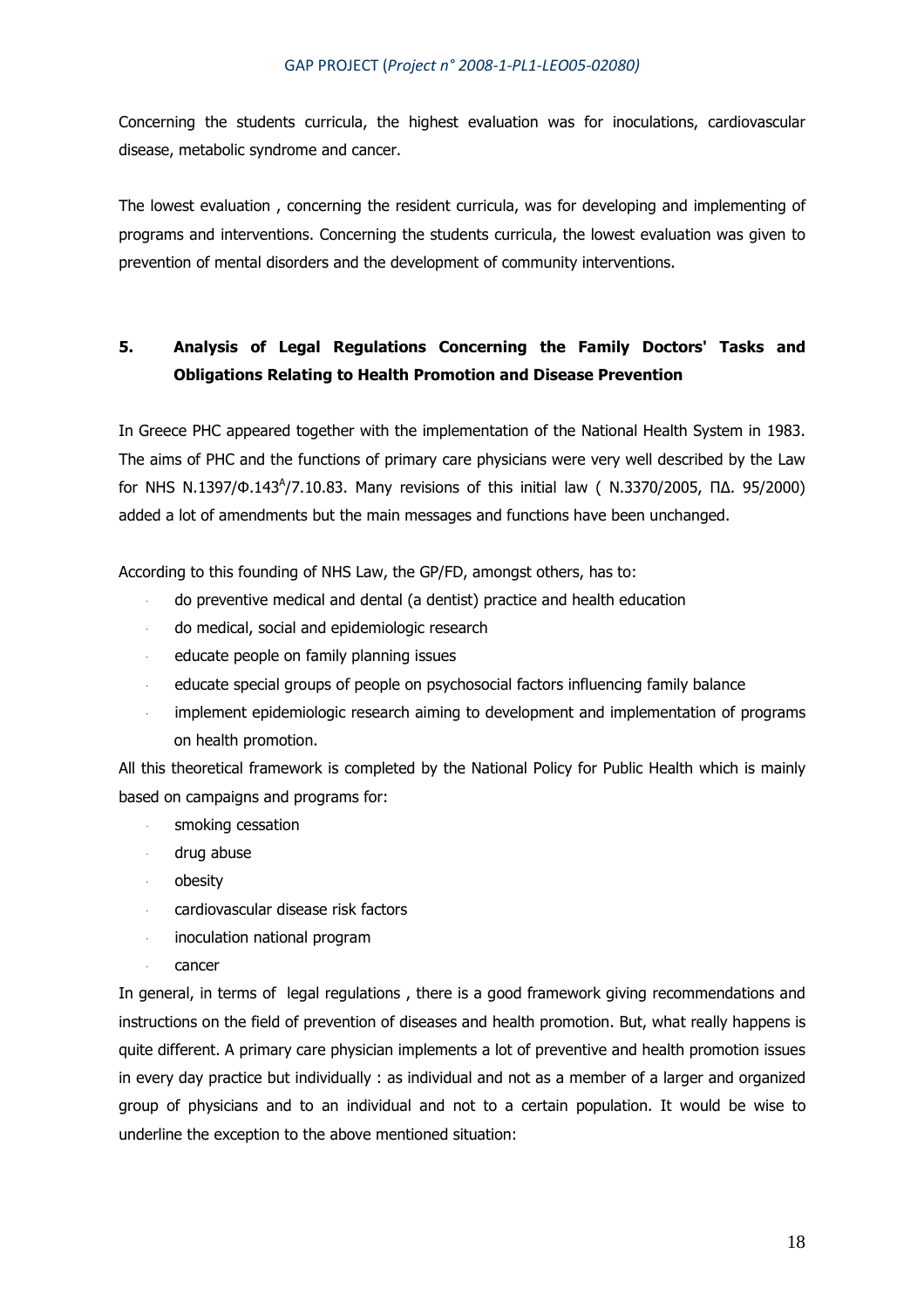Concerning the students curricula, the highest evaluation was for inoculations, cardiovascular disease, metabolic syndrome and cancer.

The lowest evaluation , concerning the resident curricula, was for developing and implementing of programs and interventions. Concerning the students curricula, the lowest evaluation was given to prevention of mental disorders and the development of community interventions.

# **5. Analysis of Legal Regulations Concerning the Family Doctors' Tasks and Obligations Relating to Health Promotion and Disease Prevention**

In Greece PHC appeared together with the implementation of the National Health System in 1983. The aims of PHC and the functions of primary care physicians were very well described by the Law for NHS N.1397/Φ.143<sup>Α</sup> /7.10.83. Many revisions of this initial law ( N.3370/2005, Π∆. 95/2000) added a lot of amendments but the main messages and functions have been unchanged.

According to this founding of NHS Law, the GP/FD, amongst others, has to:

- do preventive medical and dental (a dentist) practice and health education
- do medical, social and epidemiologic research
- educate people on family planning issues
- educate special groups of people on psychosocial factors influencing family balance
- implement epidemiologic research aiming to development and implementation of programs on health promotion.

All this theoretical framework is completed by the National Policy for Public Health which is mainly based on campaigns and programs for:

- smoking cessation
- drug abuse
- obesity
- cardiovascular disease risk factors
- inoculation national program
- cancer

In general, in terms of legal regulations , there is a good framework giving recommendations and instructions on the field of prevention of diseases and health promotion. But, what really happens is quite different. A primary care physician implements a lot of preventive and health promotion issues in every day practice but individually : as individual and not as a member of a larger and organized group of physicians and to an individual and not to a certain population. It would be wise to underline the exception to the above mentioned situation: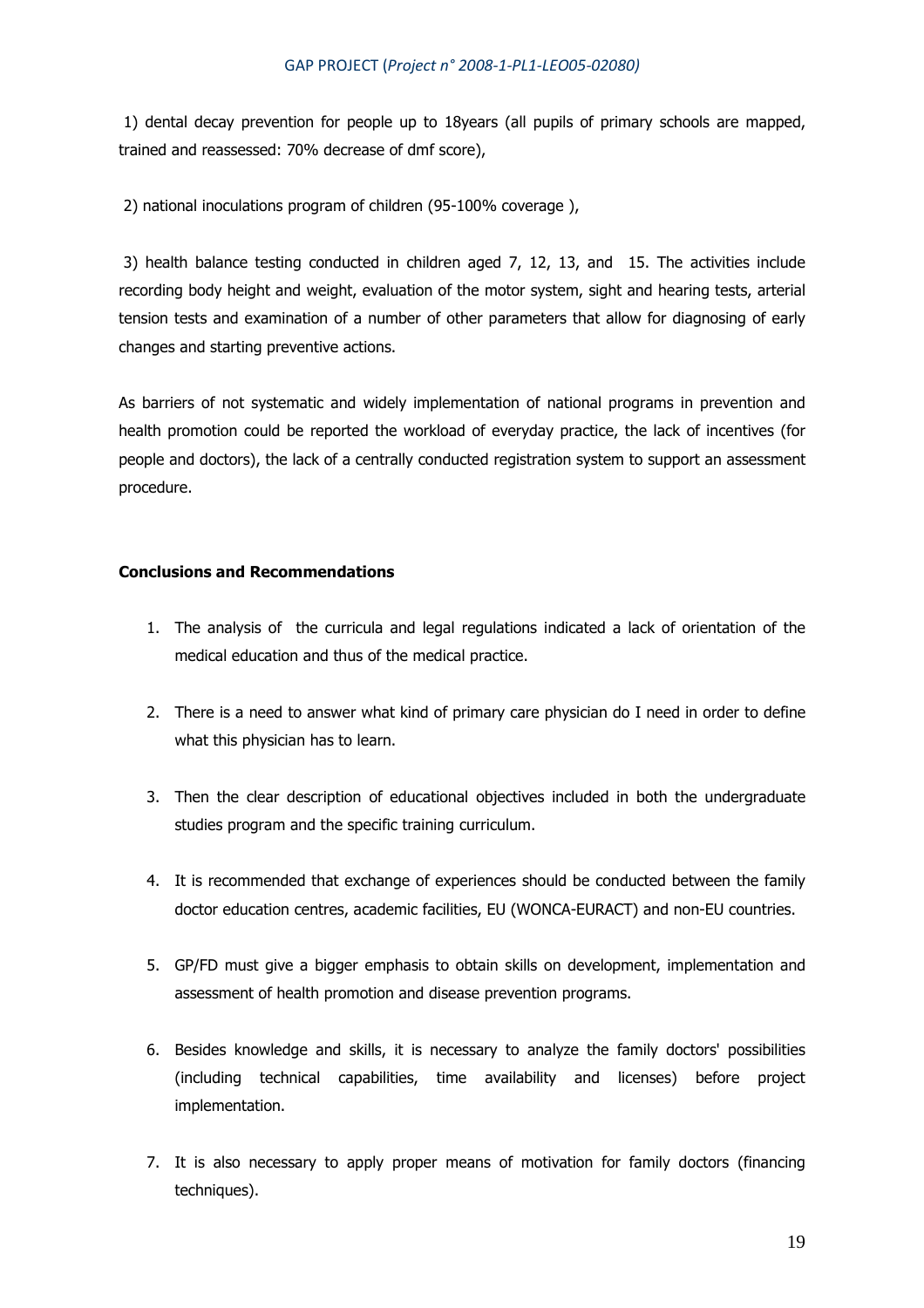1) dental decay prevention for people up to 18years (all pupils of primary schools are mapped, trained and reassessed: 70% decrease of dmf score),

2) national inoculations program of children (95-100% coverage ),

 3) health balance testing conducted in children aged 7, 12, 13, and 15. The activities include recording body height and weight, evaluation of the motor system, sight and hearing tests, arterial tension tests and examination of a number of other parameters that allow for diagnosing of early changes and starting preventive actions.

As barriers of not systematic and widely implementation of national programs in prevention and health promotion could be reported the workload of everyday practice, the lack of incentives (for people and doctors), the lack of a centrally conducted registration system to support an assessment procedure.

## **Conclusions and Recommendations**

- 1. The analysis of the curricula and legal regulations indicated a lack of orientation of the medical education and thus of the medical practice.
- 2. There is a need to answer what kind of primary care physician do I need in order to define what this physician has to learn.
- 3. Then the clear description of educational objectives included in both the undergraduate studies program and the specific training curriculum.
- 4. It is recommended that exchange of experiences should be conducted between the family doctor education centres, academic facilities, EU (WONCA-EURACT) and non-EU countries.
- 5. GP/FD must give a bigger emphasis to obtain skills on development, implementation and assessment of health promotion and disease prevention programs.
- 6. Besides knowledge and skills, it is necessary to analyze the family doctors' possibilities (including technical capabilities, time availability and licenses) before project implementation.
- 7. It is also necessary to apply proper means of motivation for family doctors (financing techniques).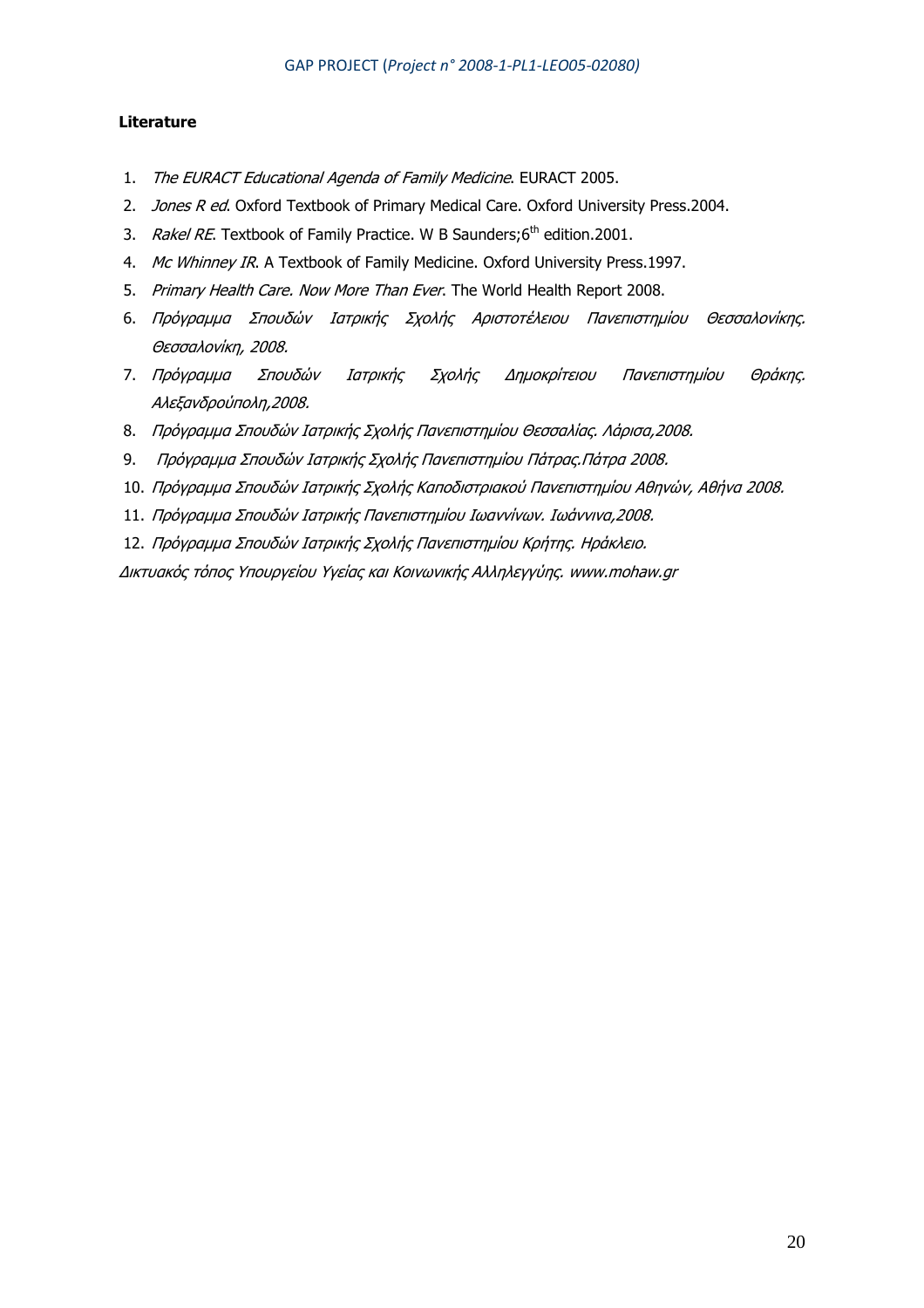## **Literature**

- 1. The EURACT Educational Agenda of Family Medicine. EURACT 2005.
- 2. Jones R ed. Oxford Textbook of Primary Medical Care. Oxford University Press.2004.
- 3. Rakel RE. Textbook of Family Practice. W B Saunders;6<sup>th</sup> edition.2001.
- 4. Mc Whinney IR. A Textbook of Family Medicine. Oxford University Press.1997.
- 5. Primary Health Care. Now More Than Ever. The World Health Report 2008.
- 6. Πρόγραµµα Σπουδών Ιατρικής Σχολής Αριστοτέλειου Πανεπιστηµίου Θεσσαλονίκης. Θεσσαλονίκη, 2008.
- 7. Πρόγραµµα Σπουδών Ιατρικής Σχολής ∆ηµοκρίτειου Πανεπιστηµίου Θράκης. Αλεξανδρούπολη,2008.
- 8. Πρόγραµµα Σπουδών Ιατρικής Σχολής Πανεπιστηµίου Θεσσαλίας. Λάρισα,2008.
- 9. Πρόγραµµα Σπουδών Ιατρικής Σχολής Πανεπιστηµίου Πάτρας.Πάτρα 2008.
- 10. Πρόγραµµα Σπουδών Ιατρικής Σχολής Καποδιστριακού Πανεπιστηµίου Αθηνών, Αθήνα 2008.
- 11. Πρόγραµµα Σπουδών Ιατρικής Πανεπιστηµίου Ιωαννίνων. Ιωάννινα,2008.
- 12. Πρόγραµµα Σπουδών Ιατρικής Σχολής Πανεπιστηµίου Κρήτης. Ηράκλειο.

∆ικτυακός τόπος Υπουργείου Υγείας και Κοινωνικής Αλληλεγγύης. www.mohaw.gr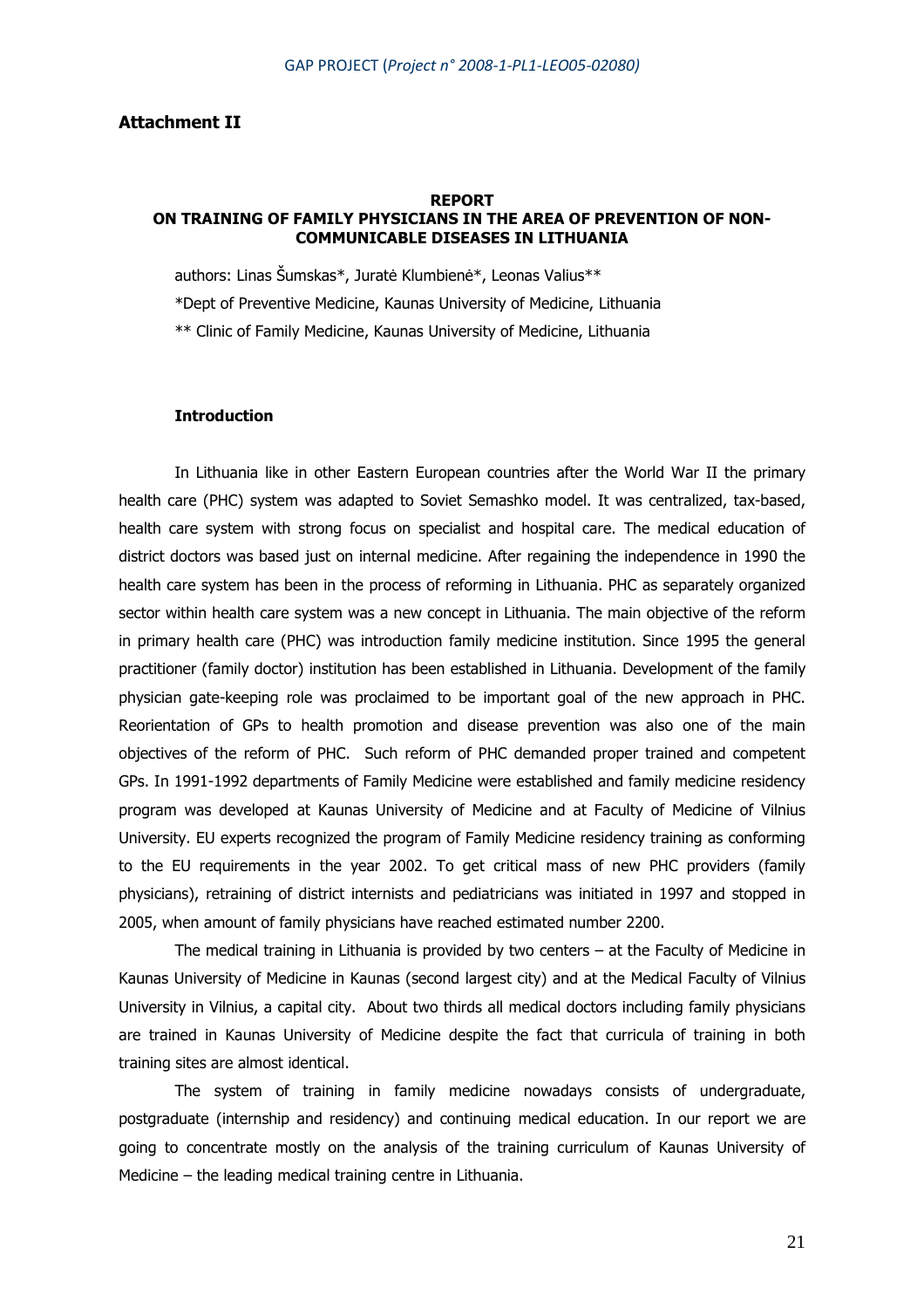#### **Attachment II**

#### **REPORT ON TRAINING OF FAMILY PHYSICIANS IN THE AREA OF PREVENTION OF NON-COMMUNICABLE DISEASES IN LITHUANIA**

authors: Linas Šumskas\*, Juratė Klumbienė\*, Leonas Valius\*\* \*Dept of Preventive Medicine, Kaunas University of Medicine, Lithuania \*\* Clinic of Family Medicine, Kaunas University of Medicine, Lithuania

## **Introduction**

In Lithuania like in other Eastern European countries after the World War II the primary health care (PHC) system was adapted to Soviet Semashko model. It was centralized, tax-based, health care system with strong focus on specialist and hospital care. The medical education of district doctors was based just on internal medicine. After regaining the independence in 1990 the health care system has been in the process of reforming in Lithuania. PHC as separately organized sector within health care system was a new concept in Lithuania. The main objective of the reform in primary health care (PHC) was introduction family medicine institution. Since 1995 the general practitioner (family doctor) institution has been established in Lithuania. Development of the family physician gate-keeping role was proclaimed to be important goal of the new approach in PHC. Reorientation of GPs to health promotion and disease prevention was also one of the main objectives of the reform of PHC. Such reform of PHC demanded proper trained and competent GPs. In 1991-1992 departments of Family Medicine were established and family medicine residency program was developed at Kaunas University of Medicine and at Faculty of Medicine of Vilnius University. EU experts recognized the program of Family Medicine residency training as conforming to the EU requirements in the year 2002. To get critical mass of new PHC providers (family physicians), retraining of district internists and pediatricians was initiated in 1997 and stopped in 2005, when amount of family physicians have reached estimated number 2200.

The medical training in Lithuania is provided by two centers – at the Faculty of Medicine in Kaunas University of Medicine in Kaunas (second largest city) and at the Medical Faculty of Vilnius University in Vilnius, a capital city. About two thirds all medical doctors including family physicians are trained in Kaunas University of Medicine despite the fact that curricula of training in both training sites are almost identical.

The system of training in family medicine nowadays consists of undergraduate, postgraduate (internship and residency) and continuing medical education. In our report we are going to concentrate mostly on the analysis of the training curriculum of Kaunas University of Medicine – the leading medical training centre in Lithuania.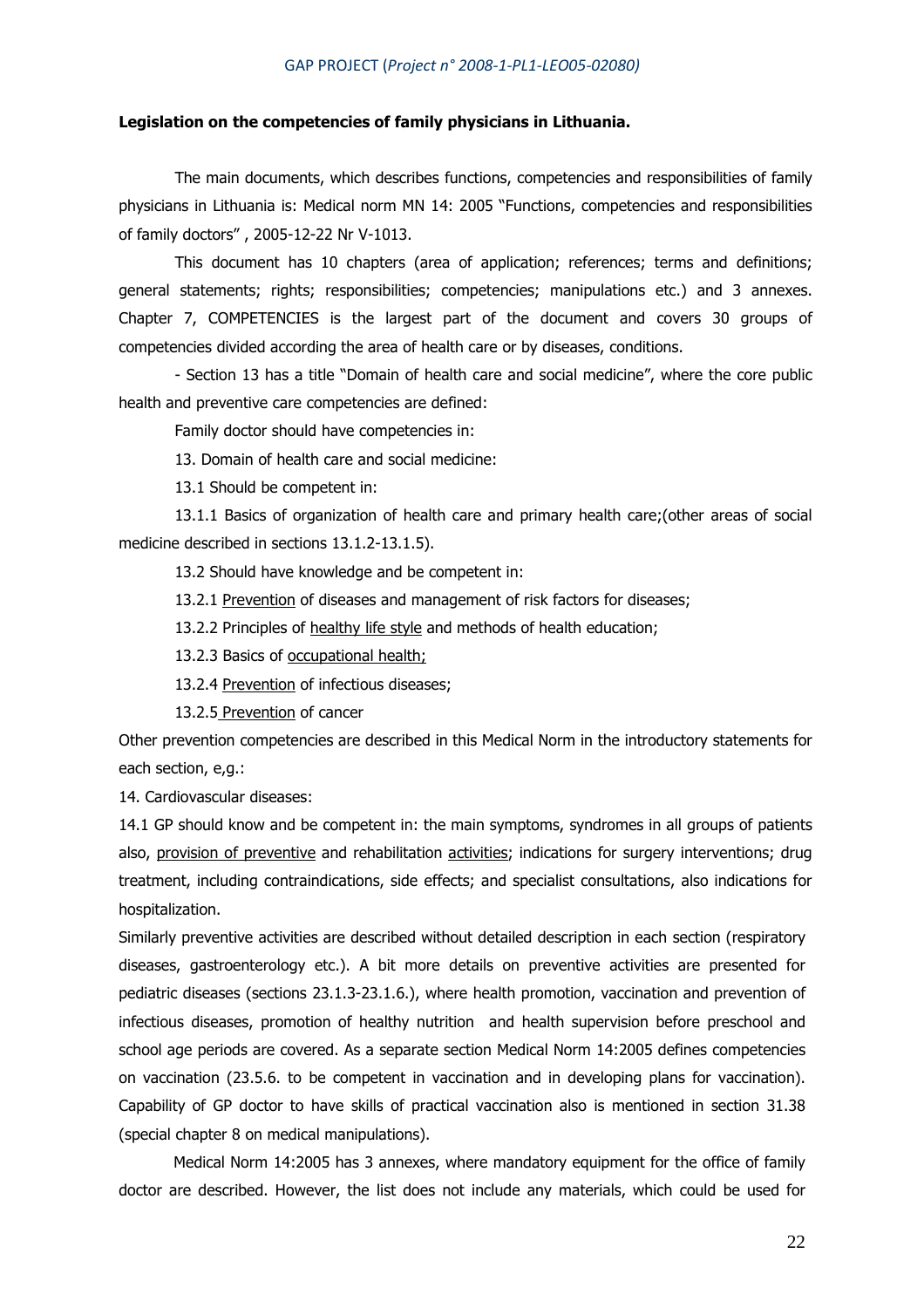#### **Legislation on the competencies of family physicians in Lithuania.**

The main documents, which describes functions, competencies and responsibilities of family physicians in Lithuania is: Medical norm MN 14: 2005 "Functions, competencies and responsibilities of family doctors" , 2005-12-22 Nr V-1013.

This document has 10 chapters (area of application; references; terms and definitions; general statements; rights; responsibilities; competencies; manipulations etc.) and 3 annexes. Chapter 7, COMPETENCIES is the largest part of the document and covers 30 groups of competencies divided according the area of health care or by diseases, conditions.

- Section 13 has a title "Domain of health care and social medicine", where the core public health and preventive care competencies are defined:

Family doctor should have competencies in:

13. Domain of health care and social medicine:

13.1 Should be competent in:

13.1.1 Basics of organization of health care and primary health care;(other areas of social medicine described in sections 13.1.2-13.1.5).

13.2 Should have knowledge and be competent in:

13.2.1 Prevention of diseases and management of risk factors for diseases;

13.2.2 Principles of healthy life style and methods of health education;

13.2.3 Basics of occupational health;

13.2.4 Prevention of infectious diseases;

13.2.5 Prevention of cancer

Other prevention competencies are described in this Medical Norm in the introductory statements for each section, e,g.:

14. Cardiovascular diseases:

14.1 GP should know and be competent in: the main symptoms, syndromes in all groups of patients also, provision of preventive and rehabilitation activities; indications for surgery interventions; drug treatment, including contraindications, side effects; and specialist consultations, also indications for hospitalization.

Similarly preventive activities are described without detailed description in each section (respiratory diseases, gastroenterology etc.). A bit more details on preventive activities are presented for pediatric diseases (sections 23.1.3-23.1.6.), where health promotion, vaccination and prevention of infectious diseases, promotion of healthy nutrition and health supervision before preschool and school age periods are covered. As a separate section Medical Norm 14:2005 defines competencies on vaccination (23.5.6. to be competent in vaccination and in developing plans for vaccination). Capability of GP doctor to have skills of practical vaccination also is mentioned in section 31.38 (special chapter 8 on medical manipulations).

 Medical Norm 14:2005 has 3 annexes, where mandatory equipment for the office of family doctor are described. However, the list does not include any materials, which could be used for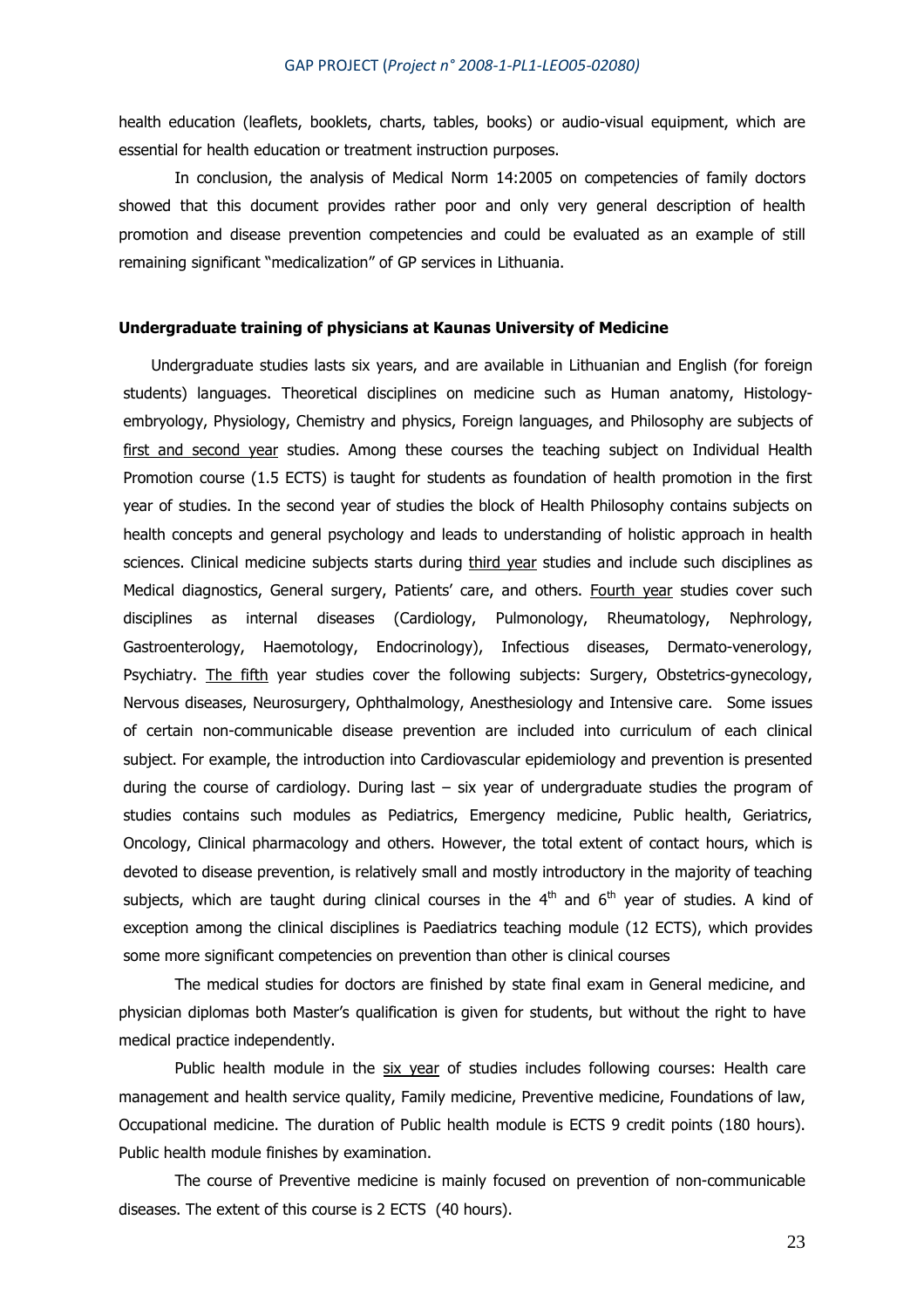health education (leaflets, booklets, charts, tables, books) or audio-visual equipment, which are essential for health education or treatment instruction purposes.

In conclusion, the analysis of Medical Norm 14:2005 on competencies of family doctors showed that this document provides rather poor and only very general description of health promotion and disease prevention competencies and could be evaluated as an example of still remaining significant "medicalization" of GP services in Lithuania.

#### **Undergraduate training of physicians at Kaunas University of Medicine**

Undergraduate studies lasts six years, and are available in Lithuanian and English (for foreign students) languages. Theoretical disciplines on medicine such as Human anatomy, Histologyembryology, Physiology, Chemistry and physics, Foreign languages, and Philosophy are subjects of first and second year studies. Among these courses the teaching subject on Individual Health Promotion course (1.5 ECTS) is taught for students as foundation of health promotion in the first year of studies. In the second year of studies the block of Health Philosophy contains subjects on health concepts and general psychology and leads to understanding of holistic approach in health sciences. Clinical medicine subjects starts during third year studies and include such disciplines as Medical diagnostics, General surgery, Patients' care, and others. Fourth year studies cover such disciplines as internal diseases (Cardiology, Pulmonology, Rheumatology, Nephrology, Gastroenterology, Haemotology, Endocrinology), Infectious diseases, Dermato-venerology, Psychiatry. The fifth year studies cover the following subjects: Surgery, Obstetrics-gynecology, Nervous diseases, Neurosurgery, Ophthalmology, Anesthesiology and Intensive care. Some issues of certain non-communicable disease prevention are included into curriculum of each clinical subject. For example, the introduction into Cardiovascular epidemiology and prevention is presented during the course of cardiology. During last  $-$  six year of undergraduate studies the program of studies contains such modules as Pediatrics, Emergency medicine, Public health, Geriatrics, Oncology, Clinical pharmacology and others. However, the total extent of contact hours, which is devoted to disease prevention, is relatively small and mostly introductory in the majority of teaching subjects, which are taught during clinical courses in the  $4<sup>th</sup>$  and  $6<sup>th</sup>$  year of studies. A kind of exception among the clinical disciplines is Paediatrics teaching module (12 ECTS), which provides some more significant competencies on prevention than other is clinical courses

The medical studies for doctors are finished by state final exam in General medicine, and physician diplomas both Master's qualification is given for students, but without the right to have medical practice independently.

Public health module in the six year of studies includes following courses: Health care management and health service quality, Family medicine, Preventive medicine, Foundations of law, Occupational medicine. The duration of Public health module is ECTS 9 credit points (180 hours). Public health module finishes by examination.

The course of Preventive medicine is mainly focused on prevention of non-communicable diseases. The extent of this course is 2 ECTS (40 hours).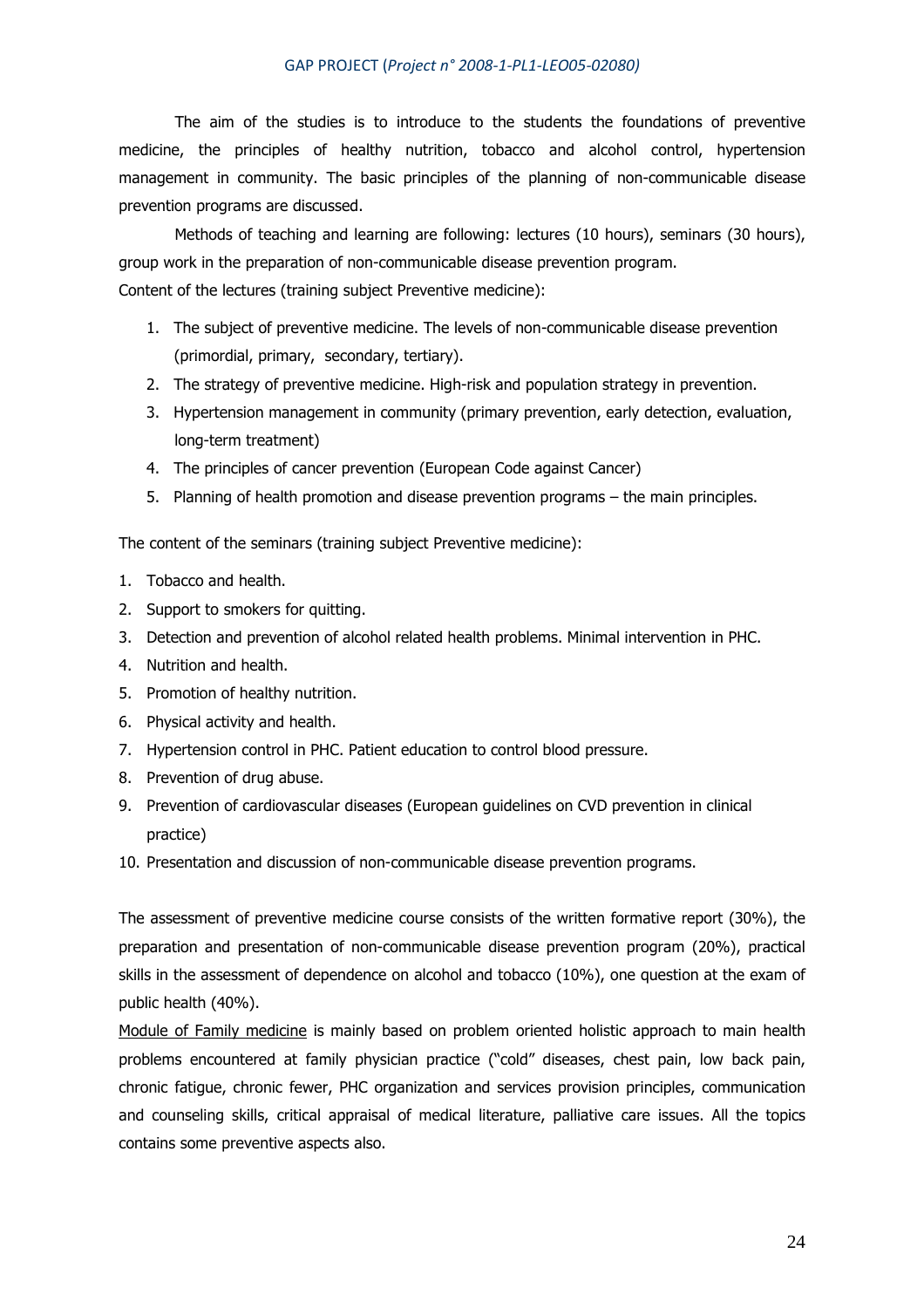The aim of the studies is to introduce to the students the foundations of preventive medicine, the principles of healthy nutrition, tobacco and alcohol control, hypertension management in community. The basic principles of the planning of non-communicable disease prevention programs are discussed.

Methods of teaching and learning are following: lectures (10 hours), seminars (30 hours), group work in the preparation of non-communicable disease prevention program. Content of the lectures (training subject Preventive medicine):

- 1. The subject of preventive medicine. The levels of non-communicable disease prevention (primordial, primary, secondary, tertiary).
- 2. The strategy of preventive medicine. High-risk and population strategy in prevention.
- 3. Hypertension management in community (primary prevention, early detection, evaluation, long-term treatment)
- 4. The principles of cancer prevention (European Code against Cancer)
- 5. Planning of health promotion and disease prevention programs the main principles.

The content of the seminars (training subject Preventive medicine):

- 1. Tobacco and health.
- 2. Support to smokers for quitting.
- 3. Detection and prevention of alcohol related health problems. Minimal intervention in PHC.
- 4. Nutrition and health.
- 5. Promotion of healthy nutrition.
- 6. Physical activity and health.
- 7. Hypertension control in PHC. Patient education to control blood pressure.
- 8. Prevention of drug abuse.
- 9. Prevention of cardiovascular diseases (European guidelines on CVD prevention in clinical practice)
- 10. Presentation and discussion of non-communicable disease prevention programs.

The assessment of preventive medicine course consists of the written formative report (30%), the preparation and presentation of non-communicable disease prevention program (20%), practical skills in the assessment of dependence on alcohol and tobacco (10%), one question at the exam of public health (40%).

Module of Family medicine is mainly based on problem oriented holistic approach to main health problems encountered at family physician practice ("cold" diseases, chest pain, low back pain, chronic fatigue, chronic fewer, PHC organization and services provision principles, communication and counseling skills, critical appraisal of medical literature, palliative care issues. All the topics contains some preventive aspects also.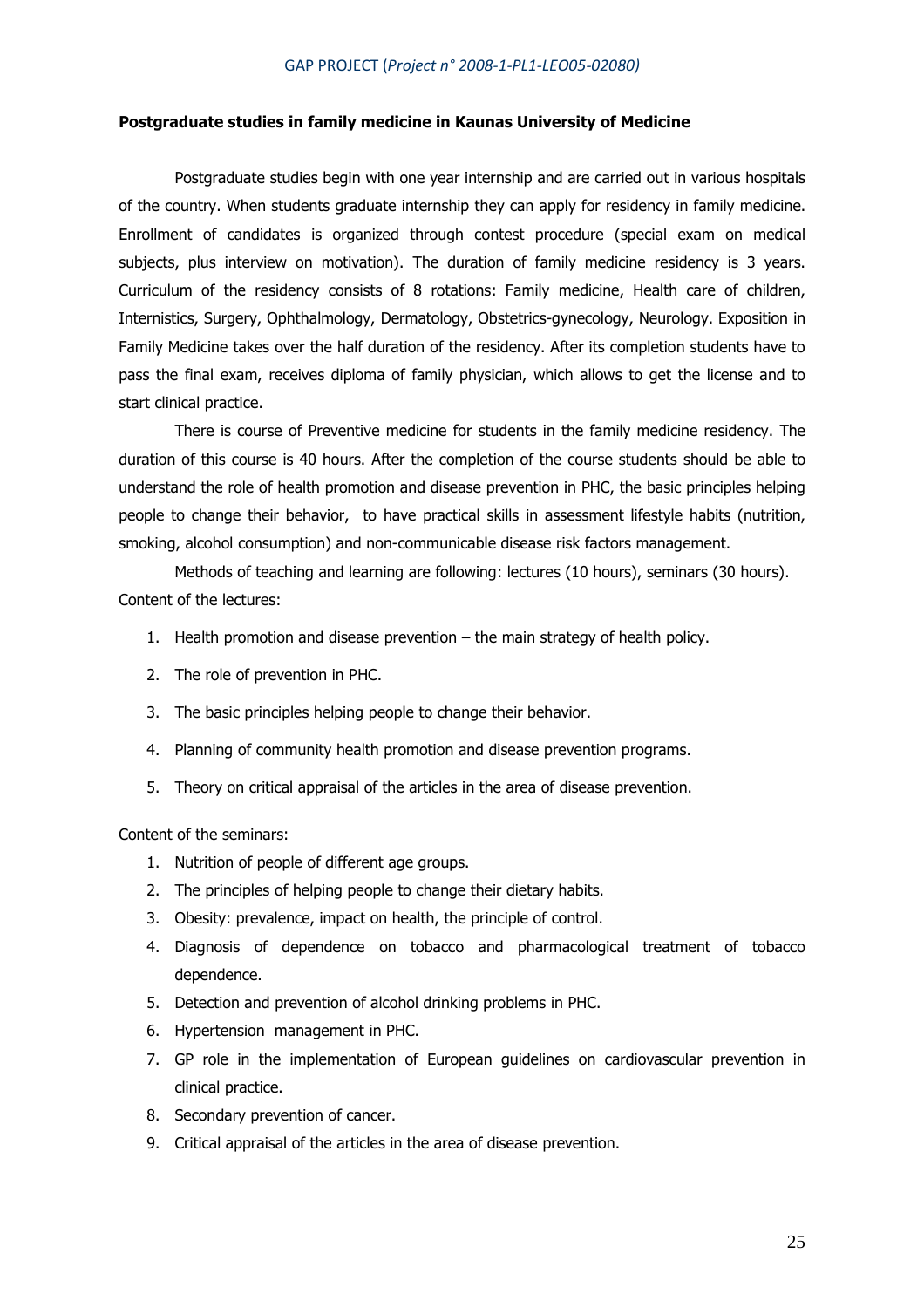#### **Postgraduate studies in family medicine in Kaunas University of Medicine**

Postgraduate studies begin with one year internship and are carried out in various hospitals of the country. When students graduate internship they can apply for residency in family medicine. Enrollment of candidates is organized through contest procedure (special exam on medical subjects, plus interview on motivation). The duration of family medicine residency is 3 years. Curriculum of the residency consists of 8 rotations: Family medicine, Health care of children, Internistics, Surgery, Ophthalmology, Dermatology, Obstetrics-gynecology, Neurology. Exposition in Family Medicine takes over the half duration of the residency. After its completion students have to pass the final exam, receives diploma of family physician, which allows to get the license and to start clinical practice.

There is course of Preventive medicine for students in the family medicine residency. The duration of this course is 40 hours. After the completion of the course students should be able to understand the role of health promotion and disease prevention in PHC, the basic principles helping people to change their behavior, to have practical skills in assessment lifestyle habits (nutrition, smoking, alcohol consumption) and non-communicable disease risk factors management.

Methods of teaching and learning are following: lectures (10 hours), seminars (30 hours). Content of the lectures:

- 1. Health promotion and disease prevention the main strategy of health policy.
- 2. The role of prevention in PHC.
- 3. The basic principles helping people to change their behavior.
- 4. Planning of community health promotion and disease prevention programs.
- 5. Theory on critical appraisal of the articles in the area of disease prevention.

Content of the seminars:

- 1. Nutrition of people of different age groups.
- 2. The principles of helping people to change their dietary habits.
- 3. Obesity: prevalence, impact on health, the principle of control.
- 4. Diagnosis of dependence on tobacco and pharmacological treatment of tobacco dependence.
- 5. Detection and prevention of alcohol drinking problems in PHC.
- 6. Hypertension management in PHC.
- 7. GP role in the implementation of European guidelines on cardiovascular prevention in clinical practice.
- 8. Secondary prevention of cancer.
- 9. Critical appraisal of the articles in the area of disease prevention.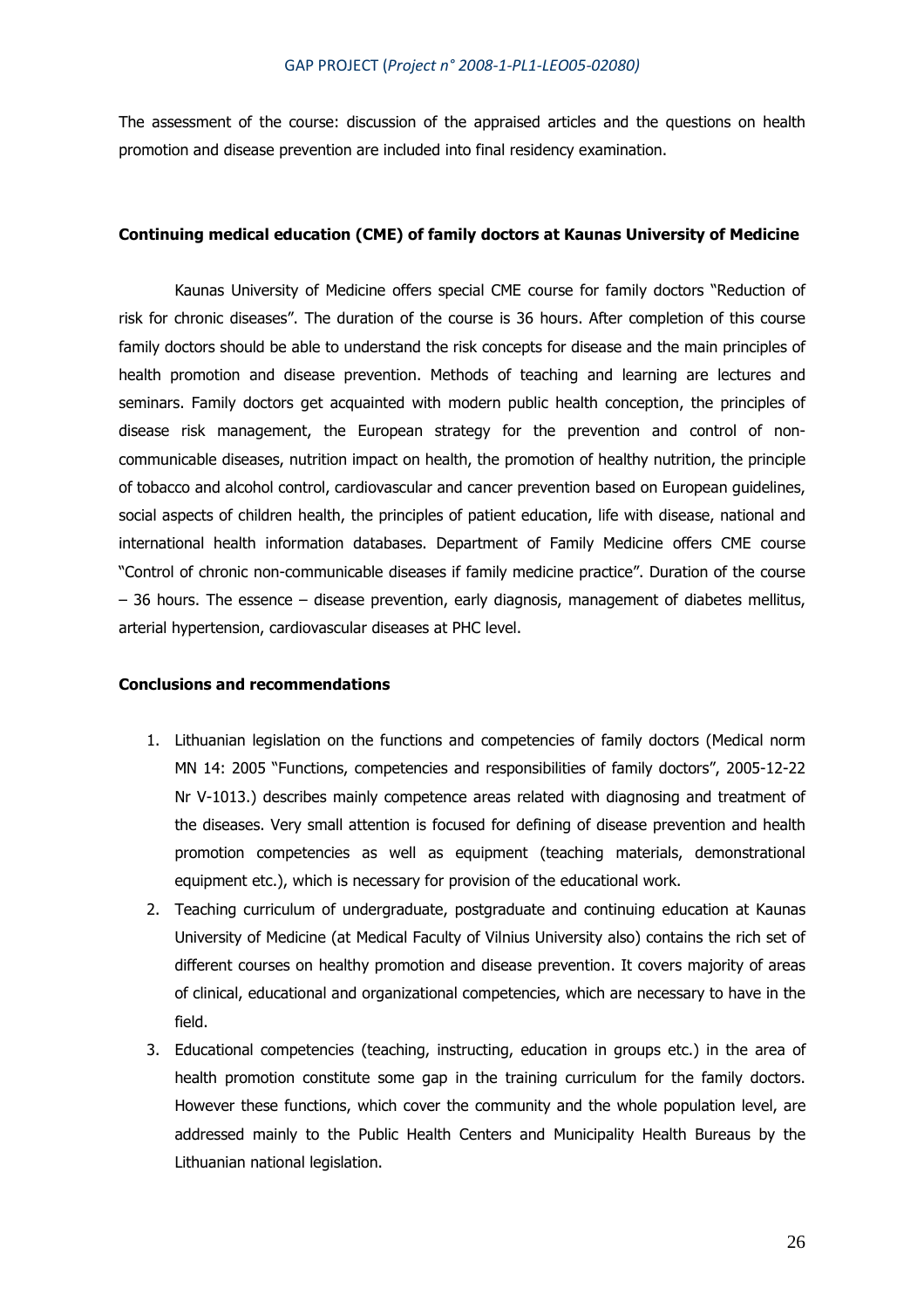The assessment of the course: discussion of the appraised articles and the questions on health promotion and disease prevention are included into final residency examination.

#### **Continuing medical education (CME) of family doctors at Kaunas University of Medicine**

Kaunas University of Medicine offers special CME course for family doctors "Reduction of risk for chronic diseases". The duration of the course is 36 hours. After completion of this course family doctors should be able to understand the risk concepts for disease and the main principles of health promotion and disease prevention. Methods of teaching and learning are lectures and seminars. Family doctors get acquainted with modern public health conception, the principles of disease risk management, the European strategy for the prevention and control of noncommunicable diseases, nutrition impact on health, the promotion of healthy nutrition, the principle of tobacco and alcohol control, cardiovascular and cancer prevention based on European guidelines, social aspects of children health, the principles of patient education, life with disease, national and international health information databases. Department of Family Medicine offers CME course "Control of chronic non-communicable diseases if family medicine practice". Duration of the course – 36 hours. The essence – disease prevention, early diagnosis, management of diabetes mellitus, arterial hypertension, cardiovascular diseases at PHC level.

#### **Conclusions and recommendations**

- 1. Lithuanian legislation on the functions and competencies of family doctors (Medical norm MN 14: 2005 "Functions, competencies and responsibilities of family doctors", 2005-12-22 Nr V-1013.) describes mainly competence areas related with diagnosing and treatment of the diseases. Very small attention is focused for defining of disease prevention and health promotion competencies as well as equipment (teaching materials, demonstrational equipment etc.), which is necessary for provision of the educational work.
- 2. Teaching curriculum of undergraduate, postgraduate and continuing education at Kaunas University of Medicine (at Medical Faculty of Vilnius University also) contains the rich set of different courses on healthy promotion and disease prevention. It covers majority of areas of clinical, educational and organizational competencies, which are necessary to have in the field.
- 3. Educational competencies (teaching, instructing, education in groups etc.) in the area of health promotion constitute some gap in the training curriculum for the family doctors. However these functions, which cover the community and the whole population level, are addressed mainly to the Public Health Centers and Municipality Health Bureaus by the Lithuanian national legislation.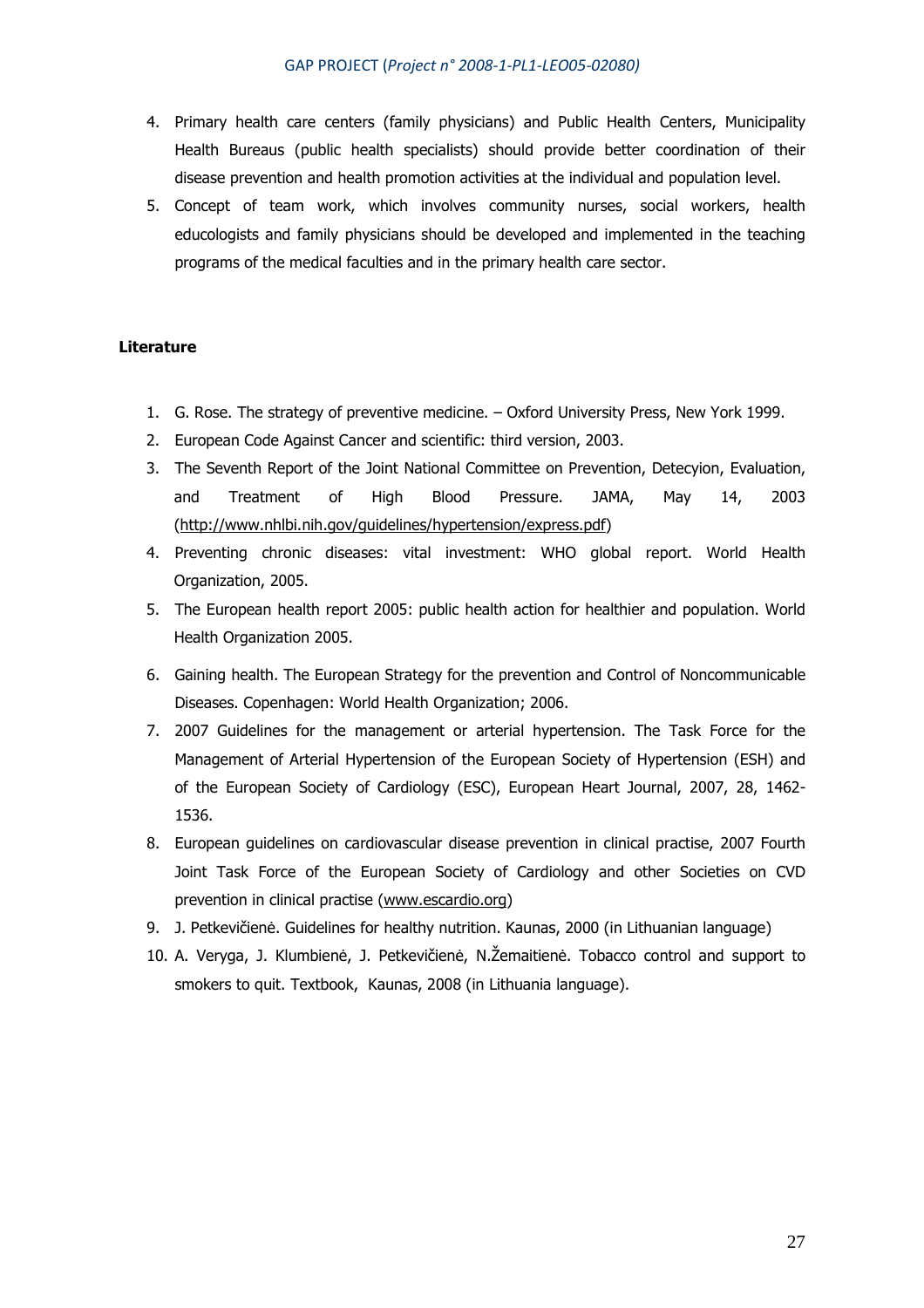- 4. Primary health care centers (family physicians) and Public Health Centers, Municipality Health Bureaus (public health specialists) should provide better coordination of their disease prevention and health promotion activities at the individual and population level.
- 5. Concept of team work, which involves community nurses, social workers, health educologists and family physicians should be developed and implemented in the teaching programs of the medical faculties and in the primary health care sector.

## **Literature**

- 1. G. Rose. The strategy of preventive medicine. Oxford University Press, New York 1999.
- 2. European Code Against Cancer and scientific: third version, 2003.
- 3. The Seventh Report of the Joint National Committee on Prevention, Detecyion, Evaluation, and Treatment of High Blood Pressure. JAMA, May 14, 2003 (http://www.nhlbi.nih.gov/guidelines/hypertension/express.pdf)
- 4. Preventing chronic diseases: vital investment: WHO global report. World Health Organization, 2005.
- 5. The European health report 2005: public health action for healthier and population. World Health Organization 2005.
- 6. Gaining health. The European Strategy for the prevention and Control of Noncommunicable Diseases. Copenhagen: World Health Organization; 2006.
- 7. 2007 Guidelines for the management or arterial hypertension. The Task Force for the Management of Arterial Hypertension of the European Society of Hypertension (ESH) and of the European Society of Cardiology (ESC), European Heart Journal, 2007, 28, 1462- 1536.
- 8. European guidelines on cardiovascular disease prevention in clinical practise, 2007 Fourth Joint Task Force of the European Society of Cardiology and other Societies on CVD prevention in clinical practise (www.escardio.org)
- 9. J. Petkevičienė. Guidelines for healthy nutrition. Kaunas, 2000 (in Lithuanian language)
- 10. A. Veryga, J. Klumbienė, J. Petkevičienė, N.Žemaitienė. Tobacco control and support to smokers to quit. Textbook, Kaunas, 2008 (in Lithuania language).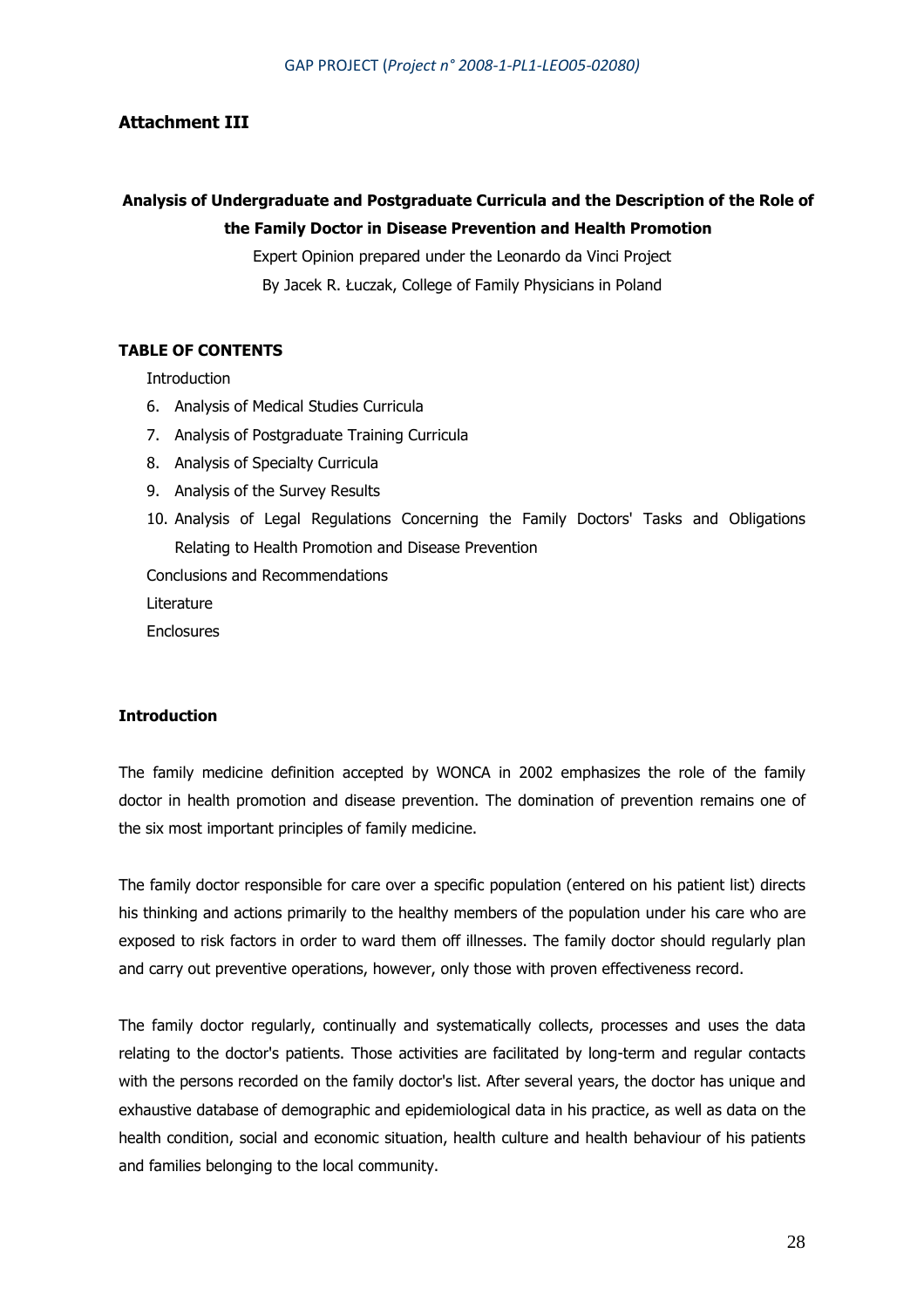## **Attachment III**

# **Analysis of Undergraduate and Postgraduate Curricula and the Description of the Role of the Family Doctor in Disease Prevention and Health Promotion**

Expert Opinion prepared under the Leonardo da Vinci Project By Jacek R. Łuczak, College of Family Physicians in Poland

## **TABLE OF CONTENTS**

**Introduction** 

- 6. Analysis of Medical Studies Curricula
- 7. Analysis of Postgraduate Training Curricula
- 8. Analysis of Specialty Curricula
- 9. Analysis of the Survey Results
- 10. Analysis of Legal Regulations Concerning the Family Doctors' Tasks and Obligations Relating to Health Promotion and Disease Prevention

Conclusions and Recommendations

Literature

**Enclosures** 

### **Introduction**

The family medicine definition accepted by WONCA in 2002 emphasizes the role of the family doctor in health promotion and disease prevention. The domination of prevention remains one of the six most important principles of family medicine.

The family doctor responsible for care over a specific population (entered on his patient list) directs his thinking and actions primarily to the healthy members of the population under his care who are exposed to risk factors in order to ward them off illnesses. The family doctor should regularly plan and carry out preventive operations, however, only those with proven effectiveness record.

The family doctor regularly, continually and systematically collects, processes and uses the data relating to the doctor's patients. Those activities are facilitated by long-term and regular contacts with the persons recorded on the family doctor's list. After several years, the doctor has unique and exhaustive database of demographic and epidemiological data in his practice, as well as data on the health condition, social and economic situation, health culture and health behaviour of his patients and families belonging to the local community.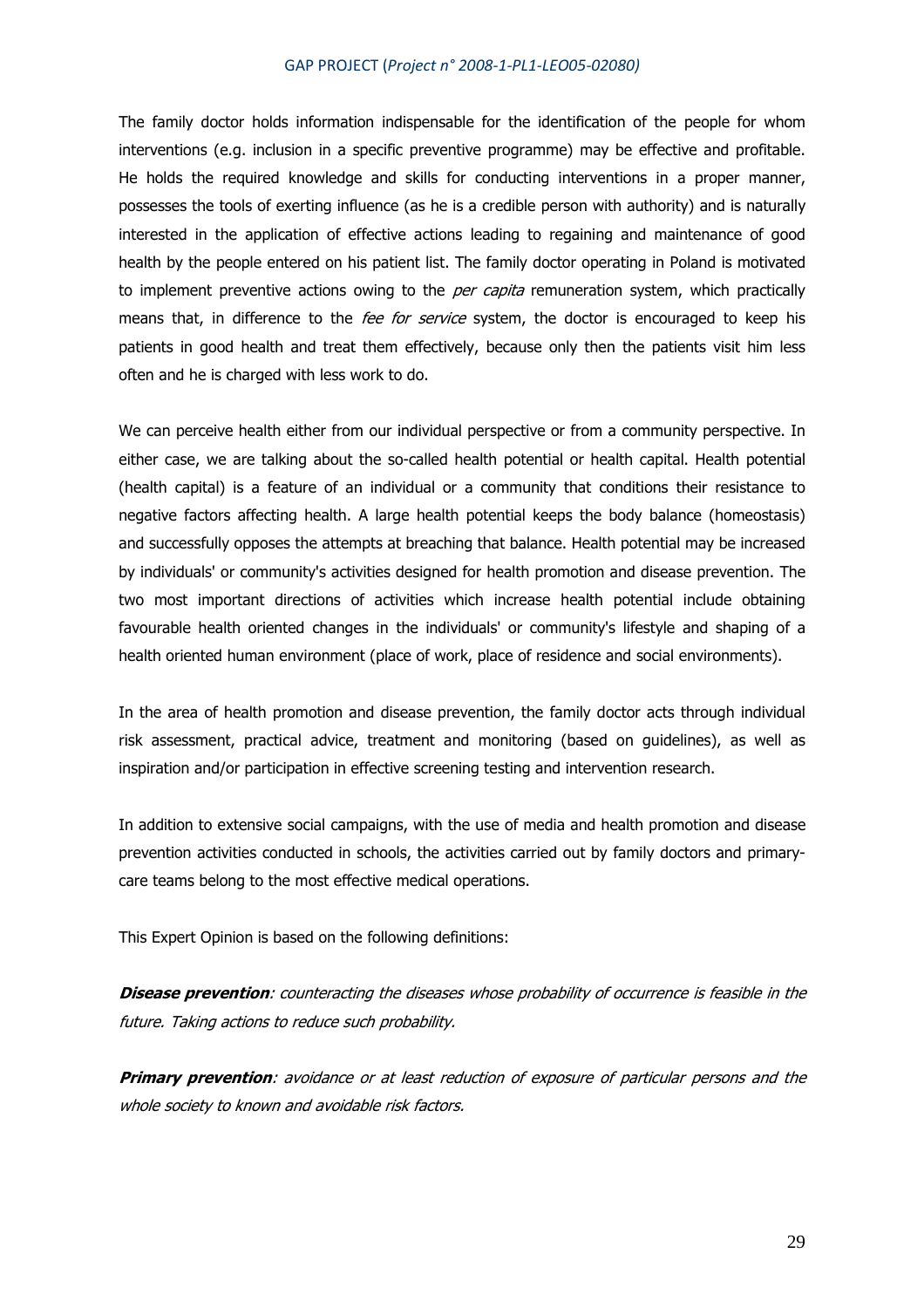The family doctor holds information indispensable for the identification of the people for whom interventions (e.g. inclusion in a specific preventive programme) may be effective and profitable. He holds the required knowledge and skills for conducting interventions in a proper manner, possesses the tools of exerting influence (as he is a credible person with authority) and is naturally interested in the application of effective actions leading to regaining and maintenance of good health by the people entered on his patient list. The family doctor operating in Poland is motivated to implement preventive actions owing to the *per capita* remuneration system, which practically means that, in difference to the *fee for service* system, the doctor is encouraged to keep his patients in good health and treat them effectively, because only then the patients visit him less often and he is charged with less work to do.

We can perceive health either from our individual perspective or from a community perspective. In either case, we are talking about the so-called health potential or health capital. Health potential (health capital) is a feature of an individual or a community that conditions their resistance to negative factors affecting health. A large health potential keeps the body balance (homeostasis) and successfully opposes the attempts at breaching that balance. Health potential may be increased by individuals' or community's activities designed for health promotion and disease prevention. The two most important directions of activities which increase health potential include obtaining favourable health oriented changes in the individuals' or community's lifestyle and shaping of a health oriented human environment (place of work, place of residence and social environments).

In the area of health promotion and disease prevention, the family doctor acts through individual risk assessment, practical advice, treatment and monitoring (based on guidelines), as well as inspiration and/or participation in effective screening testing and intervention research.

In addition to extensive social campaigns, with the use of media and health promotion and disease prevention activities conducted in schools, the activities carried out by family doctors and primarycare teams belong to the most effective medical operations.

This Expert Opinion is based on the following definitions:

**Disease prevention**: counteracting the diseases whose probability of occurrence is feasible in the future. Taking actions to reduce such probability.

**Primary prevention**: avoidance or at least reduction of exposure of particular persons and the whole society to known and avoidable risk factors.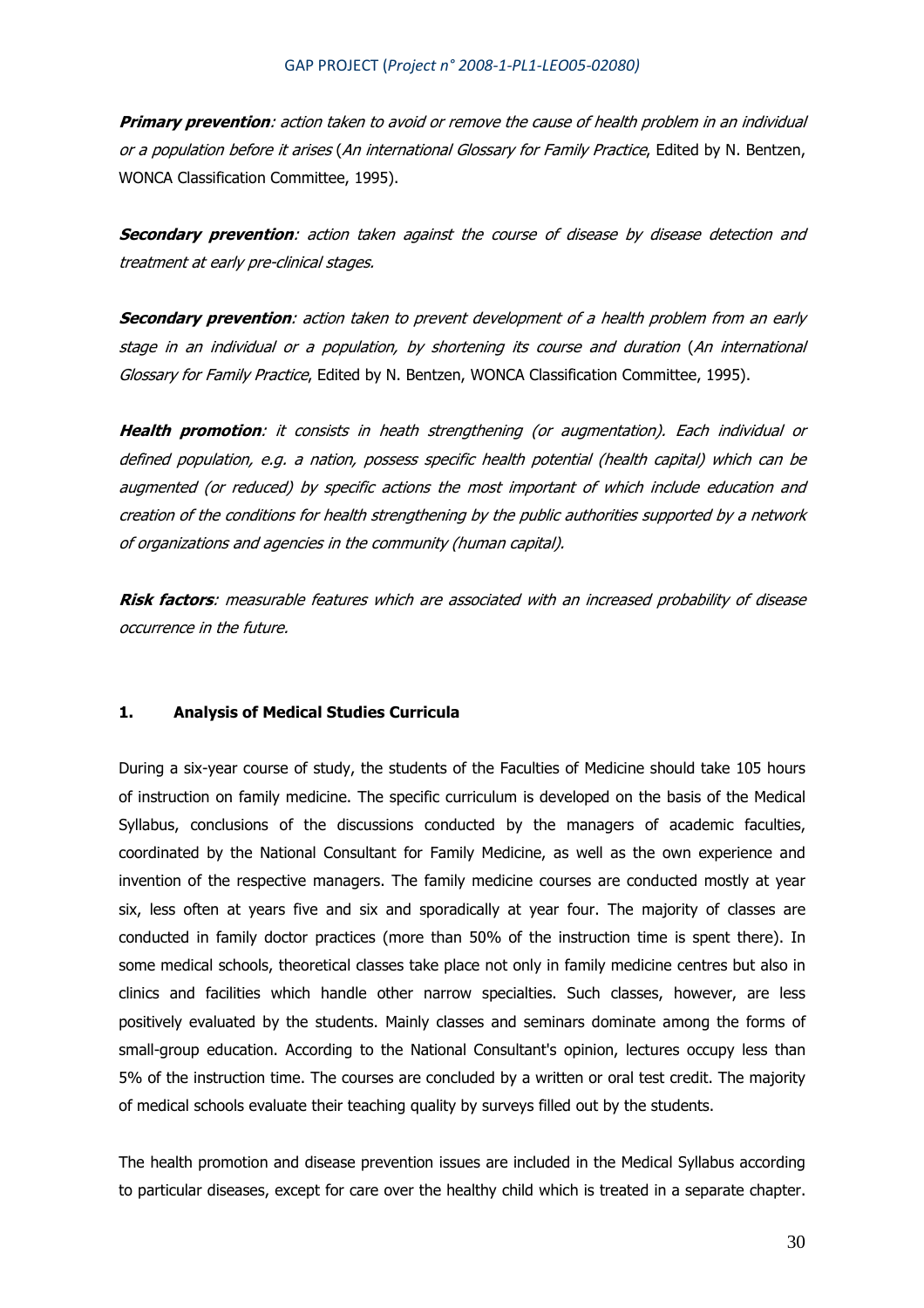**Primary prevention**: action taken to avoid or remove the cause of health problem in an individual or a population before it arises (An international Glossary for Family Practice, Edited by N. Bentzen, WONCA Classification Committee, 1995).

**Secondary prevention**: action taken against the course of disease by disease detection and treatment at early pre-clinical stages.

**Secondary prevention**: action taken to prevent development of a health problem from an early stage in an individual or a population, by shortening its course and duration (An international Glossary for Family Practice, Edited by N. Bentzen, WONCA Classification Committee, 1995).

**Health promotion**: it consists in heath strengthening (or augmentation). Each individual or defined population, e.g. a nation, possess specific health potential (health capital) which can be augmented (or reduced) by specific actions the most important of which include education and creation of the conditions for health strengthening by the public authorities supported by a network of organizations and agencies in the community (human capital).

**Risk factors**: measurable features which are associated with an increased probability of disease occurrence in the future.

## **1. Analysis of Medical Studies Curricula**

During a six-year course of study, the students of the Faculties of Medicine should take 105 hours of instruction on family medicine. The specific curriculum is developed on the basis of the Medical Syllabus, conclusions of the discussions conducted by the managers of academic faculties, coordinated by the National Consultant for Family Medicine, as well as the own experience and invention of the respective managers. The family medicine courses are conducted mostly at year six, less often at years five and six and sporadically at year four. The majority of classes are conducted in family doctor practices (more than 50% of the instruction time is spent there). In some medical schools, theoretical classes take place not only in family medicine centres but also in clinics and facilities which handle other narrow specialties. Such classes, however, are less positively evaluated by the students. Mainly classes and seminars dominate among the forms of small-group education. According to the National Consultant's opinion, lectures occupy less than 5% of the instruction time. The courses are concluded by a written or oral test credit. The majority of medical schools evaluate their teaching quality by surveys filled out by the students.

The health promotion and disease prevention issues are included in the Medical Syllabus according to particular diseases, except for care over the healthy child which is treated in a separate chapter.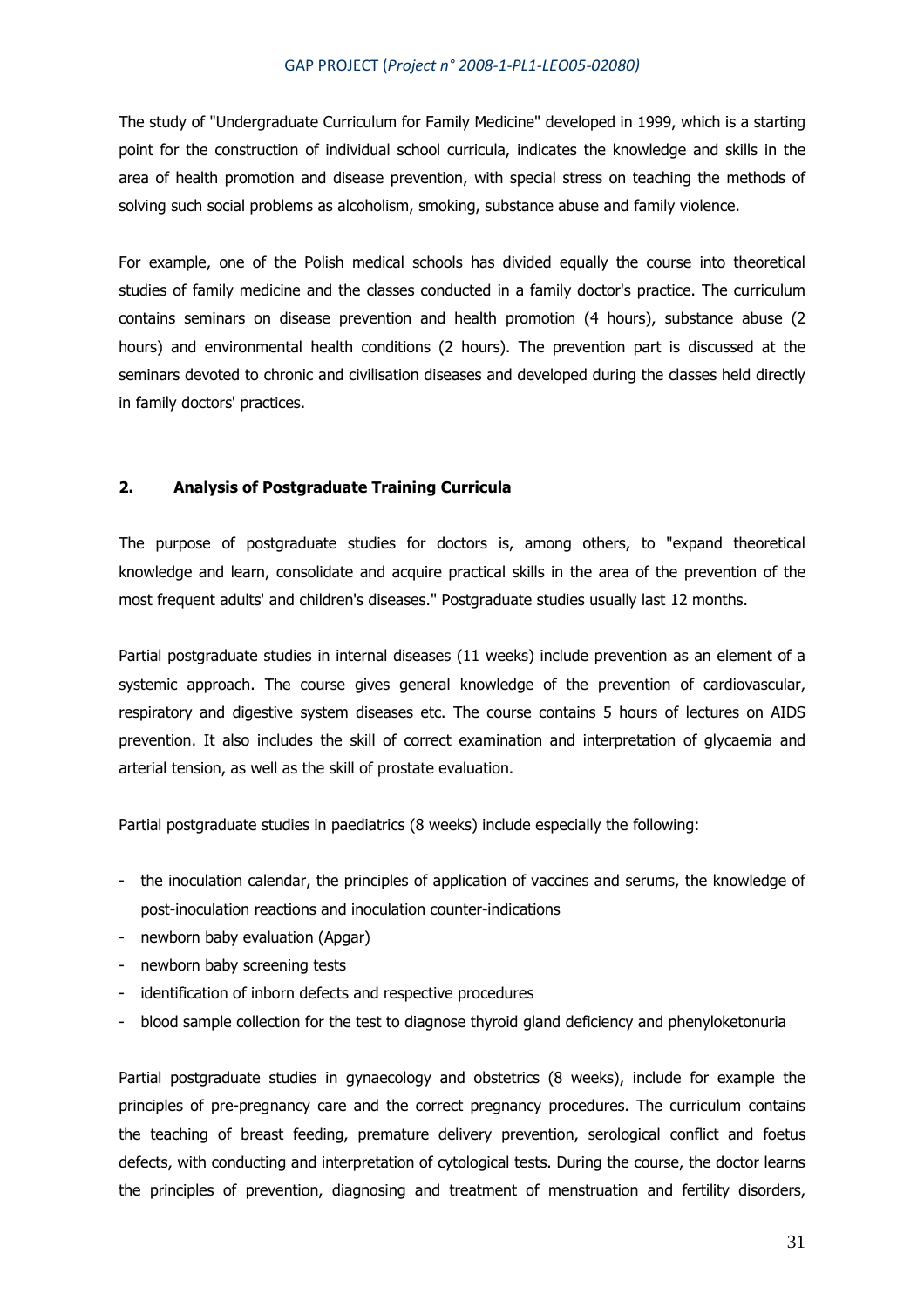The study of "Undergraduate Curriculum for Family Medicine" developed in 1999, which is a starting point for the construction of individual school curricula, indicates the knowledge and skills in the area of health promotion and disease prevention, with special stress on teaching the methods of solving such social problems as alcoholism, smoking, substance abuse and family violence.

For example, one of the Polish medical schools has divided equally the course into theoretical studies of family medicine and the classes conducted in a family doctor's practice. The curriculum contains seminars on disease prevention and health promotion (4 hours), substance abuse (2 hours) and environmental health conditions (2 hours). The prevention part is discussed at the seminars devoted to chronic and civilisation diseases and developed during the classes held directly in family doctors' practices.

## **2. Analysis of Postgraduate Training Curricula**

The purpose of postgraduate studies for doctors is, among others, to "expand theoretical knowledge and learn, consolidate and acquire practical skills in the area of the prevention of the most frequent adults' and children's diseases." Postgraduate studies usually last 12 months.

Partial postgraduate studies in internal diseases (11 weeks) include prevention as an element of a systemic approach. The course gives general knowledge of the prevention of cardiovascular, respiratory and digestive system diseases etc. The course contains 5 hours of lectures on AIDS prevention. It also includes the skill of correct examination and interpretation of glycaemia and arterial tension, as well as the skill of prostate evaluation.

Partial postgraduate studies in paediatrics (8 weeks) include especially the following:

- the inoculation calendar, the principles of application of vaccines and serums, the knowledge of post-inoculation reactions and inoculation counter-indications
- newborn baby evaluation (Apgar)
- newborn baby screening tests
- identification of inborn defects and respective procedures
- blood sample collection for the test to diagnose thyroid gland deficiency and phenyloketonuria

Partial postgraduate studies in gynaecology and obstetrics (8 weeks), include for example the principles of pre-pregnancy care and the correct pregnancy procedures. The curriculum contains the teaching of breast feeding, premature delivery prevention, serological conflict and foetus defects, with conducting and interpretation of cytological tests. During the course, the doctor learns the principles of prevention, diagnosing and treatment of menstruation and fertility disorders,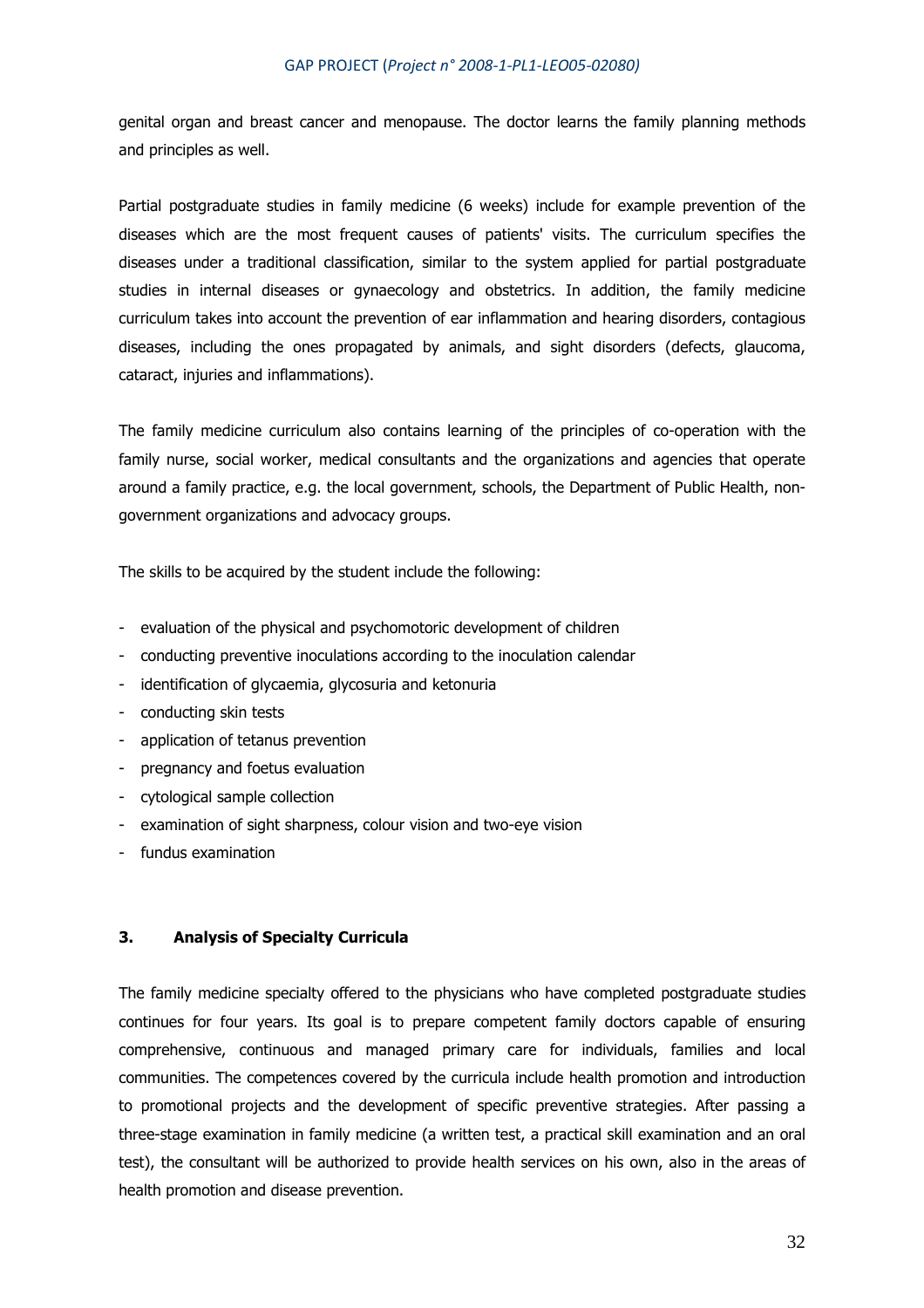genital organ and breast cancer and menopause. The doctor learns the family planning methods and principles as well.

Partial postgraduate studies in family medicine (6 weeks) include for example prevention of the diseases which are the most frequent causes of patients' visits. The curriculum specifies the diseases under a traditional classification, similar to the system applied for partial postgraduate studies in internal diseases or gynaecology and obstetrics. In addition, the family medicine curriculum takes into account the prevention of ear inflammation and hearing disorders, contagious diseases, including the ones propagated by animals, and sight disorders (defects, glaucoma, cataract, injuries and inflammations).

The family medicine curriculum also contains learning of the principles of co-operation with the family nurse, social worker, medical consultants and the organizations and agencies that operate around a family practice, e.g. the local government, schools, the Department of Public Health, nongovernment organizations and advocacy groups.

The skills to be acquired by the student include the following:

- evaluation of the physical and psychomotoric development of children
- conducting preventive inoculations according to the inoculation calendar
- identification of glycaemia, glycosuria and ketonuria
- conducting skin tests
- application of tetanus prevention
- pregnancy and foetus evaluation
- cytological sample collection
- examination of sight sharpness, colour vision and two-eye vision
- fundus examination

#### **3. Analysis of Specialty Curricula**

The family medicine specialty offered to the physicians who have completed postgraduate studies continues for four years. Its goal is to prepare competent family doctors capable of ensuring comprehensive, continuous and managed primary care for individuals, families and local communities. The competences covered by the curricula include health promotion and introduction to promotional projects and the development of specific preventive strategies. After passing a three-stage examination in family medicine (a written test, a practical skill examination and an oral test), the consultant will be authorized to provide health services on his own, also in the areas of health promotion and disease prevention.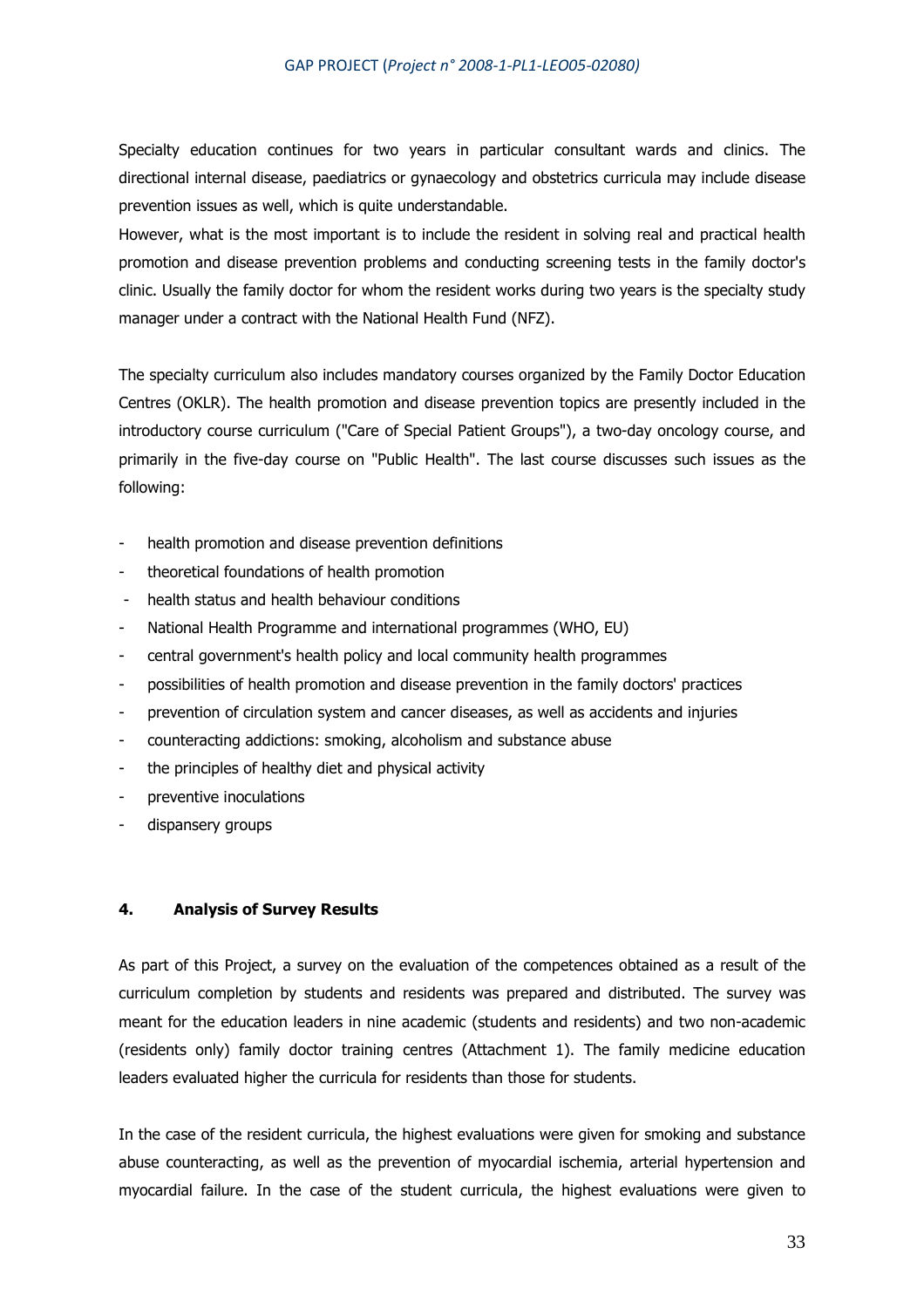Specialty education continues for two years in particular consultant wards and clinics. The directional internal disease, paediatrics or gynaecology and obstetrics curricula may include disease prevention issues as well, which is quite understandable.

However, what is the most important is to include the resident in solving real and practical health promotion and disease prevention problems and conducting screening tests in the family doctor's clinic. Usually the family doctor for whom the resident works during two years is the specialty study manager under a contract with the National Health Fund (NFZ).

The specialty curriculum also includes mandatory courses organized by the Family Doctor Education Centres (OKLR). The health promotion and disease prevention topics are presently included in the introductory course curriculum ("Care of Special Patient Groups"), a two-day oncology course, and primarily in the five-day course on "Public Health". The last course discusses such issues as the following:

- health promotion and disease prevention definitions
- theoretical foundations of health promotion
- health status and health behaviour conditions
- National Health Programme and international programmes (WHO, EU)
- central government's health policy and local community health programmes
- possibilities of health promotion and disease prevention in the family doctors' practices
- prevention of circulation system and cancer diseases, as well as accidents and injuries
- counteracting addictions: smoking, alcoholism and substance abuse
- the principles of healthy diet and physical activity
- preventive inoculations
- dispansery groups

### **4. Analysis of Survey Results**

As part of this Project, a survey on the evaluation of the competences obtained as a result of the curriculum completion by students and residents was prepared and distributed. The survey was meant for the education leaders in nine academic (students and residents) and two non-academic (residents only) family doctor training centres (Attachment 1). The family medicine education leaders evaluated higher the curricula for residents than those for students.

In the case of the resident curricula, the highest evaluations were given for smoking and substance abuse counteracting, as well as the prevention of myocardial ischemia, arterial hypertension and myocardial failure. In the case of the student curricula, the highest evaluations were given to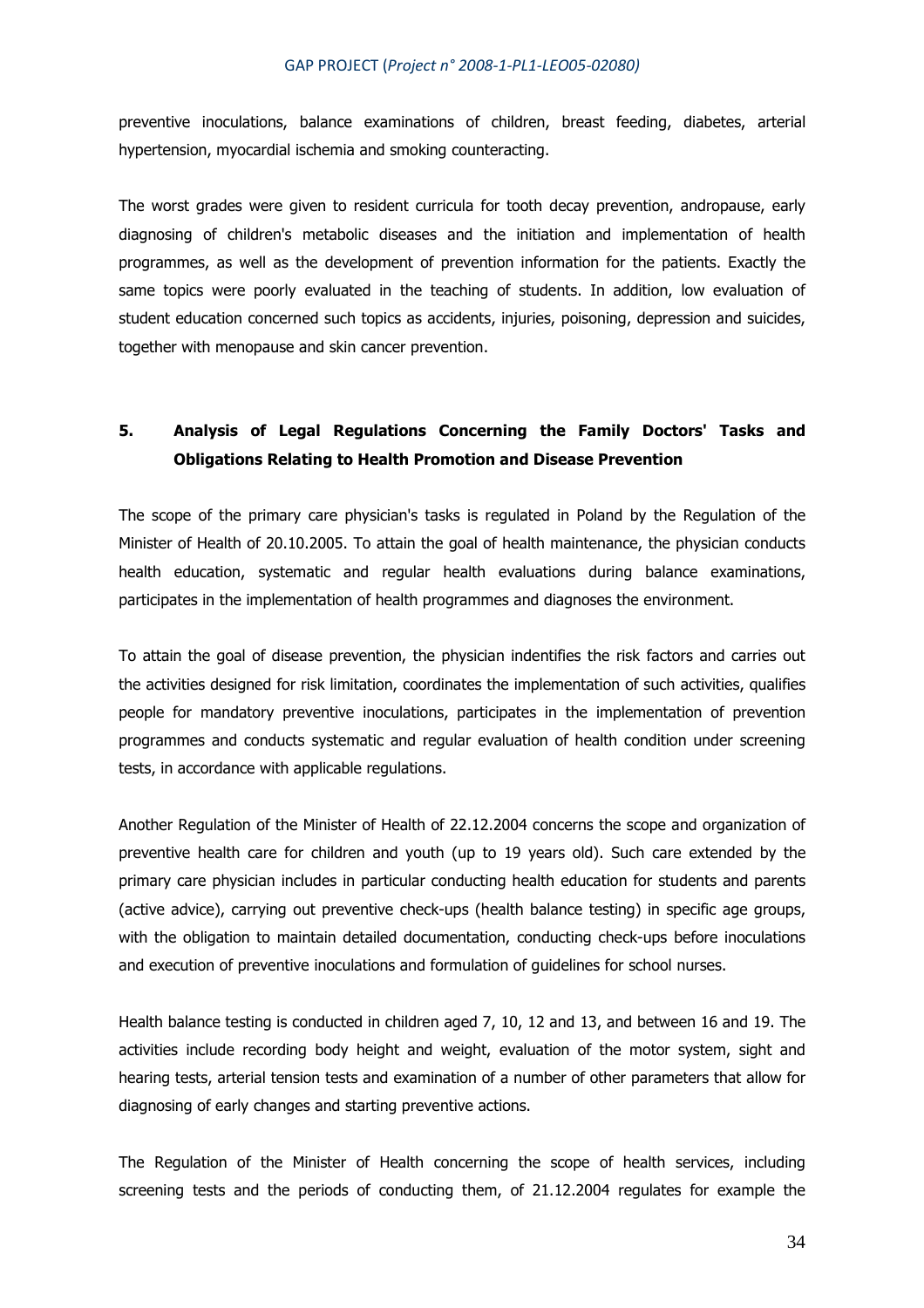preventive inoculations, balance examinations of children, breast feeding, diabetes, arterial hypertension, myocardial ischemia and smoking counteracting.

The worst grades were given to resident curricula for tooth decay prevention, andropause, early diagnosing of children's metabolic diseases and the initiation and implementation of health programmes, as well as the development of prevention information for the patients. Exactly the same topics were poorly evaluated in the teaching of students. In addition, low evaluation of student education concerned such topics as accidents, injuries, poisoning, depression and suicides, together with menopause and skin cancer prevention.

# **5. Analysis of Legal Regulations Concerning the Family Doctors' Tasks and Obligations Relating to Health Promotion and Disease Prevention**

The scope of the primary care physician's tasks is regulated in Poland by the Regulation of the Minister of Health of 20.10.2005. To attain the goal of health maintenance, the physician conducts health education, systematic and regular health evaluations during balance examinations, participates in the implementation of health programmes and diagnoses the environment.

To attain the goal of disease prevention, the physician indentifies the risk factors and carries out the activities designed for risk limitation, coordinates the implementation of such activities, qualifies people for mandatory preventive inoculations, participates in the implementation of prevention programmes and conducts systematic and regular evaluation of health condition under screening tests, in accordance with applicable regulations.

Another Regulation of the Minister of Health of 22.12.2004 concerns the scope and organization of preventive health care for children and youth (up to 19 years old). Such care extended by the primary care physician includes in particular conducting health education for students and parents (active advice), carrying out preventive check-ups (health balance testing) in specific age groups, with the obligation to maintain detailed documentation, conducting check-ups before inoculations and execution of preventive inoculations and formulation of guidelines for school nurses.

Health balance testing is conducted in children aged 7, 10, 12 and 13, and between 16 and 19. The activities include recording body height and weight, evaluation of the motor system, sight and hearing tests, arterial tension tests and examination of a number of other parameters that allow for diagnosing of early changes and starting preventive actions.

The Regulation of the Minister of Health concerning the scope of health services, including screening tests and the periods of conducting them, of 21.12.2004 regulates for example the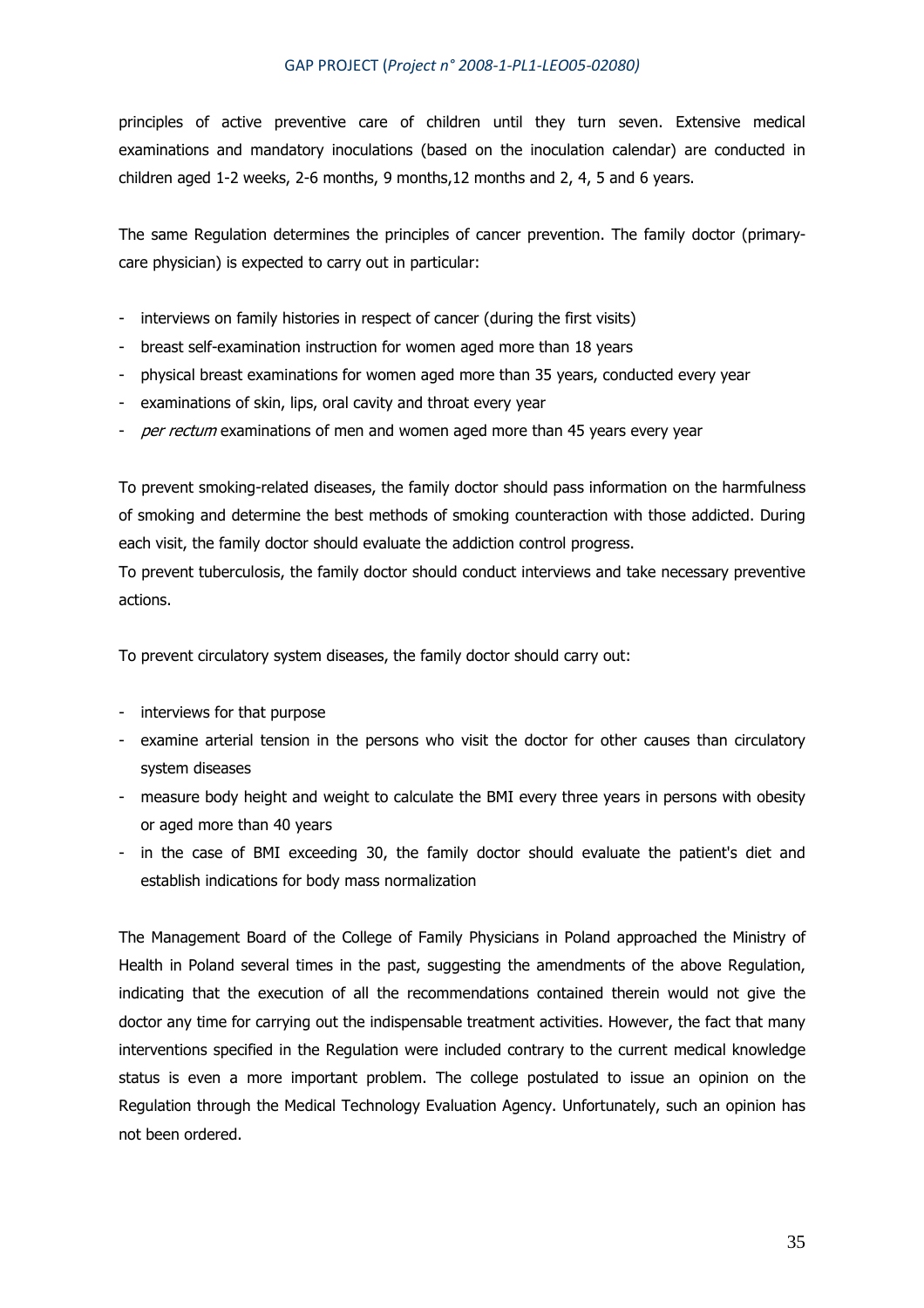principles of active preventive care of children until they turn seven. Extensive medical examinations and mandatory inoculations (based on the inoculation calendar) are conducted in children aged 1-2 weeks, 2-6 months, 9 months,12 months and 2, 4, 5 and 6 years.

The same Regulation determines the principles of cancer prevention. The family doctor (primarycare physician) is expected to carry out in particular:

- interviews on family histories in respect of cancer (during the first visits)
- breast self-examination instruction for women aged more than 18 years
- physical breast examinations for women aged more than 35 years, conducted every year
- examinations of skin, lips, oral cavity and throat every year
- per rectum examinations of men and women aged more than 45 years every year

To prevent smoking-related diseases, the family doctor should pass information on the harmfulness of smoking and determine the best methods of smoking counteraction with those addicted. During each visit, the family doctor should evaluate the addiction control progress.

To prevent tuberculosis, the family doctor should conduct interviews and take necessary preventive actions.

To prevent circulatory system diseases, the family doctor should carry out:

- interviews for that purpose
- examine arterial tension in the persons who visit the doctor for other causes than circulatory system diseases
- measure body height and weight to calculate the BMI every three years in persons with obesity or aged more than 40 years
- in the case of BMI exceeding 30, the family doctor should evaluate the patient's diet and establish indications for body mass normalization

The Management Board of the College of Family Physicians in Poland approached the Ministry of Health in Poland several times in the past, suggesting the amendments of the above Regulation, indicating that the execution of all the recommendations contained therein would not give the doctor any time for carrying out the indispensable treatment activities. However, the fact that many interventions specified in the Regulation were included contrary to the current medical knowledge status is even a more important problem. The college postulated to issue an opinion on the Regulation through the Medical Technology Evaluation Agency. Unfortunately, such an opinion has not been ordered.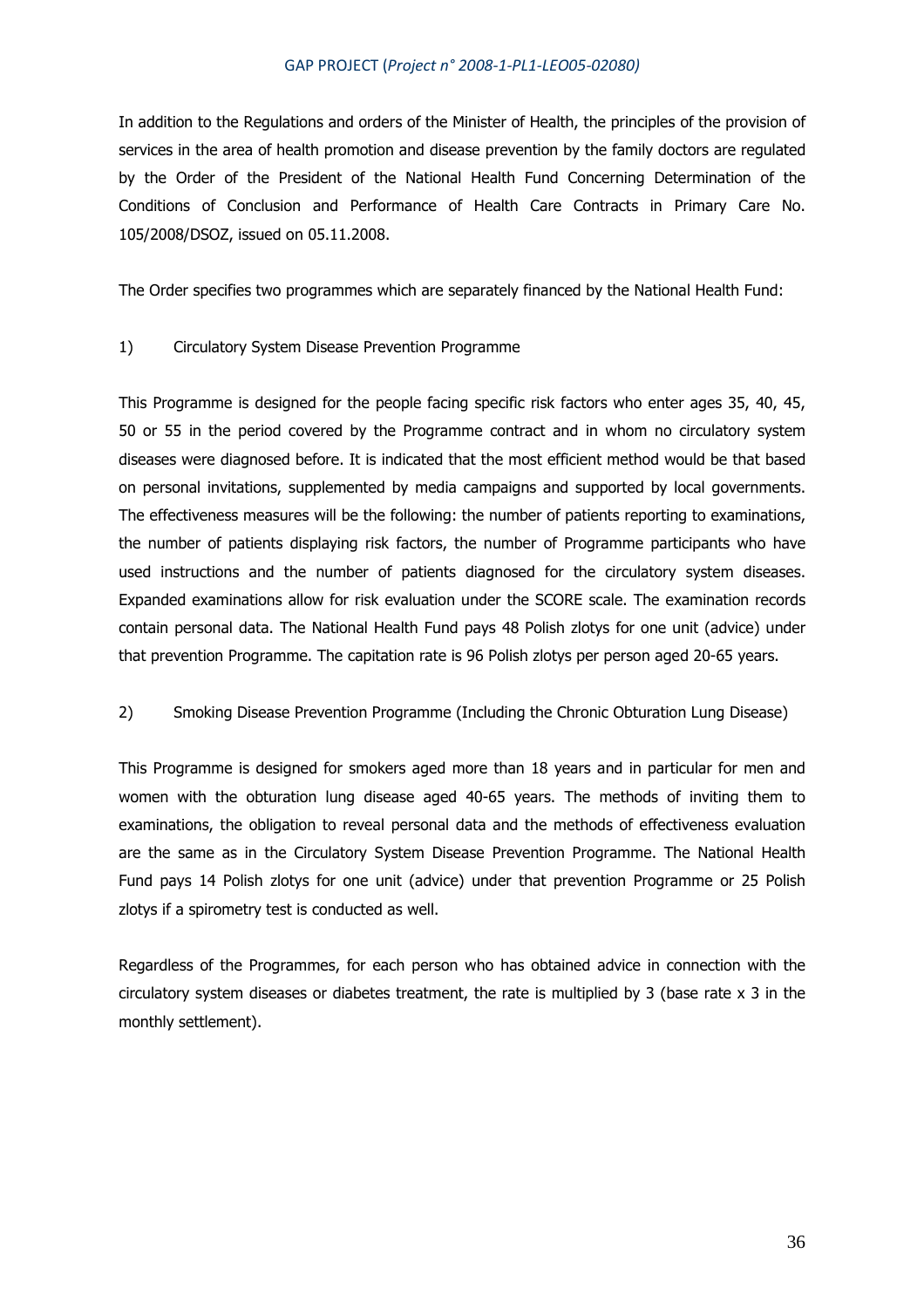In addition to the Regulations and orders of the Minister of Health, the principles of the provision of services in the area of health promotion and disease prevention by the family doctors are regulated by the Order of the President of the National Health Fund Concerning Determination of the Conditions of Conclusion and Performance of Health Care Contracts in Primary Care No. 105/2008/DSOZ, issued on 05.11.2008.

The Order specifies two programmes which are separately financed by the National Health Fund:

## 1) Circulatory System Disease Prevention Programme

This Programme is designed for the people facing specific risk factors who enter ages 35, 40, 45, 50 or 55 in the period covered by the Programme contract and in whom no circulatory system diseases were diagnosed before. It is indicated that the most efficient method would be that based on personal invitations, supplemented by media campaigns and supported by local governments. The effectiveness measures will be the following: the number of patients reporting to examinations, the number of patients displaying risk factors, the number of Programme participants who have used instructions and the number of patients diagnosed for the circulatory system diseases. Expanded examinations allow for risk evaluation under the SCORE scale. The examination records contain personal data. The National Health Fund pays 48 Polish zlotys for one unit (advice) under that prevention Programme. The capitation rate is 96 Polish zlotys per person aged 20-65 years.

## 2) Smoking Disease Prevention Programme (Including the Chronic Obturation Lung Disease)

This Programme is designed for smokers aged more than 18 years and in particular for men and women with the obturation lung disease aged 40-65 years. The methods of inviting them to examinations, the obligation to reveal personal data and the methods of effectiveness evaluation are the same as in the Circulatory System Disease Prevention Programme. The National Health Fund pays 14 Polish zlotys for one unit (advice) under that prevention Programme or 25 Polish zlotys if a spirometry test is conducted as well.

Regardless of the Programmes, for each person who has obtained advice in connection with the circulatory system diseases or diabetes treatment, the rate is multiplied by 3 (base rate x 3 in the monthly settlement).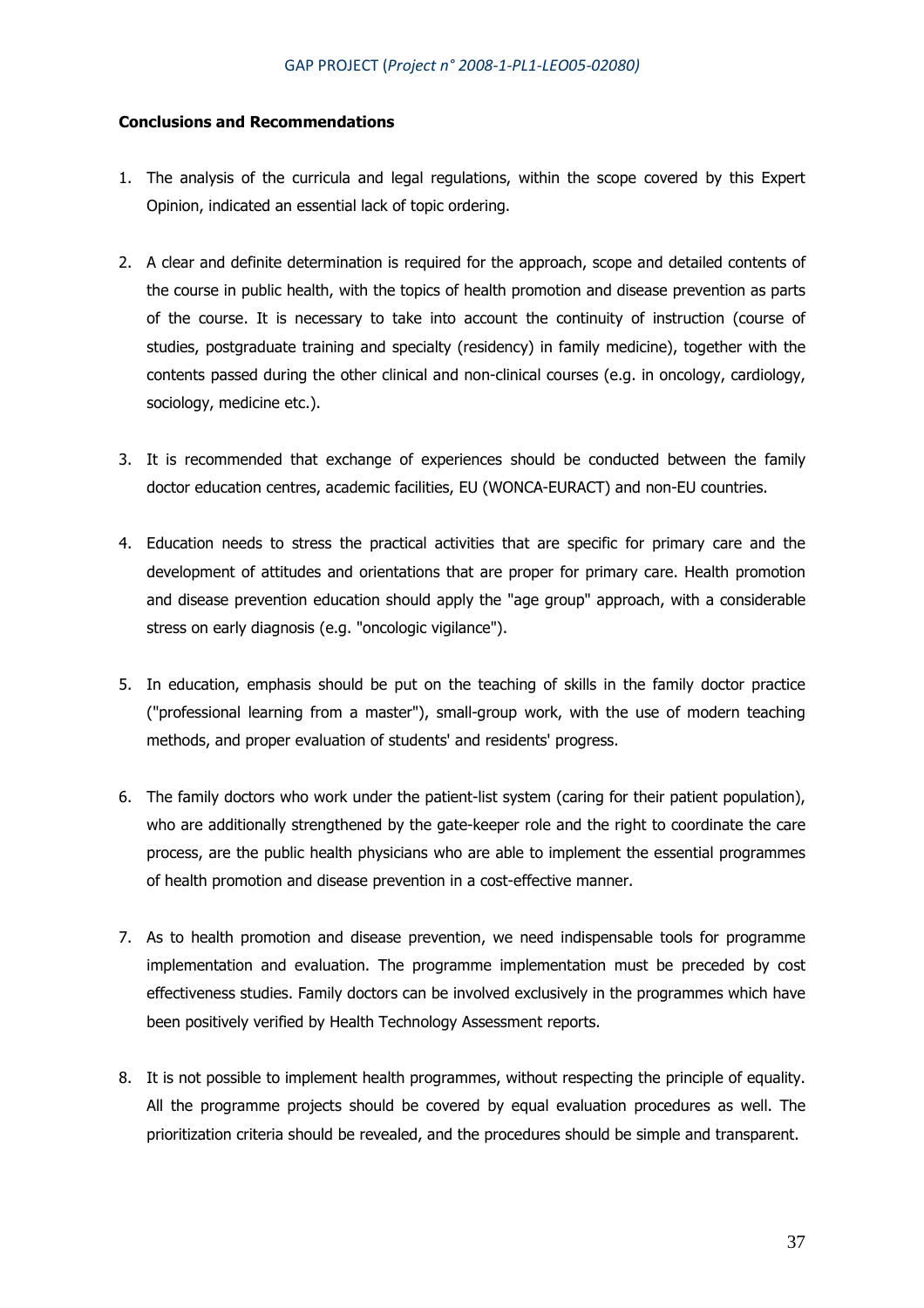### **Conclusions and Recommendations**

- 1. The analysis of the curricula and legal regulations, within the scope covered by this Expert Opinion, indicated an essential lack of topic ordering.
- 2. A clear and definite determination is required for the approach, scope and detailed contents of the course in public health, with the topics of health promotion and disease prevention as parts of the course. It is necessary to take into account the continuity of instruction (course of studies, postgraduate training and specialty (residency) in family medicine), together with the contents passed during the other clinical and non-clinical courses (e.g. in oncology, cardiology, sociology, medicine etc.).
- 3. It is recommended that exchange of experiences should be conducted between the family doctor education centres, academic facilities, EU (WONCA-EURACT) and non-EU countries.
- 4. Education needs to stress the practical activities that are specific for primary care and the development of attitudes and orientations that are proper for primary care. Health promotion and disease prevention education should apply the "age group" approach, with a considerable stress on early diagnosis (e.g. "oncologic vigilance").
- 5. In education, emphasis should be put on the teaching of skills in the family doctor practice ("professional learning from a master"), small-group work, with the use of modern teaching methods, and proper evaluation of students' and residents' progress.
- 6. The family doctors who work under the patient-list system (caring for their patient population), who are additionally strengthened by the gate-keeper role and the right to coordinate the care process, are the public health physicians who are able to implement the essential programmes of health promotion and disease prevention in a cost-effective manner.
- 7. As to health promotion and disease prevention, we need indispensable tools for programme implementation and evaluation. The programme implementation must be preceded by cost effectiveness studies. Family doctors can be involved exclusively in the programmes which have been positively verified by Health Technology Assessment reports.
- 8. It is not possible to implement health programmes, without respecting the principle of equality. All the programme projects should be covered by equal evaluation procedures as well. The prioritization criteria should be revealed, and the procedures should be simple and transparent.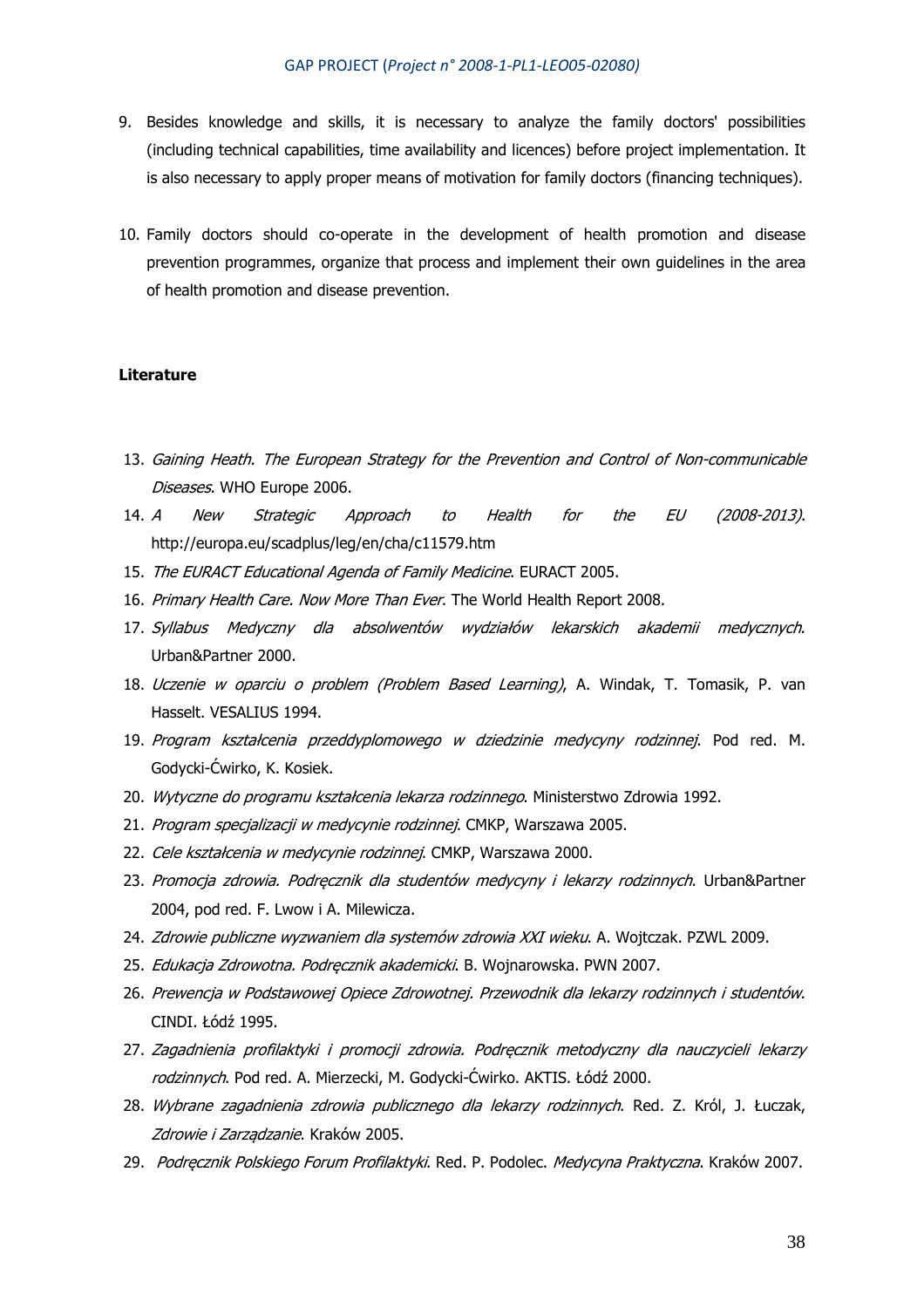- 9. Besides knowledge and skills, it is necessary to analyze the family doctors' possibilities (including technical capabilities, time availability and licences) before project implementation. It is also necessary to apply proper means of motivation for family doctors (financing techniques).
- 10. Family doctors should co-operate in the development of health promotion and disease prevention programmes, organize that process and implement their own guidelines in the area of health promotion and disease prevention.

### **Literature**

- 13. Gaining Heath. The European Strategy for the Prevention and Control of Non-communicable Diseases. WHO Europe 2006.
- 14. A New Strategic Approach to Health for the EU (2008-2013). http://europa.eu/scadplus/leg/en/cha/c11579.htm
- 15. The EURACT Educational Agenda of Family Medicine. EURACT 2005.
- 16. Primary Health Care. Now More Than Ever. The World Health Report 2008.
- 17. Syllabus Medyczny dla absolwentów wydziałów lekarskich akademii medycznych. Urban&Partner 2000.
- 18. Uczenie w oparciu o problem (Problem Based Learning), A. Windak, T. Tomasik, P. van Hasselt. VESALIUS 1994.
- 19. Program kształcenia przeddyplomowego w dziedzinie medycyny rodzinnej. Pod red. M. Godycki-Ćwirko, K. Kosiek.
- 20. Wytyczne do programu kształcenia lekarza rodzinnego. Ministerstwo Zdrowia 1992.
- 21. Program specjalizacji w medycynie rodzinnej. CMKP, Warszawa 2005.
- 22. Cele kształcenia w medycynie rodzinnej. CMKP, Warszawa 2000.
- 23. Promocja zdrowia. Podrecznik dla studentów medycyny i lekarzy rodzinnych. Urban&Partner 2004, pod red. F. Lwow i A. Milewicza.
- 24. Zdrowie publiczne wyzwaniem dla systemów zdrowia XXI wieku. A. Wojtczak. PZWL 2009.
- 25. Edukacja Zdrowotna. Podręcznik akademicki. B. Wojnarowska. PWN 2007.
- 26. Prewencja w Podstawowej Opiece Zdrowotnej. Przewodnik dla lekarzy rodzinnych i studentów. CINDI. Łódź 1995.
- 27. Zagadnienia profilaktyki i promocji zdrowia. Podręcznik metodyczny dla nauczycieli lekarzy rodzinnych. Pod red. A. Mierzecki, M. Godycki-Ćwirko. AKTIS. Łódź 2000.
- 28. Wybrane zagadnienia zdrowia publicznego dla lekarzy rodzinnych. Red. Z. Król, J. Łuczak, Zdrowie i Zarządzanie. Kraków 2005.
- 29. Podręcznik Polskiego Forum Profilaktyki. Red. P. Podolec. Medycyna Praktyczna. Kraków 2007.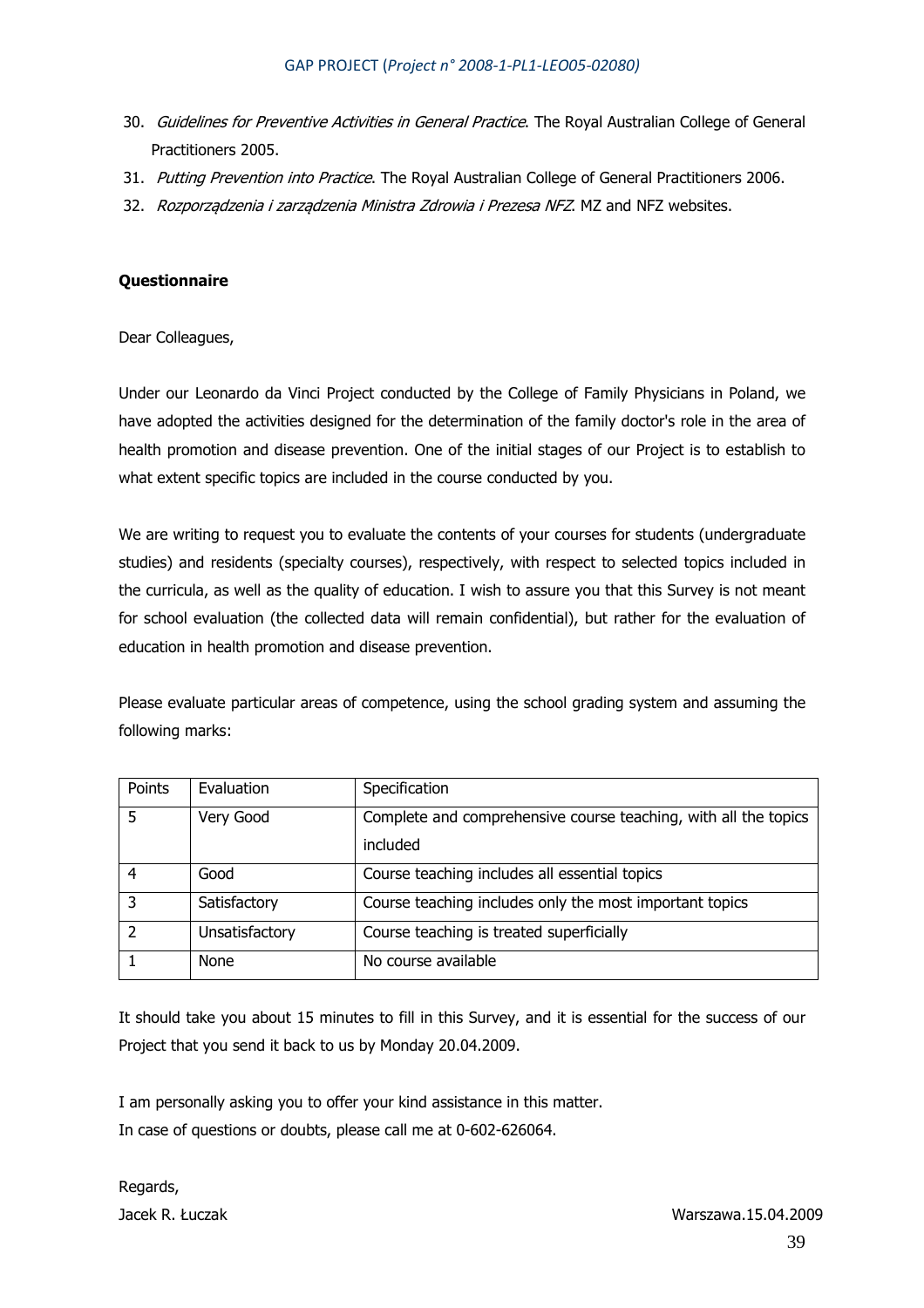- 30. Guidelines for Preventive Activities in General Practice. The Royal Australian College of General Practitioners 2005.
- 31. Putting Prevention into Practice. The Royal Australian College of General Practitioners 2006.
- 32. Rozporządzenia i zarządzenia Ministra Zdrowia i Prezesa NFZ. MZ and NFZ websites.

## **Questionnaire**

Dear Colleagues,

Under our Leonardo da Vinci Project conducted by the College of Family Physicians in Poland, we have adopted the activities designed for the determination of the family doctor's role in the area of health promotion and disease prevention. One of the initial stages of our Project is to establish to what extent specific topics are included in the course conducted by you.

We are writing to request you to evaluate the contents of your courses for students (undergraduate studies) and residents (specialty courses), respectively, with respect to selected topics included in the curricula, as well as the quality of education. I wish to assure you that this Survey is not meant for school evaluation (the collected data will remain confidential), but rather for the evaluation of education in health promotion and disease prevention.

Please evaluate particular areas of competence, using the school grading system and assuming the following marks:

| Points | Evaluation     | Specification                                                   |
|--------|----------------|-----------------------------------------------------------------|
| 5      | Very Good      | Complete and comprehensive course teaching, with all the topics |
|        |                | included                                                        |
| 4      | Good           | Course teaching includes all essential topics                   |
| 3      | Satisfactory   | Course teaching includes only the most important topics         |
| 2      | Unsatisfactory | Course teaching is treated superficially                        |
|        | None           | No course available                                             |

It should take you about 15 minutes to fill in this Survey, and it is essential for the success of our Project that you send it back to us by Monday 20.04.2009.

I am personally asking you to offer your kind assistance in this matter. In case of questions or doubts, please call me at 0-602-626064.

Regards,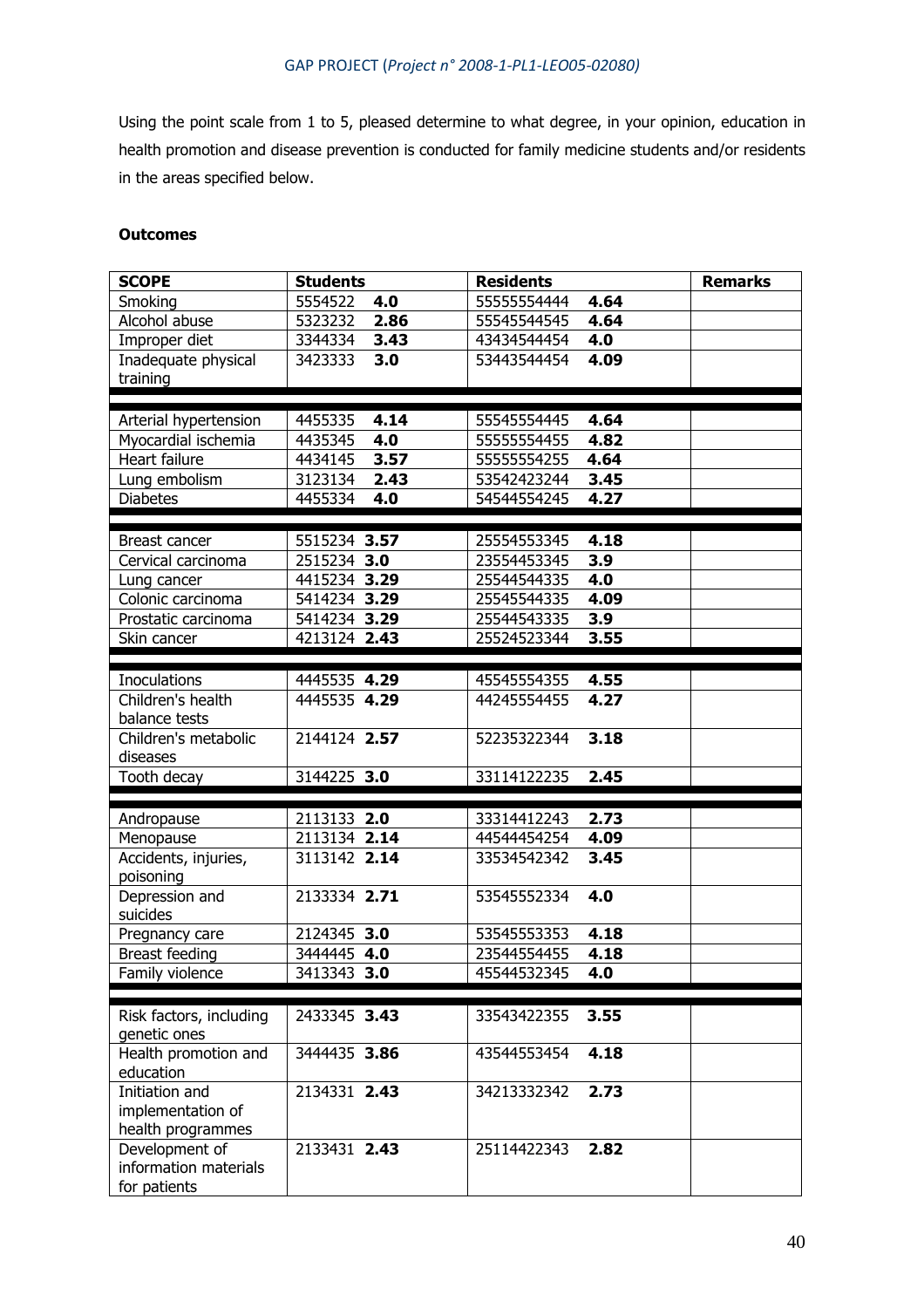Using the point scale from 1 to 5, pleased determine to what degree, in your opinion, education in health promotion and disease prevention is conducted for family medicine students and/or residents in the areas specified below.

## **Outcomes**

| <b>SCOPE</b>               | <b>Students</b> | <b>Residents</b>                   | <b>Remarks</b> |  |
|----------------------------|-----------------|------------------------------------|----------------|--|
| Smoking                    | 5554522<br>4.0  | 55555554444<br>4.64                |                |  |
| Alcohol abuse              | 5323232<br>2.86 | 4.64<br>55545544545                |                |  |
| Improper diet              | 3.43<br>3344334 | 43434544454<br>4.0                 |                |  |
| Inadequate physical        | 3423333<br>3.0  | 53443544454<br>4.09                |                |  |
| training                   |                 |                                    |                |  |
|                            |                 |                                    |                |  |
| Arterial hypertension      | 4455335<br>4.14 | 4.64<br>55545554445                |                |  |
| Myocardial ischemia        | 4435345<br>4.0  | 55555554455<br>4.82                |                |  |
| Heart failure              | 4434145<br>3.57 | 55555554255<br>4.64                |                |  |
| Lung embolism              | 3123134<br>2.43 | 3.45<br>53542423244                |                |  |
| <b>Diabetes</b>            | 4455334<br>4.0  | 4.27<br>54544554245                |                |  |
|                            |                 |                                    |                |  |
| Breast cancer              | 5515234 3.57    | 25554553345<br>4.18                |                |  |
| Cervical carcinoma         | 2515234 3.0     | 23554453345<br>3.9                 |                |  |
| Lung cancer                | 4415234 3.29    | 4.0<br>25544544335                 |                |  |
| Colonic carcinoma          | 5414234 3.29    | 4.09<br>25545544335                |                |  |
| Prostatic carcinoma        | 5414234 3.29    | 3.9<br>25544543335                 |                |  |
| Skin cancer                | 4213124 2.43    | 3.55<br>25524523344                |                |  |
|                            |                 |                                    |                |  |
| <b>Inoculations</b>        | 4445535 4.29    | 45545554355<br>4.55                |                |  |
| Children's health          | 4445535 4.29    | 4.27<br>44245554455                |                |  |
| balance tests              |                 |                                    |                |  |
| Children's metabolic       | 2144124 2.57    | 52235322344<br>3.18                |                |  |
| diseases                   |                 |                                    |                |  |
| Tooth decay                | 3144225 3.0     | 33114122235<br>2.45                |                |  |
|                            |                 |                                    |                |  |
|                            |                 |                                    |                |  |
| Andropause                 | 2113133 2.0     | 2.73<br>33314412243                |                |  |
| Menopause                  | 2113134 2.14    | 44544454254<br>4.09                |                |  |
| Accidents, injuries,       | 3113142 2.14    | 33534542342<br>3.45                |                |  |
| poisoning                  | 2133334 2.71    | 4.0                                |                |  |
| Depression and<br>suicides |                 | 53545552334                        |                |  |
|                            | 2124345 3.0     |                                    |                |  |
| Pregnancy care             | 3444445 4.0     | 53545553353<br>4.18<br>23544554455 |                |  |
| <b>Breast feeding</b>      |                 | 4.18<br>4.0                        |                |  |
| Family violence            | 3413343 3.0     | 45544532345                        |                |  |
|                            |                 |                                    |                |  |
| Risk factors, including    | 2433345 3.43    | 33543422355<br>3.55                |                |  |
| genetic ones               |                 |                                    |                |  |
| Health promotion and       | 3444435 3.86    | 4.18<br>43544553454                |                |  |
| education                  |                 |                                    |                |  |
| Initiation and             | 2134331 2.43    | 34213332342<br>2.73                |                |  |
| implementation of          |                 |                                    |                |  |
| health programmes          |                 |                                    |                |  |
| Development of             | 2133431 2.43    | 25114422343<br>2.82                |                |  |
| information materials      |                 |                                    |                |  |
| for patients               |                 |                                    |                |  |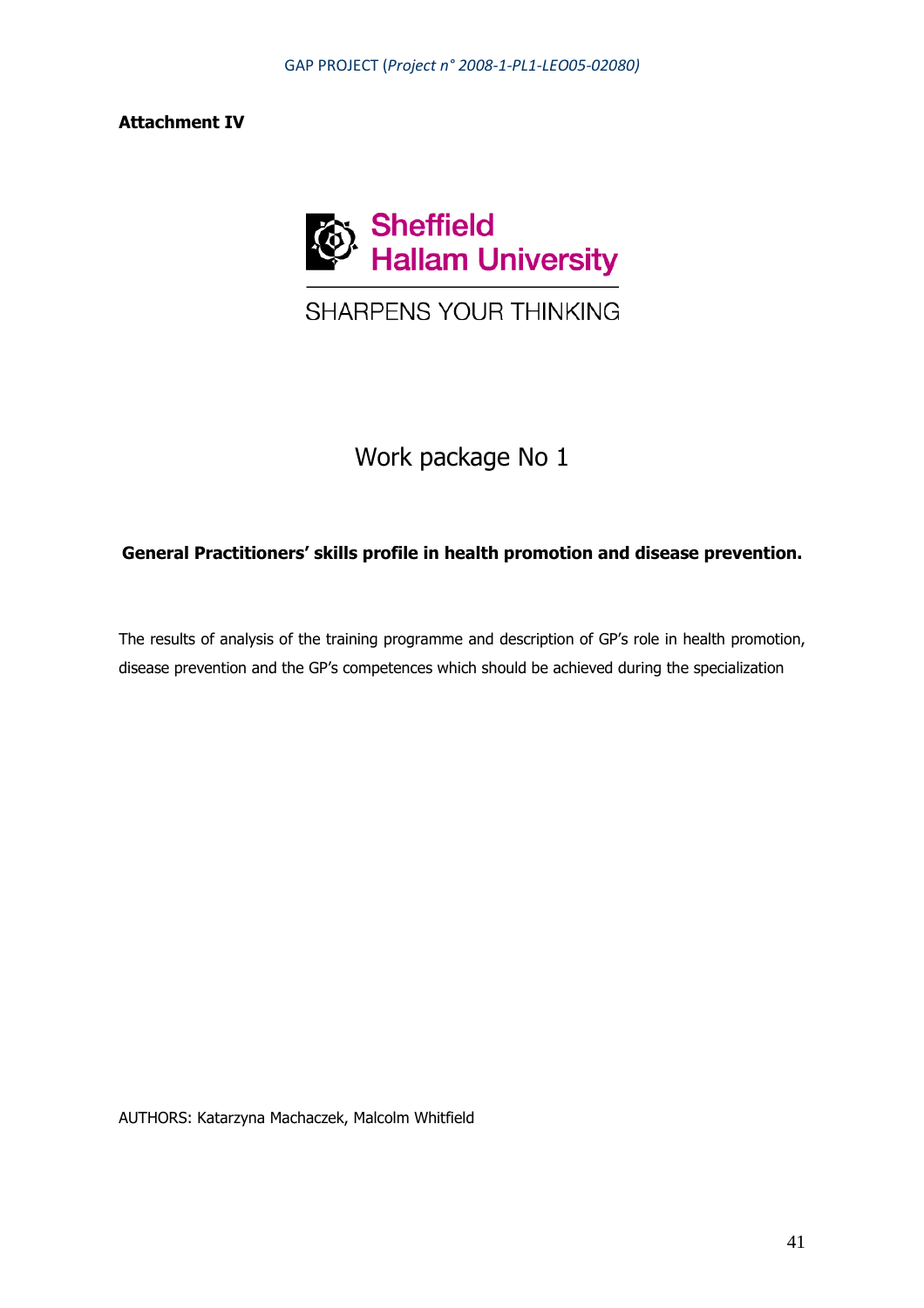## **Attachment IV**



# SHARPENS YOUR THINKING

# Work package No 1

## **General Practitioners' skills profile in health promotion and disease prevention.**

The results of analysis of the training programme and description of GP's role in health promotion, disease prevention and the GP's competences which should be achieved during the specialization

AUTHORS: Katarzyna Machaczek, Malcolm Whitfield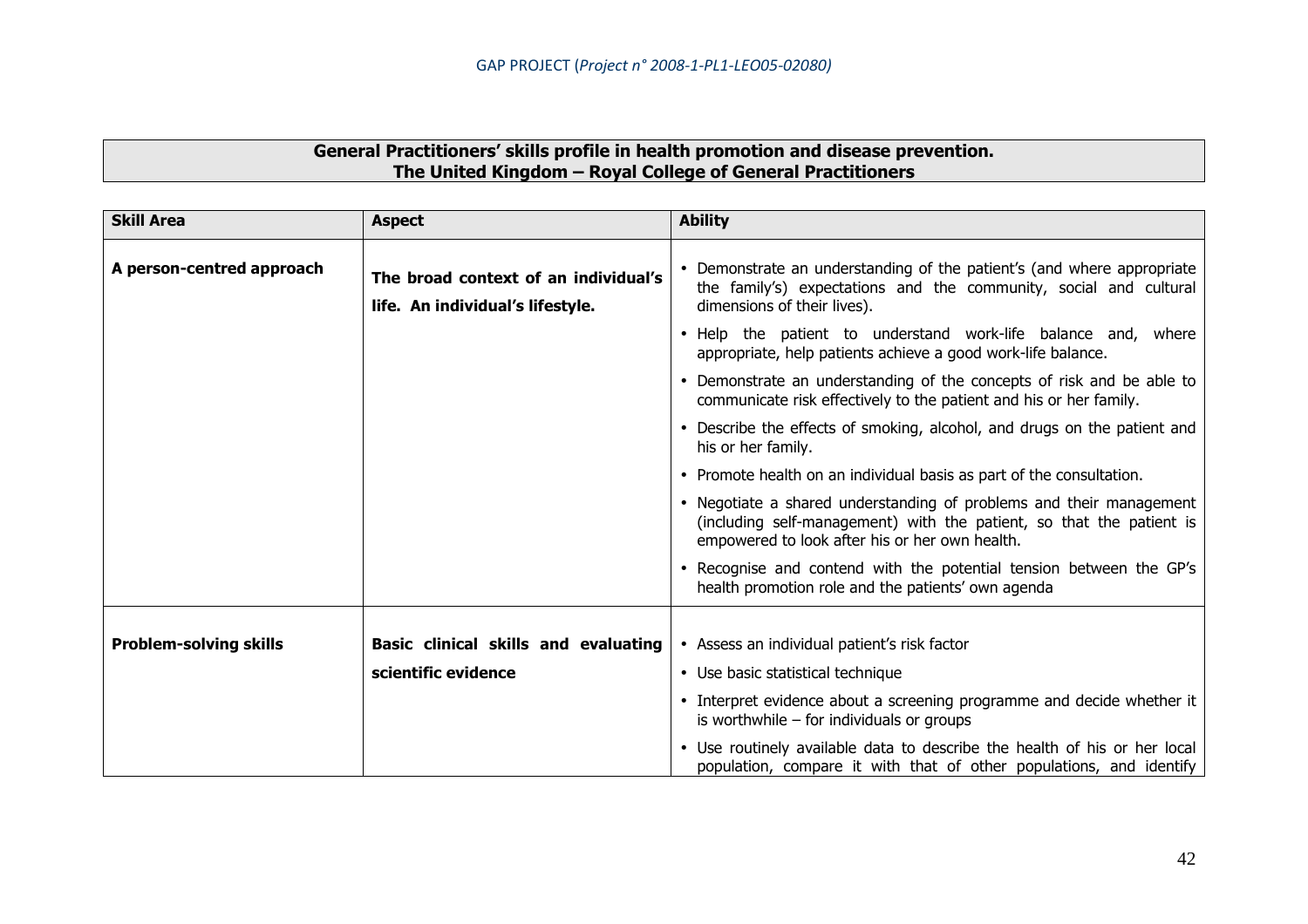| General Practitioners' skills profile in health promotion and disease prevention. |
|-----------------------------------------------------------------------------------|
| The United Kingdom - Royal College of General Practitioners                       |

| <b>Skill Area</b>             | <b>Aspect</b>                                                            | <b>Ability</b>                                                                                                                                                                                |
|-------------------------------|--------------------------------------------------------------------------|-----------------------------------------------------------------------------------------------------------------------------------------------------------------------------------------------|
| A person-centred approach     | The broad context of an individual's<br>life. An individual's lifestyle. | Demonstrate an understanding of the patient's (and where appropriate<br>the family's) expectations and the community, social and cultural<br>dimensions of their lives).                      |
|                               |                                                                          | Help the patient to understand work-life balance and, where<br>appropriate, help patients achieve a good work-life balance.                                                                   |
|                               |                                                                          | Demonstrate an understanding of the concepts of risk and be able to<br>$\bullet$<br>communicate risk effectively to the patient and his or her family.                                        |
|                               |                                                                          | • Describe the effects of smoking, alcohol, and drugs on the patient and<br>his or her family.                                                                                                |
|                               |                                                                          | • Promote health on an individual basis as part of the consultation.                                                                                                                          |
|                               |                                                                          | • Negotiate a shared understanding of problems and their management<br>(including self-management) with the patient, so that the patient is<br>empowered to look after his or her own health. |
|                               |                                                                          | Recognise and contend with the potential tension between the GP's<br>health promotion role and the patients' own agenda                                                                       |
|                               |                                                                          |                                                                                                                                                                                               |
| <b>Problem-solving skills</b> | Basic clinical skills and evaluating                                     | • Assess an individual patient's risk factor                                                                                                                                                  |
|                               | scientific evidence                                                      | • Use basic statistical technique                                                                                                                                                             |
|                               |                                                                          | • Interpret evidence about a screening programme and decide whether it<br>is worthwhile $-$ for individuals or groups                                                                         |
|                               |                                                                          | • Use routinely available data to describe the health of his or her local<br>population, compare it with that of other populations, and identify                                              |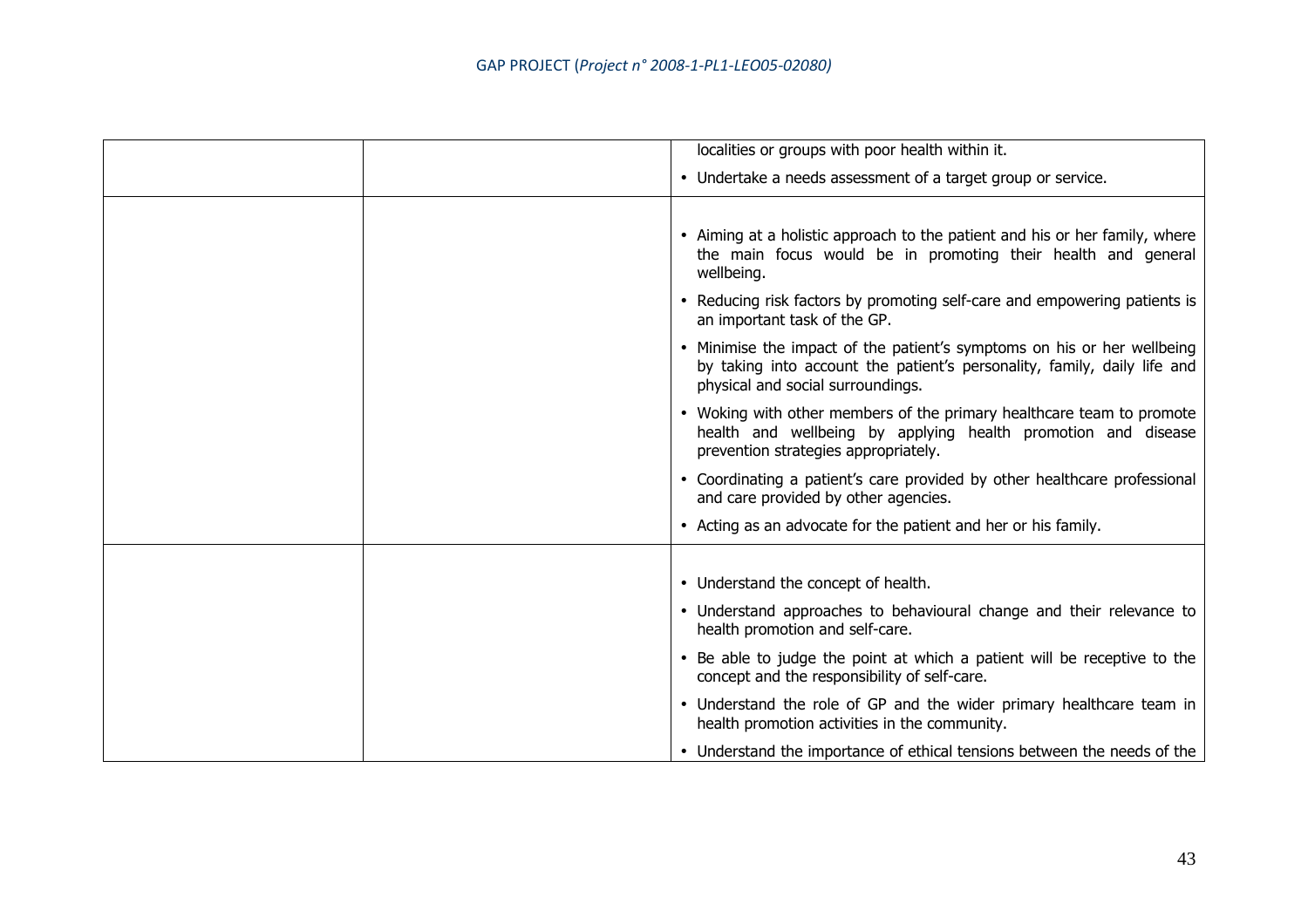| localities or groups with poor health within it.                                                                                                                                         |
|------------------------------------------------------------------------------------------------------------------------------------------------------------------------------------------|
| • Undertake a needs assessment of a target group or service.                                                                                                                             |
|                                                                                                                                                                                          |
| • Aiming at a holistic approach to the patient and his or her family, where<br>the main focus would be in promoting their health and general<br>wellbeing.                               |
| • Reducing risk factors by promoting self-care and empowering patients is<br>an important task of the GP.                                                                                |
| • Minimise the impact of the patient's symptoms on his or her wellbeing<br>by taking into account the patient's personality, family, daily life and<br>physical and social surroundings. |
| • Woking with other members of the primary healthcare team to promote<br>health and wellbeing by applying health promotion and disease<br>prevention strategies appropriately.           |
| • Coordinating a patient's care provided by other healthcare professional<br>and care provided by other agencies.                                                                        |
| • Acting as an advocate for the patient and her or his family.                                                                                                                           |
|                                                                                                                                                                                          |
| • Understand the concept of health.                                                                                                                                                      |
| • Understand approaches to behavioural change and their relevance to<br>health promotion and self-care.                                                                                  |
| • Be able to judge the point at which a patient will be receptive to the<br>concept and the responsibility of self-care.                                                                 |
| • Understand the role of GP and the wider primary healthcare team in<br>health promotion activities in the community.                                                                    |
| • Understand the importance of ethical tensions between the needs of the                                                                                                                 |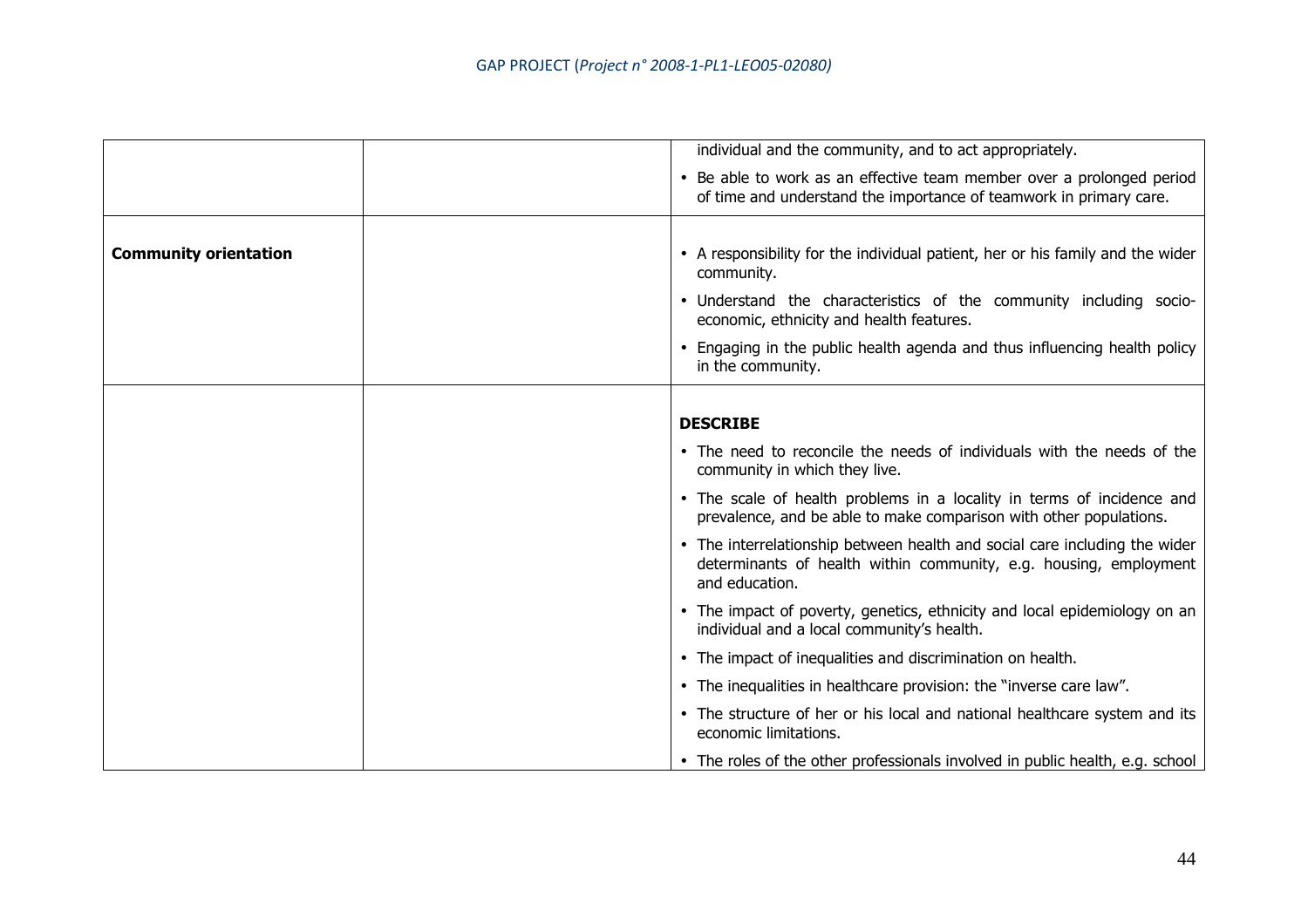|                              | individual and the community, and to act appropriately.                                                                                                           |
|------------------------------|-------------------------------------------------------------------------------------------------------------------------------------------------------------------|
|                              | • Be able to work as an effective team member over a prolonged period<br>of time and understand the importance of teamwork in primary care.                       |
|                              |                                                                                                                                                                   |
| <b>Community orientation</b> | • A responsibility for the individual patient, her or his family and the wider<br>community.                                                                      |
|                              | • Understand the characteristics of the community including socio-<br>economic, ethnicity and health features.                                                    |
|                              | • Engaging in the public health agenda and thus influencing health policy<br>in the community.                                                                    |
|                              |                                                                                                                                                                   |
|                              | <b>DESCRIBE</b>                                                                                                                                                   |
|                              | • The need to reconcile the needs of individuals with the needs of the<br>community in which they live.                                                           |
|                              | • The scale of health problems in a locality in terms of incidence and<br>prevalence, and be able to make comparison with other populations.                      |
|                              | • The interrelationship between health and social care including the wider<br>determinants of health within community, e.g. housing, employment<br>and education. |
|                              | • The impact of poverty, genetics, ethnicity and local epidemiology on an<br>individual and a local community's health.                                           |
|                              | • The impact of inequalities and discrimination on health.                                                                                                        |
|                              | • The inequalities in healthcare provision: the "inverse care law".                                                                                               |
|                              | • The structure of her or his local and national healthcare system and its<br>economic limitations.                                                               |
|                              | • The roles of the other professionals involved in public health, e.g. school                                                                                     |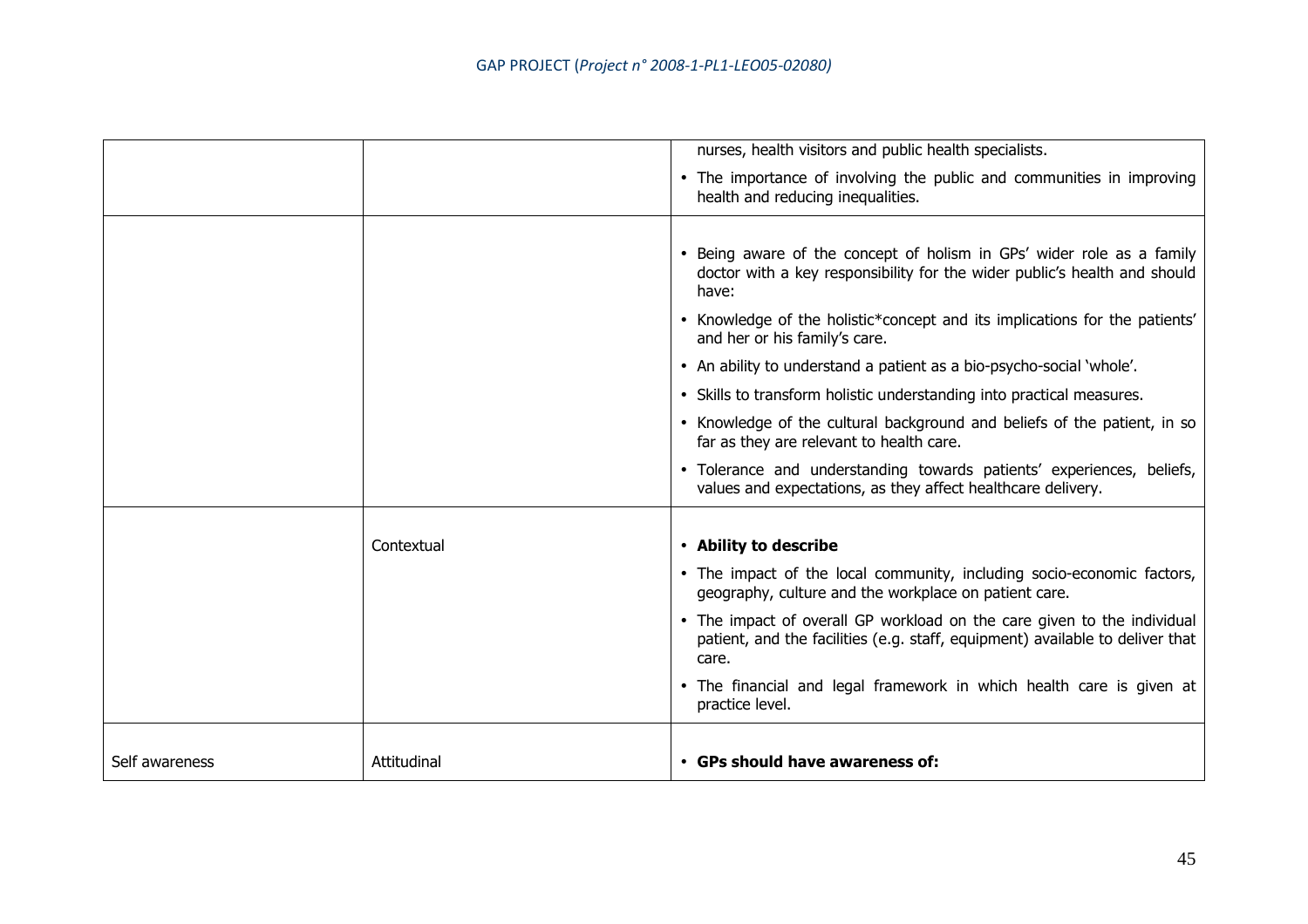|                |             | nurses, health visitors and public health specialists.                                                                                                            |
|----------------|-------------|-------------------------------------------------------------------------------------------------------------------------------------------------------------------|
|                |             | • The importance of involving the public and communities in improving<br>health and reducing inequalities.                                                        |
|                |             |                                                                                                                                                                   |
|                |             | • Being aware of the concept of holism in GPs' wider role as a family<br>doctor with a key responsibility for the wider public's health and should<br>have:       |
|                |             | • Knowledge of the holistic*concept and its implications for the patients'<br>and her or his family's care.                                                       |
|                |             | • An ability to understand a patient as a bio-psycho-social 'whole'.                                                                                              |
|                |             | • Skills to transform holistic understanding into practical measures.                                                                                             |
|                |             | • Knowledge of the cultural background and beliefs of the patient, in so<br>far as they are relevant to health care.                                              |
|                |             | · Tolerance and understanding towards patients' experiences, beliefs,<br>values and expectations, as they affect healthcare delivery.                             |
|                |             |                                                                                                                                                                   |
|                | Contextual  | • Ability to describe                                                                                                                                             |
|                |             | • The impact of the local community, including socio-economic factors,<br>geography, culture and the workplace on patient care.                                   |
|                |             | • The impact of overall GP workload on the care given to the individual<br>patient, and the facilities (e.g. staff, equipment) available to deliver that<br>care. |
|                |             | • The financial and legal framework in which health care is given at<br>practice level.                                                                           |
|                |             |                                                                                                                                                                   |
| Self awareness | Attitudinal | • GPs should have awareness of:                                                                                                                                   |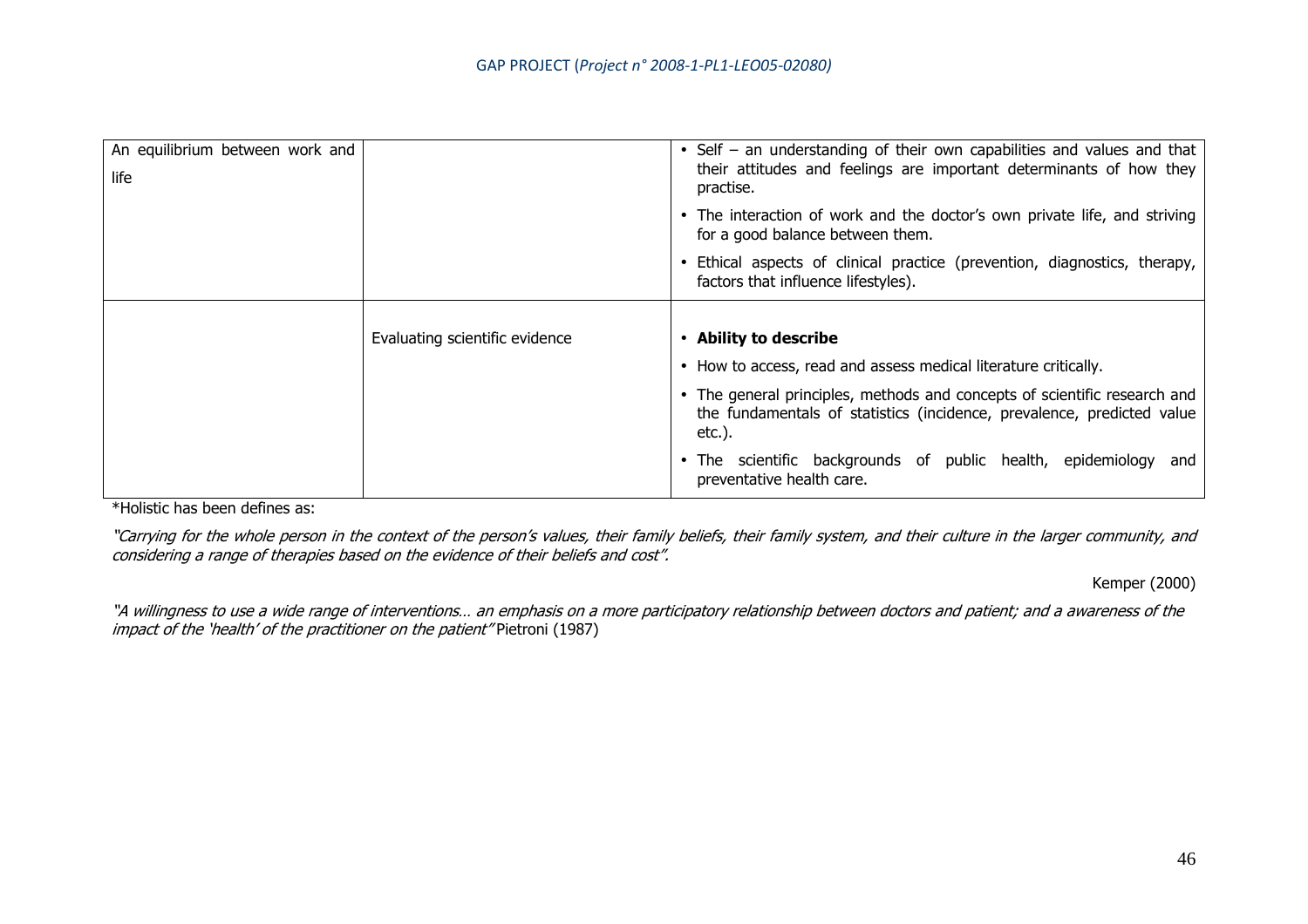| An equilibrium between work and<br>life |                                | • Self – an understanding of their own capabilities and values and that<br>their attitudes and feelings are important determinants of how they<br>practise.   |
|-----------------------------------------|--------------------------------|---------------------------------------------------------------------------------------------------------------------------------------------------------------|
|                                         |                                | • The interaction of work and the doctor's own private life, and striving<br>for a good balance between them.                                                 |
|                                         |                                | Ethical aspects of clinical practice (prevention, diagnostics, therapy,<br>factors that influence lifestyles).                                                |
|                                         |                                |                                                                                                                                                               |
|                                         | Evaluating scientific evidence | • Ability to describe                                                                                                                                         |
|                                         |                                | • How to access, read and assess medical literature critically.                                                                                               |
|                                         |                                | • The general principles, methods and concepts of scientific research and<br>the fundamentals of statistics (incidence, prevalence, predicted value<br>etc.). |
|                                         |                                | • The scientific backgrounds of public health, epidemiology and                                                                                               |

\*Holistic has been defines as:

"Carrying for the whole person in the context of the person's values, their family beliefs, their family system, and their culture in the larger community, and considering a range of therapies based on the evidence of their beliefs and cost".

Kemper (2000)

"A willingness to use a wide range of interventions… an emphasis on a more participatory relationship between doctors and patient; and a awareness of theimpact of the 'health' of the practitioner on the patient" Pietroni (1987)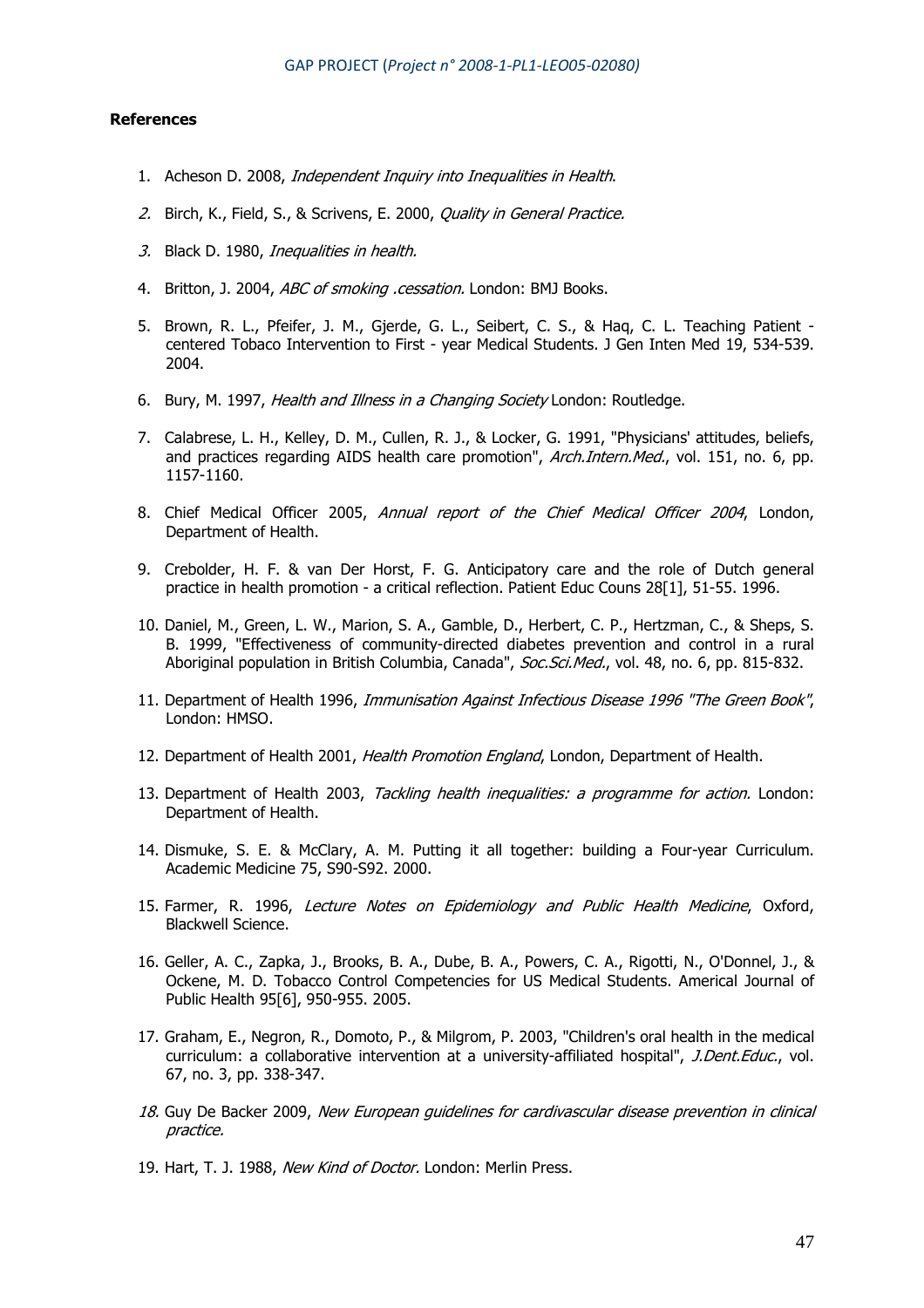#### **References**

- 1. Acheson D. 2008, Independent Inquiry into Inequalities in Health.
- 2. Birch, K., Field, S., & Scrivens, E. 2000, *Quality in General Practice.*
- 3. Black D. 1980, Inequalities in health.
- 4. Britton, J. 2004, ABC of smoking .cessation. London: BMJ Books.
- 5. Brown, R. L., Pfeifer, J. M., Gjerde, G. L., Seibert, C. S., & Haq, C. L. Teaching Patient centered Tobaco Intervention to First - year Medical Students. J Gen Inten Med 19, 534-539. 2004.
- 6. Bury, M. 1997, *Health and Illness in a Changing Society* London: Routledge.
- 7. Calabrese, L. H., Kelley, D. M., Cullen, R. J., & Locker, G. 1991, "Physicians' attitudes, beliefs, and practices regarding AIDS health care promotion", *Arch.Intern.Med.*, vol. 151, no. 6, pp. 1157-1160.
- 8. Chief Medical Officer 2005, Annual report of the Chief Medical Officer 2004, London, Department of Health.
- 9. Crebolder, H. F. & van Der Horst, F. G. Anticipatory care and the role of Dutch general practice in health promotion - a critical reflection. Patient Educ Couns 28[1], 51-55. 1996.
- 10. Daniel, M., Green, L. W., Marion, S. A., Gamble, D., Herbert, C. P., Hertzman, C., & Sheps, S. B. 1999, "Effectiveness of community-directed diabetes prevention and control in a rural Aboriginal population in British Columbia, Canada", Soc.Sci.Med., vol. 48, no. 6, pp. 815-832.
- 11. Department of Health 1996, Immunisation Against Infectious Disease 1996 "The Green Book", London: HMSO.
- 12. Department of Health 2001, Health Promotion England, London, Department of Health.
- 13. Department of Health 2003, Tackling health inequalities: a programme for action. London: Department of Health.
- 14. Dismuke, S. E. & McClary, A. M. Putting it all together: building a Four-year Curriculum. Academic Medicine 75, S90-S92. 2000.
- 15. Farmer, R. 1996, Lecture Notes on Epidemiology and Public Health Medicine, Oxford, Blackwell Science.
- 16. Geller, A. C., Zapka, J., Brooks, B. A., Dube, B. A., Powers, C. A., Rigotti, N., O'Donnel, J., & Ockene, M. D. Tobacco Control Competencies for US Medical Students. Americal Journal of Public Health 95[6], 950-955. 2005.
- 17. Graham, E., Negron, R., Domoto, P., & Milgrom, P. 2003, "Children's oral health in the medical curriculum: a collaborative intervention at a university-affiliated hospital", J.Dent.Educ., vol. 67, no. 3, pp. 338-347.
- 18. Guy De Backer 2009, New European quidelines for cardivascular disease prevention in clinical practice.
- 19. Hart, T. J. 1988, New Kind of Doctor. London: Merlin Press.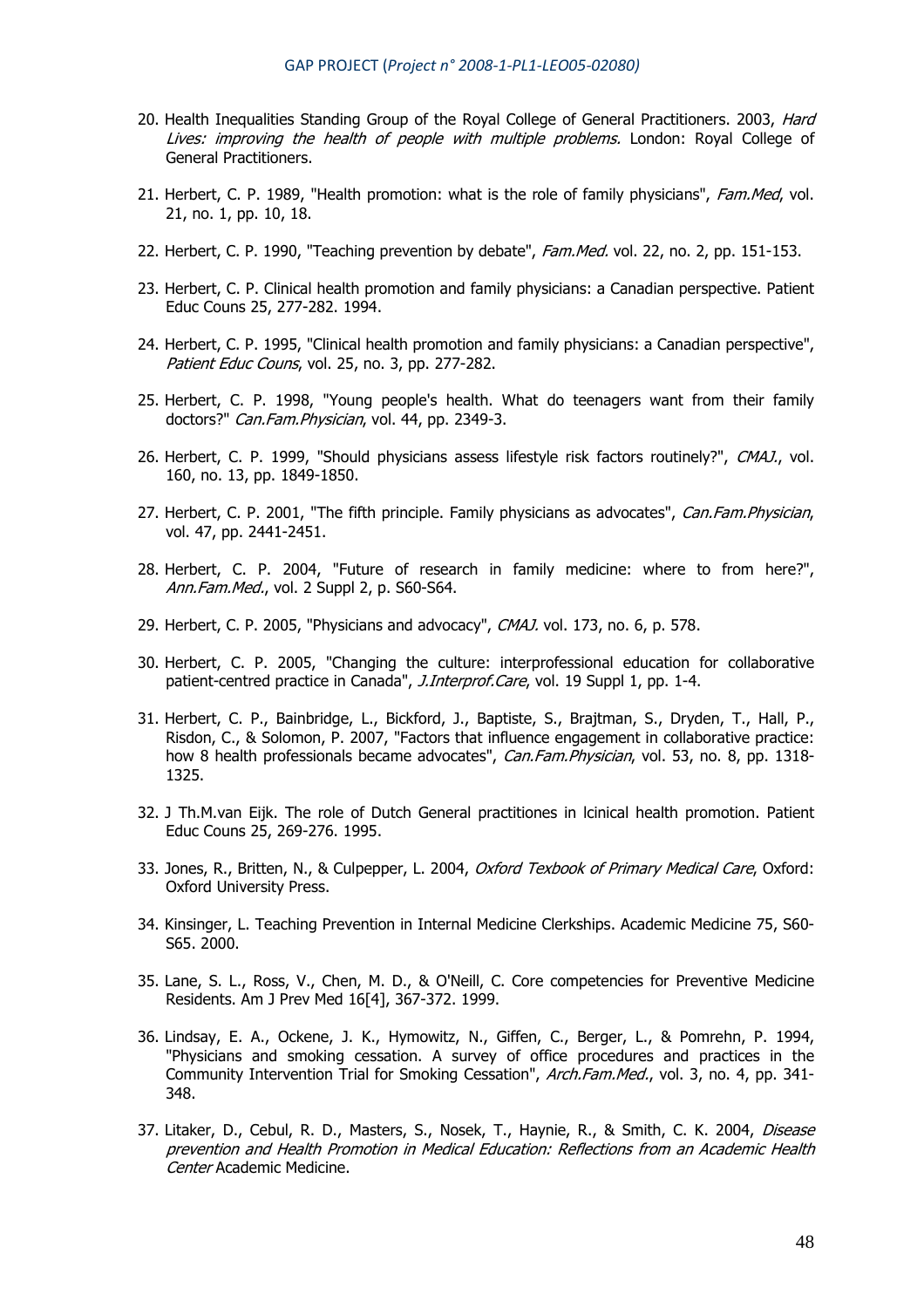- 20. Health Inequalities Standing Group of the Royal College of General Practitioners. 2003, Hard Lives: improving the health of people with multiple problems. London: Royal College of General Practitioners.
- 21. Herbert, C. P. 1989, "Health promotion: what is the role of family physicians", Fam.Med, vol. 21, no. 1, pp. 10, 18.
- 22. Herbert, C. P. 1990, "Teaching prevention by debate", Fam. Med. vol. 22, no. 2, pp. 151-153.
- 23. Herbert, C. P. Clinical health promotion and family physicians: a Canadian perspective. Patient Educ Couns 25, 277-282. 1994.
- 24. Herbert, C. P. 1995, "Clinical health promotion and family physicians: a Canadian perspective", Patient Educ Couns, vol. 25, no. 3, pp. 277-282.
- 25. Herbert, C. P. 1998, "Young people's health. What do teenagers want from their family doctors?" Can.Fam.Physician, vol. 44, pp. 2349-3.
- 26. Herbert, C. P. 1999, "Should physicians assess lifestyle risk factors routinely?", CMAJ., vol. 160, no. 13, pp. 1849-1850.
- 27. Herbert, C. P. 2001, "The fifth principle. Family physicians as advocates", Can.Fam.Physician, vol. 47, pp. 2441-2451.
- 28. Herbert, C. P. 2004, "Future of research in family medicine: where to from here?", Ann.Fam.Med., vol. 2 Suppl 2, p. S60-S64.
- 29. Herbert, C. P. 2005, "Physicians and advocacy", CMAJ. vol. 173, no. 6, p. 578.
- 30. Herbert, C. P. 2005, "Changing the culture: interprofessional education for collaborative patient-centred practice in Canada", J.Interprof.Care, vol. 19 Suppl 1, pp. 1-4.
- 31. Herbert, C. P., Bainbridge, L., Bickford, J., Baptiste, S., Brajtman, S., Dryden, T., Hall, P., Risdon, C., & Solomon, P. 2007, "Factors that influence engagement in collaborative practice: how 8 health professionals became advocates", Can.Fam.Physician, vol. 53, no. 8, pp. 1318-1325.
- 32. J Th.M.van Eijk. The role of Dutch General practitiones in lcinical health promotion. Patient Educ Couns 25, 269-276. 1995.
- 33. Jones, R., Britten, N., & Culpepper, L. 2004, Oxford Texbook of Primary Medical Care, Oxford: Oxford University Press.
- 34. Kinsinger, L. Teaching Prevention in Internal Medicine Clerkships. Academic Medicine 75, S60- S65. 2000.
- 35. Lane, S. L., Ross, V., Chen, M. D., & O'Neill, C. Core competencies for Preventive Medicine Residents. Am J Prev Med 16[4], 367-372. 1999.
- 36. Lindsay, E. A., Ockene, J. K., Hymowitz, N., Giffen, C., Berger, L., & Pomrehn, P. 1994, "Physicians and smoking cessation. A survey of office procedures and practices in the Community Intervention Trial for Smoking Cessation", Arch.Fam.Med., vol. 3, no. 4, pp. 341-348.
- 37. Litaker, D., Cebul, R. D., Masters, S., Nosek, T., Haynie, R., & Smith, C. K. 2004, Disease prevention and Health Promotion in Medical Education: Reflections from an Academic Health Center Academic Medicine.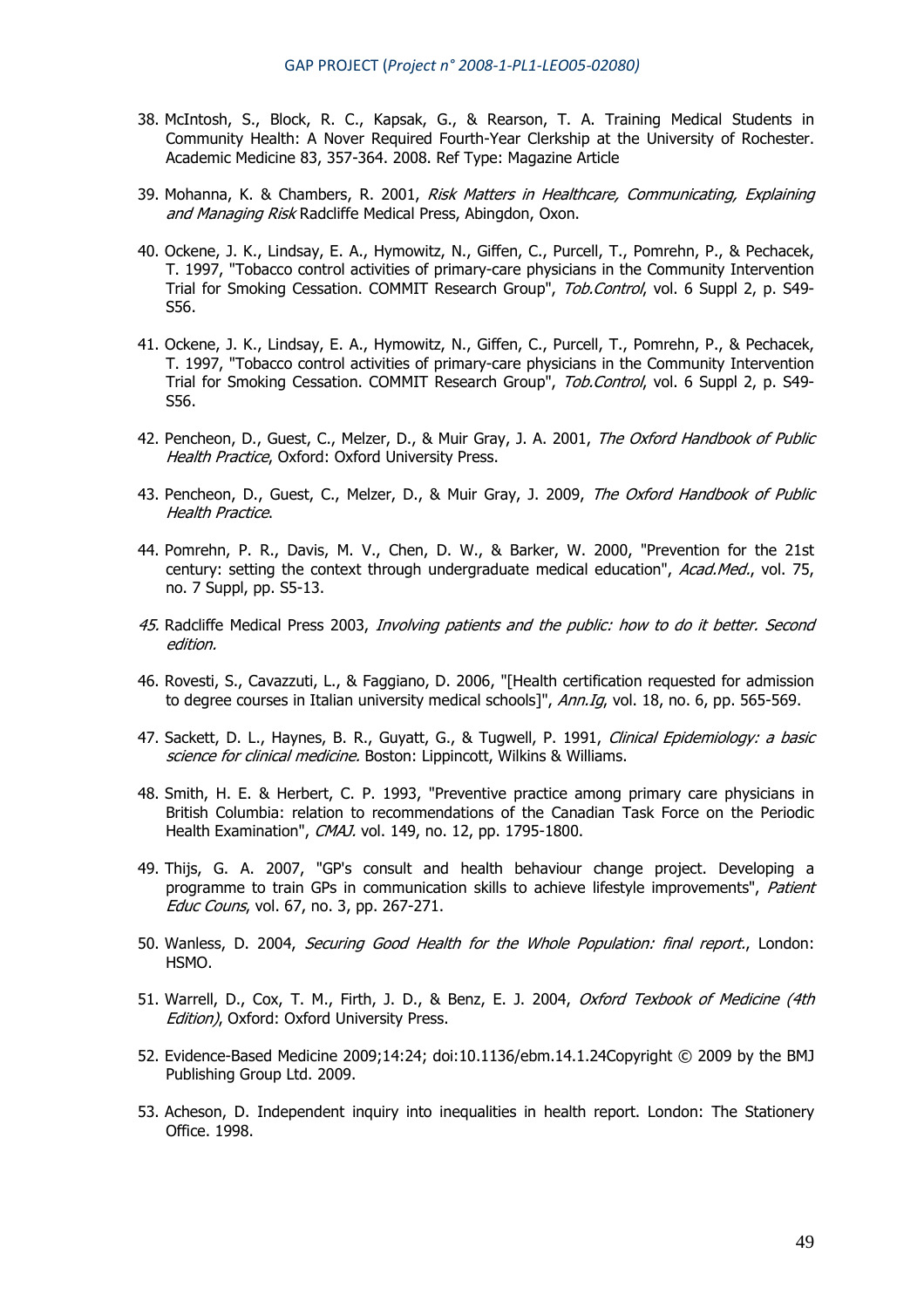- 38. McIntosh, S., Block, R. C., Kapsak, G., & Rearson, T. A. Training Medical Students in Community Health: A Nover Required Fourth-Year Clerkship at the University of Rochester. Academic Medicine 83, 357-364. 2008. Ref Type: Magazine Article
- 39. Mohanna, K. & Chambers, R. 2001, Risk Matters in Healthcare, Communicating, Explaining and Managing Risk Radcliffe Medical Press, Abingdon, Oxon.
- 40. Ockene, J. K., Lindsay, E. A., Hymowitz, N., Giffen, C., Purcell, T., Pomrehn, P., & Pechacek, T. 1997, "Tobacco control activities of primary-care physicians in the Community Intervention Trial for Smoking Cessation. COMMIT Research Group", Tob.Control, vol. 6 Suppl 2, p. S49-S56.
- 41. Ockene, J. K., Lindsay, E. A., Hymowitz, N., Giffen, C., Purcell, T., Pomrehn, P., & Pechacek, T. 1997, "Tobacco control activities of primary-care physicians in the Community Intervention Trial for Smoking Cessation. COMMIT Research Group", Tob.Control, vol. 6 Suppl 2, p. S49-S56.
- 42. Pencheon, D., Guest, C., Melzer, D., & Muir Gray, J. A. 2001, The Oxford Handbook of Public Health Practice, Oxford: Oxford University Press.
- 43. Pencheon, D., Guest, C., Melzer, D., & Muir Gray, J. 2009, The Oxford Handbook of Public Health Practice.
- 44. Pomrehn, P. R., Davis, M. V., Chen, D. W., & Barker, W. 2000, "Prevention for the 21st century: setting the context through undergraduate medical education", Acad.Med., vol. 75, no. 7 Suppl, pp. S5-13.
- 45. Radcliffe Medical Press 2003, Involving patients and the public: how to do it better. Second edition.
- 46. Rovesti, S., Cavazzuti, L., & Faggiano, D. 2006, "[Health certification requested for admission to degree courses in Italian university medical schools]", Ann.Ig, vol. 18, no. 6, pp. 565-569.
- 47. Sackett, D. L., Haynes, B. R., Guyatt, G., & Tugwell, P. 1991, *Clinical Epidemiology: a basic* science for clinical medicine. Boston: Lippincott, Wilkins & Williams.
- 48. Smith, H. E. & Herbert, C. P. 1993, "Preventive practice among primary care physicians in British Columbia: relation to recommendations of the Canadian Task Force on the Periodic Health Examination", CMAJ. vol. 149, no. 12, pp. 1795-1800.
- 49. Thijs, G. A. 2007, "GP's consult and health behaviour change project. Developing a programme to train GPs in communication skills to achieve lifestyle improvements", Patient Educ Couns, vol. 67, no. 3, pp. 267-271.
- 50. Wanless, D. 2004, Securing Good Health for the Whole Population: final report., London: HSMO.
- 51. Warrell, D., Cox, T. M., Firth, J. D., & Benz, E. J. 2004, Oxford Texbook of Medicine (4th Edition), Oxford: Oxford University Press.
- 52. Evidence-Based Medicine 2009;14:24; doi:10.1136/ebm.14.1.24Copyright © 2009 by the BMJ Publishing Group Ltd. 2009.
- 53. Acheson, D. Independent inquiry into inequalities in health report. London: The Stationery Office. 1998.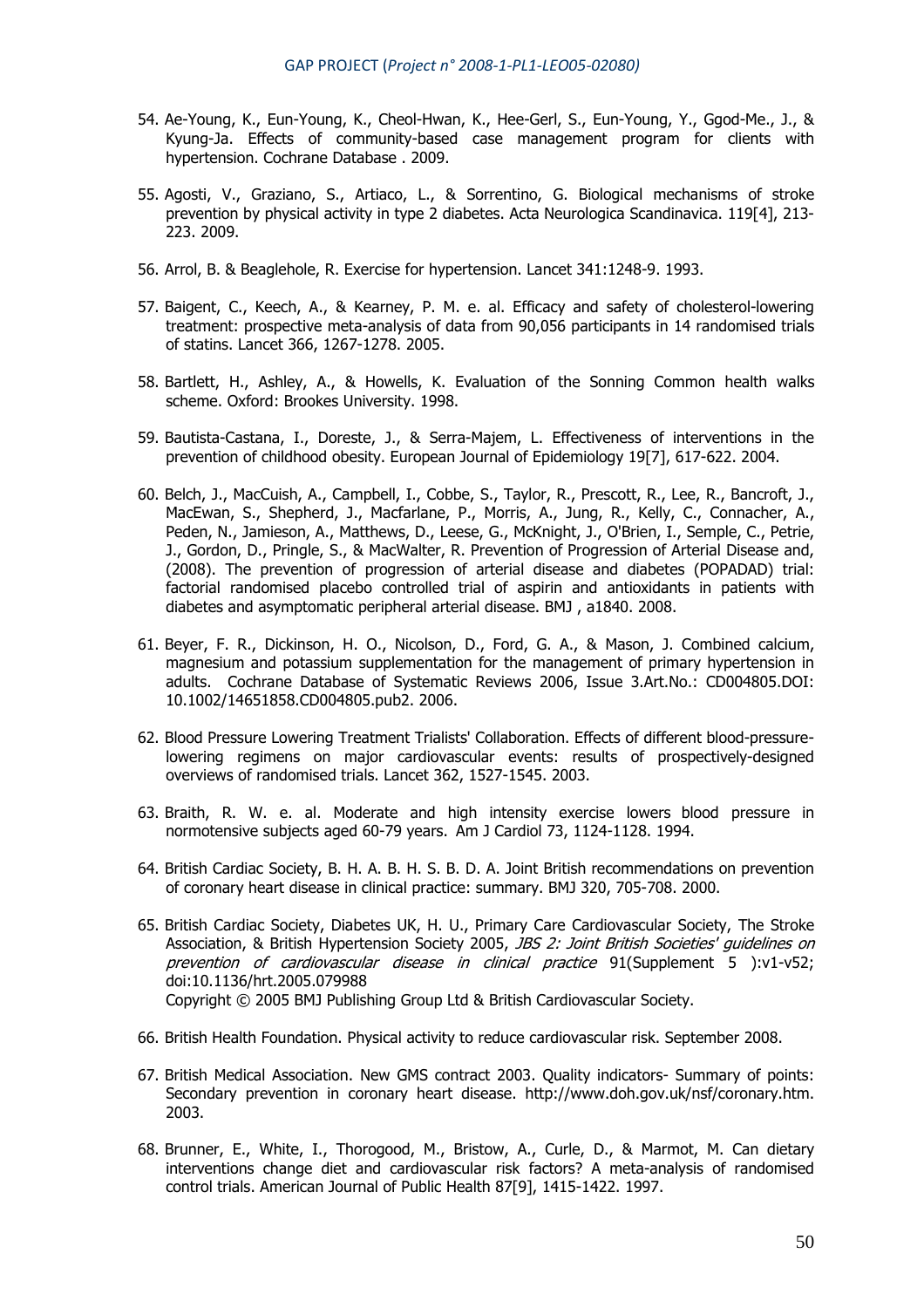- 54. Ae-Young, K., Eun-Young, K., Cheol-Hwan, K., Hee-Gerl, S., Eun-Young, Y., Ggod-Me., J., & Kyung-Ja. Effects of community-based case management program for clients with hypertension. Cochrane Database . 2009.
- 55. Agosti, V., Graziano, S., Artiaco, L., & Sorrentino, G. Biological mechanisms of stroke prevention by physical activity in type 2 diabetes. Acta Neurologica Scandinavica. 119[4], 213- 223. 2009.
- 56. Arrol, B. & Beaglehole, R. Exercise for hypertension. Lancet 341:1248-9. 1993.
- 57. Baigent, C., Keech, A., & Kearney, P. M. e. al. Efficacy and safety of cholesterol-lowering treatment: prospective meta-analysis of data from 90,056 participants in 14 randomised trials of statins. Lancet 366, 1267-1278. 2005.
- 58. Bartlett, H., Ashley, A., & Howells, K. Evaluation of the Sonning Common health walks scheme. Oxford: Brookes University. 1998.
- 59. Bautista-Castana, I., Doreste, J., & Serra-Majem, L. Effectiveness of interventions in the prevention of childhood obesity. European Journal of Epidemiology 19[7], 617-622. 2004.
- 60. Belch, J., MacCuish, A., Campbell, I., Cobbe, S., Taylor, R., Prescott, R., Lee, R., Bancroft, J., MacEwan, S., Shepherd, J., Macfarlane, P., Morris, A., Jung, R., Kelly, C., Connacher, A., Peden, N., Jamieson, A., Matthews, D., Leese, G., McKnight, J., O'Brien, I., Semple, C., Petrie, J., Gordon, D., Pringle, S., & MacWalter, R. Prevention of Progression of Arterial Disease and, (2008). The prevention of progression of arterial disease and diabetes (POPADAD) trial: factorial randomised placebo controlled trial of aspirin and antioxidants in patients with diabetes and asymptomatic peripheral arterial disease. BMJ , a1840. 2008.
- 61. Beyer, F. R., Dickinson, H. O., Nicolson, D., Ford, G. A., & Mason, J. Combined calcium, magnesium and potassium supplementation for the management of primary hypertension in adults. Cochrane Database of Systematic Reviews 2006, Issue 3.Art.No.: CD004805.DOI: 10.1002/14651858.CD004805.pub2. 2006.
- 62. Blood Pressure Lowering Treatment Trialists' Collaboration. Effects of different blood-pressurelowering regimens on major cardiovascular events: results of prospectively-designed overviews of randomised trials. Lancet 362, 1527-1545. 2003.
- 63. Braith, R. W. e. al. Moderate and high intensity exercise lowers blood pressure in normotensive subjects aged 60-79 years. Am J Cardiol 73, 1124-1128. 1994.
- 64. British Cardiac Society, B. H. A. B. H. S. B. D. A. Joint British recommendations on prevention of coronary heart disease in clinical practice: summary. BMJ 320, 705-708. 2000.
- 65. British Cardiac Society, Diabetes UK, H. U., Primary Care Cardiovascular Society, The Stroke Association, & British Hypertension Society 2005, *JBS 2: Joint British Societies' quidelines on* prevention of cardiovascular disease in clinical practice 91(Supplement 5 ):v1-v52; doi:10.1136/hrt.2005.079988 Copyright © 2005 BMJ Publishing Group Ltd & British Cardiovascular Society.
- 66. British Health Foundation. Physical activity to reduce cardiovascular risk. September 2008.
- 67. British Medical Association. New GMS contract 2003. Quality indicators- Summary of points: Secondary prevention in coronary heart disease. http://www.doh.gov.uk/nsf/coronary.htm. 2003.
- 68. Brunner, E., White, I., Thorogood, M., Bristow, A., Curle, D., & Marmot, M. Can dietary interventions change diet and cardiovascular risk factors? A meta-analysis of randomised control trials. American Journal of Public Health 87[9], 1415-1422. 1997.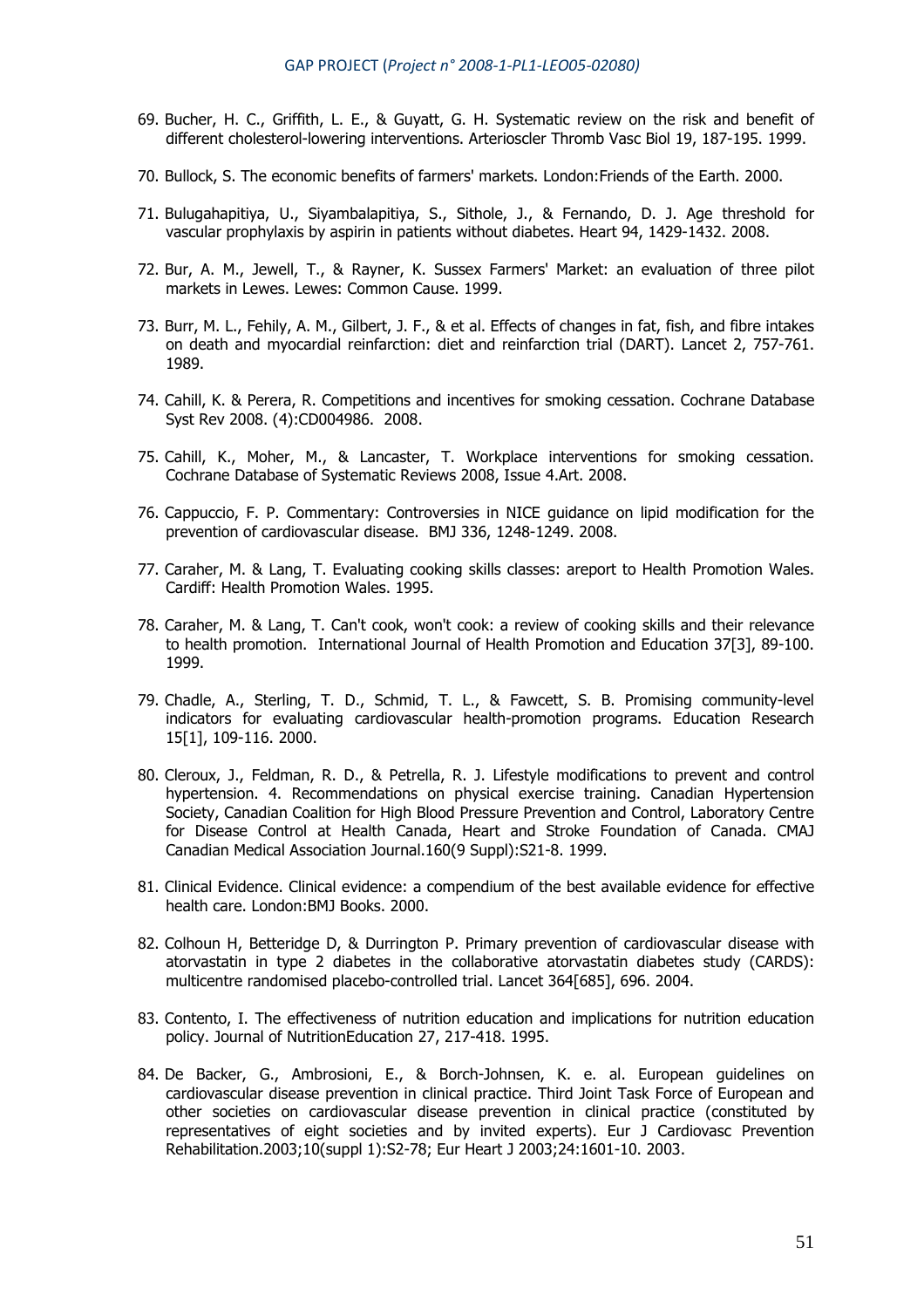- 69. Bucher, H. C., Griffith, L. E., & Guyatt, G. H. Systematic review on the risk and benefit of different cholesterol-lowering interventions. Arterioscler Thromb Vasc Biol 19, 187-195. 1999.
- 70. Bullock, S. The economic benefits of farmers' markets. London:Friends of the Earth. 2000.
- 71. Bulugahapitiya, U., Siyambalapitiya, S., Sithole, J., & Fernando, D. J. Age threshold for vascular prophylaxis by aspirin in patients without diabetes. Heart 94, 1429-1432. 2008.
- 72. Bur, A. M., Jewell, T., & Rayner, K. Sussex Farmers' Market: an evaluation of three pilot markets in Lewes. Lewes: Common Cause. 1999.
- 73. Burr, M. L., Fehily, A. M., Gilbert, J. F., & et al. Effects of changes in fat, fish, and fibre intakes on death and myocardial reinfarction: diet and reinfarction trial (DART). Lancet 2, 757-761. 1989.
- 74. Cahill, K. & Perera, R. Competitions and incentives for smoking cessation. Cochrane Database Syst Rev 2008. (4):CD004986. 2008.
- 75. Cahill, K., Moher, M., & Lancaster, T. Workplace interventions for smoking cessation. Cochrane Database of Systematic Reviews 2008, Issue 4.Art. 2008.
- 76. Cappuccio, F. P. Commentary: Controversies in NICE guidance on lipid modification for the prevention of cardiovascular disease. BMJ 336, 1248-1249. 2008.
- 77. Caraher, M. & Lang, T. Evaluating cooking skills classes: areport to Health Promotion Wales. Cardiff: Health Promotion Wales. 1995.
- 78. Caraher, M. & Lang, T. Can't cook, won't cook: a review of cooking skills and their relevance to health promotion. International Journal of Health Promotion and Education 37[3], 89-100. 1999.
- 79. Chadle, A., Sterling, T. D., Schmid, T. L., & Fawcett, S. B. Promising community-level indicators for evaluating cardiovascular health-promotion programs. Education Research 15[1], 109-116. 2000.
- 80. Cleroux, J., Feldman, R. D., & Petrella, R. J. Lifestyle modifications to prevent and control hypertension. 4. Recommendations on physical exercise training. Canadian Hypertension Society, Canadian Coalition for High Blood Pressure Prevention and Control, Laboratory Centre for Disease Control at Health Canada, Heart and Stroke Foundation of Canada. CMAJ Canadian Medical Association Journal.160(9 Suppl):S21-8. 1999.
- 81. Clinical Evidence. Clinical evidence: a compendium of the best available evidence for effective health care. London:BMJ Books. 2000.
- 82. Colhoun H, Betteridge D, & Durrington P. Primary prevention of cardiovascular disease with atorvastatin in type 2 diabetes in the collaborative atorvastatin diabetes study (CARDS): multicentre randomised placebo-controlled trial. Lancet 364[685], 696. 2004.
- 83. Contento, I. The effectiveness of nutrition education and implications for nutrition education policy. Journal of NutritionEducation 27, 217-418. 1995.
- 84. De Backer, G., Ambrosioni, E., & Borch-Johnsen, K. e. al. European guidelines on cardiovascular disease prevention in clinical practice. Third Joint Task Force of European and other societies on cardiovascular disease prevention in clinical practice (constituted by representatives of eight societies and by invited experts). Eur J Cardiovasc Prevention Rehabilitation.2003;10(suppl 1):S2-78; Eur Heart J 2003;24:1601-10. 2003.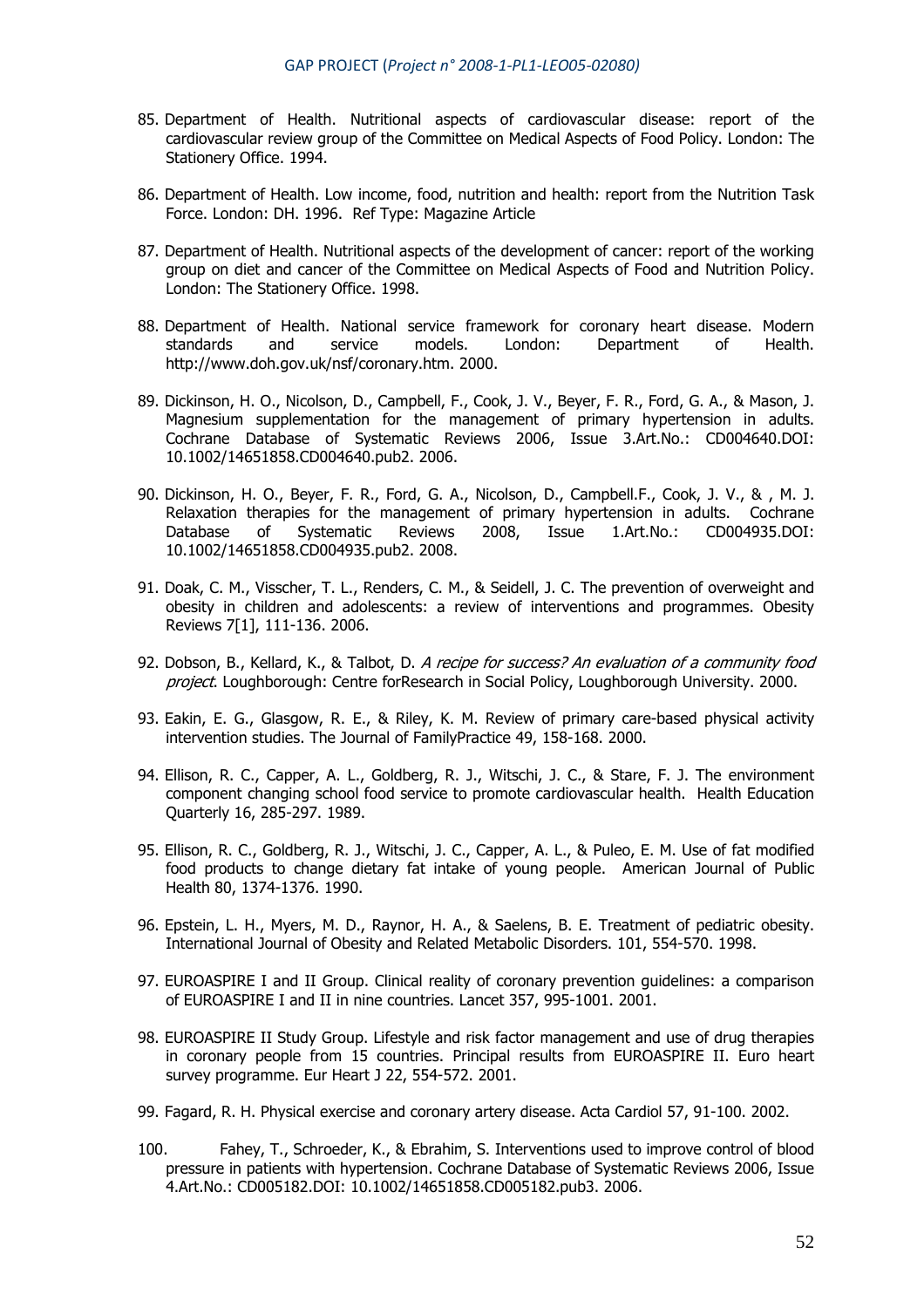- 85. Department of Health. Nutritional aspects of cardiovascular disease: report of the cardiovascular review group of the Committee on Medical Aspects of Food Policy. London: The Stationery Office. 1994.
- 86. Department of Health. Low income, food, nutrition and health: report from the Nutrition Task Force. London: DH. 1996. Ref Type: Magazine Article
- 87. Department of Health. Nutritional aspects of the development of cancer: report of the working group on diet and cancer of the Committee on Medical Aspects of Food and Nutrition Policy. London: The Stationery Office. 1998.
- 88. Department of Health. National service framework for coronary heart disease. Modern standards and service models. London: Department of Health. http://www.doh.gov.uk/nsf/coronary.htm. 2000.
- 89. Dickinson, H. O., Nicolson, D., Campbell, F., Cook, J. V., Beyer, F. R., Ford, G. A., & Mason, J. Magnesium supplementation for the management of primary hypertension in adults. Cochrane Database of Systematic Reviews 2006, Issue 3.Art.No.: CD004640.DOI: 10.1002/14651858.CD004640.pub2. 2006.
- 90. Dickinson, H. O., Beyer, F. R., Ford, G. A., Nicolson, D., Campbell.F., Cook, J. V., & , M. J. Relaxation therapies for the management of primary hypertension in adults. Cochrane Database of Systematic Reviews 2008, Issue 1.Art.No.: CD004935.DOI: 10.1002/14651858.CD004935.pub2. 2008.
- 91. Doak, C. M., Visscher, T. L., Renders, C. M., & Seidell, J. C. The prevention of overweight and obesity in children and adolescents: a review of interventions and programmes. Obesity Reviews 7[1], 111-136. 2006.
- 92. Dobson, B., Kellard, K., & Talbot, D. A recipe for success? An evaluation of a community food project. Loughborough: Centre forResearch in Social Policy, Loughborough University. 2000.
- 93. Eakin, E. G., Glasgow, R. E., & Riley, K. M. Review of primary care-based physical activity intervention studies. The Journal of FamilyPractice 49, 158-168. 2000.
- 94. Ellison, R. C., Capper, A. L., Goldberg, R. J., Witschi, J. C., & Stare, F. J. The environment component changing school food service to promote cardiovascular health. Health Education Quarterly 16, 285-297. 1989.
- 95. Ellison, R. C., Goldberg, R. J., Witschi, J. C., Capper, A. L., & Puleo, E. M. Use of fat modified food products to change dietary fat intake of young people. American Journal of Public Health 80, 1374-1376. 1990.
- 96. Epstein, L. H., Myers, M. D., Raynor, H. A., & Saelens, B. E. Treatment of pediatric obesity. International Journal of Obesity and Related Metabolic Disorders. 101, 554-570. 1998.
- 97. EUROASPIRE I and II Group. Clinical reality of coronary prevention guidelines: a comparison of EUROASPIRE I and II in nine countries. Lancet 357, 995-1001. 2001.
- 98. EUROASPIRE II Study Group. Lifestyle and risk factor management and use of drug therapies in coronary people from 15 countries. Principal results from EUROASPIRE II. Euro heart survey programme. Eur Heart J 22, 554-572. 2001.
- 99. Fagard, R. H. Physical exercise and coronary artery disease. Acta Cardiol 57, 91-100. 2002.
- 100. Fahey, T., Schroeder, K., & Ebrahim, S. Interventions used to improve control of blood pressure in patients with hypertension. Cochrane Database of Systematic Reviews 2006, Issue 4.Art.No.: CD005182.DOI: 10.1002/14651858.CD005182.pub3. 2006.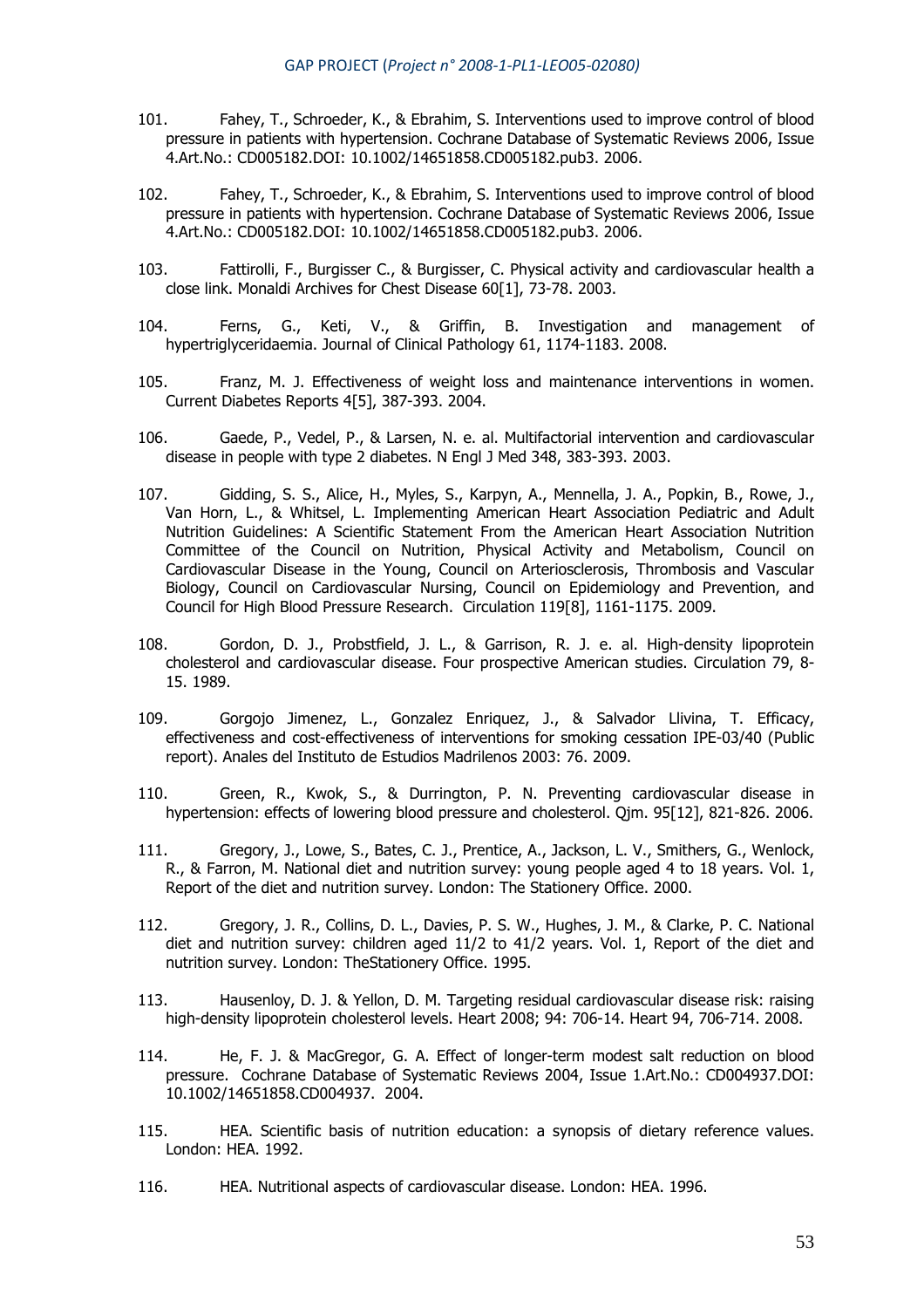- 101. Fahey, T., Schroeder, K., & Ebrahim, S. Interventions used to improve control of blood pressure in patients with hypertension. Cochrane Database of Systematic Reviews 2006, Issue 4.Art.No.: CD005182.DOI: 10.1002/14651858.CD005182.pub3. 2006.
- 102. Fahey, T., Schroeder, K., & Ebrahim, S. Interventions used to improve control of blood pressure in patients with hypertension. Cochrane Database of Systematic Reviews 2006, Issue 4.Art.No.: CD005182.DOI: 10.1002/14651858.CD005182.pub3. 2006.
- 103. Fattirolli, F., Burgisser C., & Burgisser, C. Physical activity and cardiovascular health a close link. Monaldi Archives for Chest Disease 60[1], 73-78, 2003.
- 104. Ferns, G., Keti, V., & Griffin, B. Investigation and management of hypertriglyceridaemia. Journal of Clinical Pathology 61, 1174-1183. 2008.
- 105. Franz, M. J. Effectiveness of weight loss and maintenance interventions in women. Current Diabetes Reports 4[5], 387-393. 2004.
- 106. Gaede, P., Vedel, P., & Larsen, N. e. al. Multifactorial intervention and cardiovascular disease in people with type 2 diabetes. N Engl J Med 348, 383-393. 2003.
- 107. Gidding, S. S., Alice, H., Myles, S., Karpyn, A., Mennella, J. A., Popkin, B., Rowe, J., Van Horn, L., & Whitsel, L. Implementing American Heart Association Pediatric and Adult Nutrition Guidelines: A Scientific Statement From the American Heart Association Nutrition Committee of the Council on Nutrition, Physical Activity and Metabolism, Council on Cardiovascular Disease in the Young, Council on Arteriosclerosis, Thrombosis and Vascular Biology, Council on Cardiovascular Nursing, Council on Epidemiology and Prevention, and Council for High Blood Pressure Research. Circulation 119[8], 1161-1175. 2009.
- 108. Gordon, D. J., Probstfield, J. L., & Garrison, R. J. e. al. High-density lipoprotein cholesterol and cardiovascular disease. Four prospective American studies. Circulation 79, 8- 15. 1989.
- 109. Gorgojo Jimenez, L., Gonzalez Enriquez, J., & Salvador Llivina, T. Efficacy, effectiveness and cost-effectiveness of interventions for smoking cessation IPE-03/40 (Public report). Anales del Instituto de Estudios Madrilenos 2003: 76. 2009.
- 110. Green, R., Kwok, S., & Durrington, P. N. Preventing cardiovascular disease in hypertension: effects of lowering blood pressure and cholesterol. Qjm. 95[12], 821-826. 2006.
- 111. Gregory, J., Lowe, S., Bates, C. J., Prentice, A., Jackson, L. V., Smithers, G., Wenlock, R., & Farron, M. National diet and nutrition survey: young people aged 4 to 18 years. Vol. 1, Report of the diet and nutrition survey. London: The Stationery Office. 2000.
- 112. Gregory, J. R., Collins, D. L., Davies, P. S. W., Hughes, J. M., & Clarke, P. C. National diet and nutrition survey: children aged 11/2 to 41/2 years. Vol. 1, Report of the diet and nutrition survey. London: TheStationery Office. 1995.
- 113. Hausenloy, D. J. & Yellon, D. M. Targeting residual cardiovascular disease risk: raising high-density lipoprotein cholesterol levels. Heart 2008; 94: 706-14. Heart 94, 706-714. 2008.
- 114. He, F. J. & MacGregor, G. A. Effect of longer-term modest salt reduction on blood pressure. Cochrane Database of Systematic Reviews 2004, Issue 1.Art.No.: CD004937.DOI: 10.1002/14651858.CD004937. 2004.
- 115. HEA. Scientific basis of nutrition education: a synopsis of dietary reference values. London: HEA. 1992.
- 116. HEA. Nutritional aspects of cardiovascular disease. London: HEA. 1996.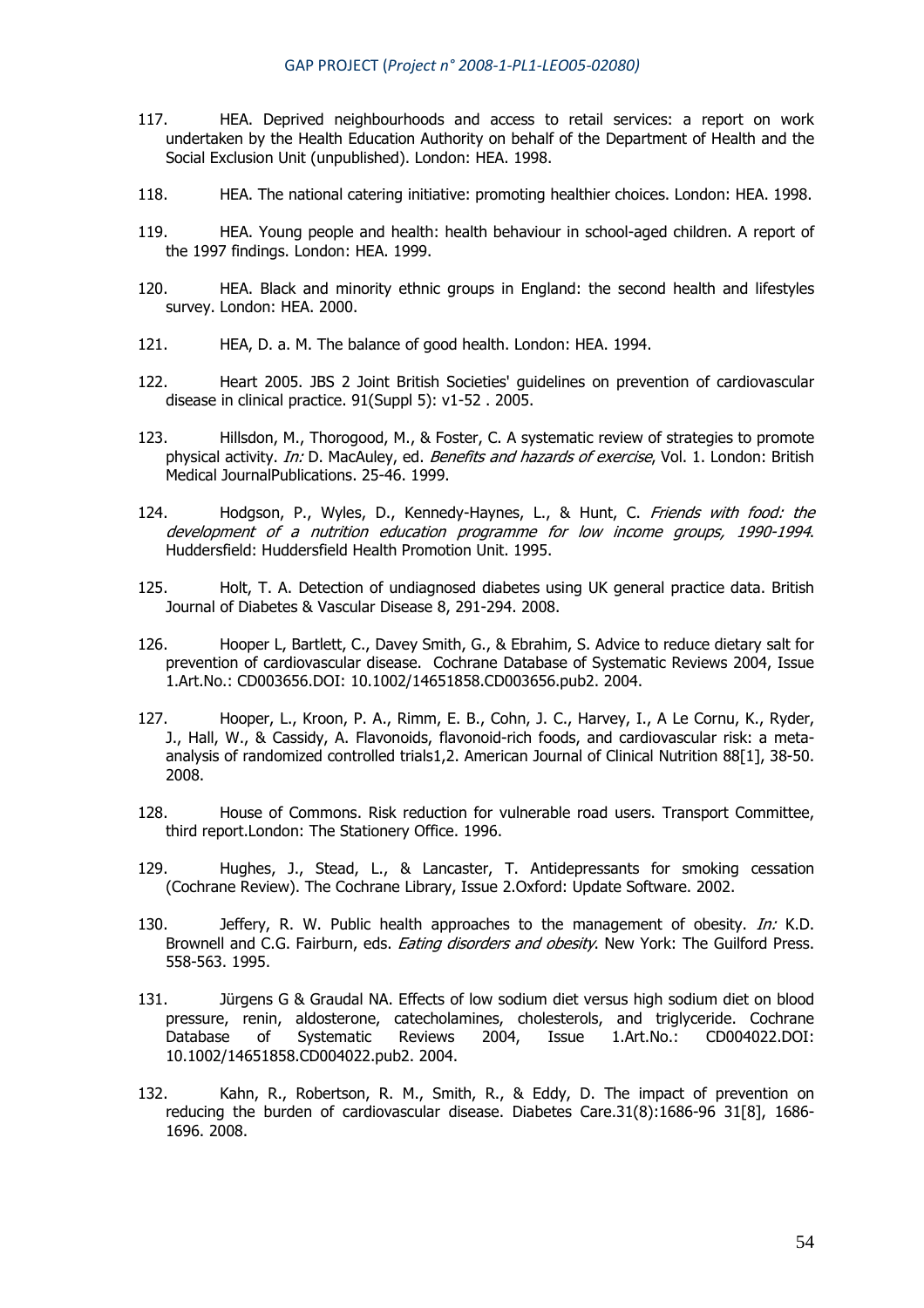- 117. HEA. Deprived neighbourhoods and access to retail services: a report on work undertaken by the Health Education Authority on behalf of the Department of Health and the Social Exclusion Unit (unpublished). London: HEA. 1998.
- 118. HEA. The national catering initiative: promoting healthier choices. London: HEA. 1998.
- 119. HEA. Young people and health: health behaviour in school-aged children. A report of the 1997 findings. London: HEA. 1999.
- 120. HEA. Black and minority ethnic groups in England: the second health and lifestyles survey. London: HEA. 2000.
- 121. HEA, D. a. M. The balance of good health. London: HEA. 1994.
- 122. Heart 2005. JBS 2 Joint British Societies' guidelines on prevention of cardiovascular disease in clinical practice. 91(Suppl 5): v1-52 . 2005.
- 123. Hillsdon, M., Thorogood, M., & Foster, C. A systematic review of strategies to promote physical activity. In: D. MacAuley, ed. Benefits and hazards of exercise, Vol. 1. London: British Medical JournalPublications. 25-46. 1999.
- 124. Hodgson, P., Wyles, D., Kennedy-Haynes, L., & Hunt, C. Friends with food: the development of a nutrition education programme for low income groups, 1990-1994. Huddersfield: Huddersfield Health Promotion Unit. 1995.
- 125. Holt, T. A. Detection of undiagnosed diabetes using UK general practice data. British Journal of Diabetes & Vascular Disease 8, 291-294. 2008.
- 126. Hooper L, Bartlett, C., Davey Smith, G., & Ebrahim, S. Advice to reduce dietary salt for prevention of cardiovascular disease. Cochrane Database of Systematic Reviews 2004, Issue 1.Art.No.: CD003656.DOI: 10.1002/14651858.CD003656.pub2. 2004.
- 127. Hooper, L., Kroon, P. A., Rimm, E. B., Cohn, J. C., Harvey, I., A Le Cornu, K., Ryder, J., Hall, W., & Cassidy, A. Flavonoids, flavonoid-rich foods, and cardiovascular risk: a metaanalysis of randomized controlled trials1,2. American Journal of Clinical Nutrition 88[1], 38-50. 2008.
- 128. House of Commons. Risk reduction for vulnerable road users. Transport Committee, third report.London: The Stationery Office. 1996.
- 129. Hughes, J., Stead, L., & Lancaster, T. Antidepressants for smoking cessation (Cochrane Review). The Cochrane Library, Issue 2.Oxford: Update Software. 2002.
- 130. Jeffery, R. W. Public health approaches to the management of obesity. *In:* K.D. Brownell and C.G. Fairburn, eds. *Eating disorders and obesity*. New York: The Guilford Press. 558-563. 1995.
- 131. Jürgens G & Graudal NA. Effects of low sodium diet versus high sodium diet on blood pressure, renin, aldosterone, catecholamines, cholesterols, and triglyceride. Cochrane Database of Systematic Reviews 2004, Issue 1.Art.No.: CD004022.DOI: 10.1002/14651858.CD004022.pub2. 2004.
- 132. Kahn, R., Robertson, R. M., Smith, R., & Eddy, D. The impact of prevention on reducing the burden of cardiovascular disease. Diabetes Care.31(8):1686-96 31[8], 1686- 1696. 2008.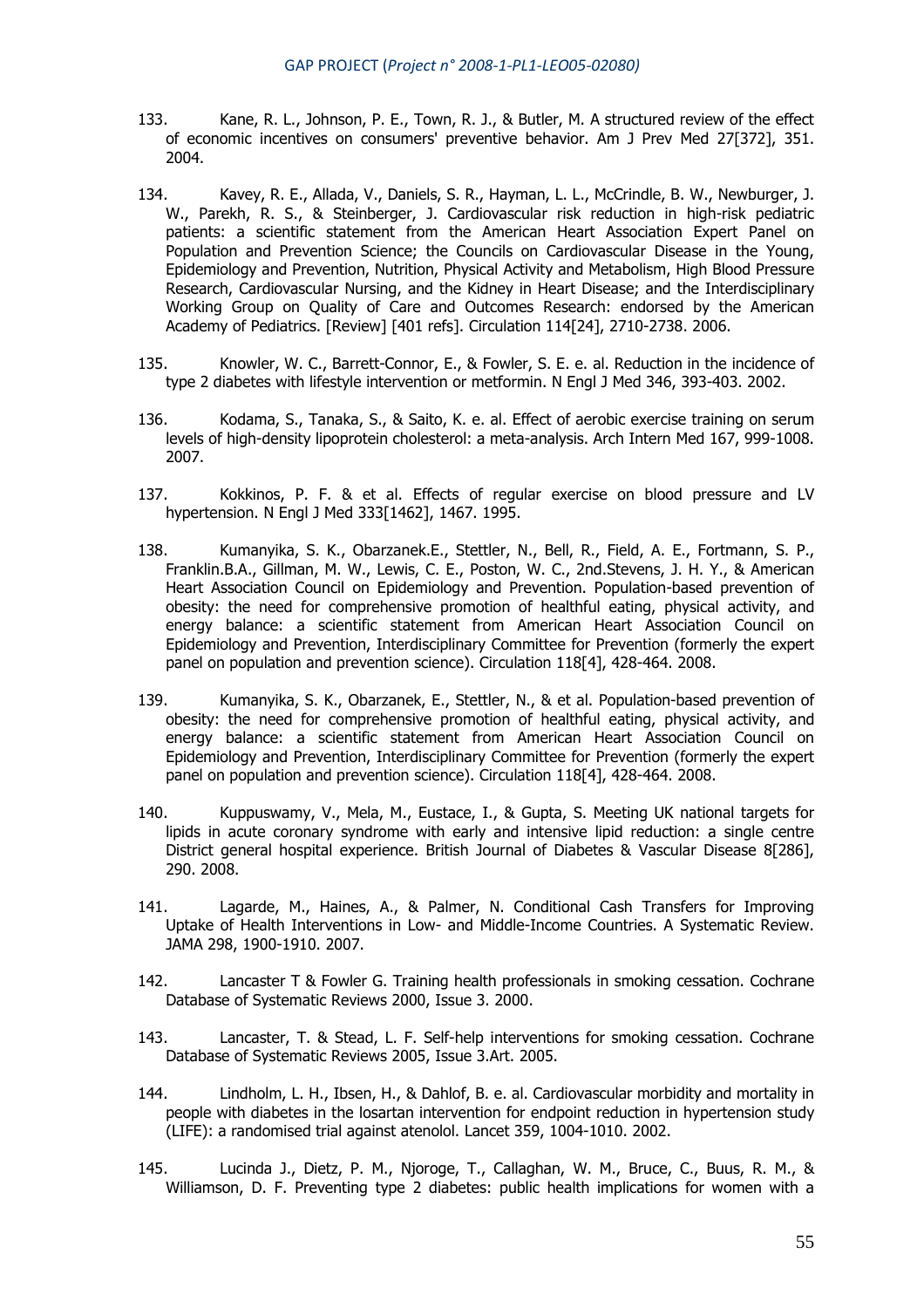- 133. Kane, R. L., Johnson, P. E., Town, R. J., & Butler, M. A structured review of the effect of economic incentives on consumers' preventive behavior. Am J Prev Med 27[372], 351. 2004.
- 134. Kavey, R. E., Allada, V., Daniels, S. R., Hayman, L. L., McCrindle, B. W., Newburger, J. W., Parekh, R. S., & Steinberger, J. Cardiovascular risk reduction in high-risk pediatric patients: a scientific statement from the American Heart Association Expert Panel on Population and Prevention Science; the Councils on Cardiovascular Disease in the Young, Epidemiology and Prevention, Nutrition, Physical Activity and Metabolism, High Blood Pressure Research, Cardiovascular Nursing, and the Kidney in Heart Disease; and the Interdisciplinary Working Group on Quality of Care and Outcomes Research: endorsed by the American Academy of Pediatrics. [Review] [401 refs]. Circulation 114[24], 2710-2738. 2006.
- 135. Knowler, W. C., Barrett-Connor, E., & Fowler, S. E. e. al. Reduction in the incidence of type 2 diabetes with lifestyle intervention or metformin. N Engl J Med 346, 393-403. 2002.
- 136. Kodama, S., Tanaka, S., & Saito, K. e. al. Effect of aerobic exercise training on serum levels of high-density lipoprotein cholesterol: a meta-analysis. Arch Intern Med 167, 999-1008. 2007.
- 137. Kokkinos, P. F. & et al. Effects of regular exercise on blood pressure and LV hypertension. N Engl J Med 333[1462], 1467, 1995.
- 138. Kumanyika, S. K., Obarzanek.E., Stettler, N., Bell, R., Field, A. E., Fortmann, S. P., Franklin.B.A., Gillman, M. W., Lewis, C. E., Poston, W. C., 2nd.Stevens, J. H. Y., & American Heart Association Council on Epidemiology and Prevention. Population-based prevention of obesity: the need for comprehensive promotion of healthful eating, physical activity, and energy balance: a scientific statement from American Heart Association Council on Epidemiology and Prevention, Interdisciplinary Committee for Prevention (formerly the expert panel on population and prevention science). Circulation 118[4], 428-464. 2008.
- 139. Kumanyika, S. K., Obarzanek, E., Stettler, N., & et al. Population-based prevention of obesity: the need for comprehensive promotion of healthful eating, physical activity, and energy balance: a scientific statement from American Heart Association Council on Epidemiology and Prevention, Interdisciplinary Committee for Prevention (formerly the expert panel on population and prevention science). Circulation 118[4], 428-464. 2008.
- 140. Kuppuswamy, V., Mela, M., Eustace, I., & Gupta, S. Meeting UK national targets for lipids in acute coronary syndrome with early and intensive lipid reduction: a single centre District general hospital experience. British Journal of Diabetes & Vascular Disease 8[286], 290. 2008.
- 141. Lagarde, M., Haines, A., & Palmer, N. Conditional Cash Transfers for Improving Uptake of Health Interventions in Low- and Middle-Income Countries. A Systematic Review. JAMA 298, 1900-1910. 2007.
- 142. Lancaster T & Fowler G. Training health professionals in smoking cessation. Cochrane Database of Systematic Reviews 2000, Issue 3. 2000.
- 143. Lancaster, T. & Stead, L. F. Self-help interventions for smoking cessation. Cochrane Database of Systematic Reviews 2005, Issue 3.Art. 2005.
- 144. Lindholm, L. H., Ibsen, H., & Dahlof, B. e. al. Cardiovascular morbidity and mortality in people with diabetes in the losartan intervention for endpoint reduction in hypertension study (LIFE): a randomised trial against atenolol. Lancet 359, 1004-1010. 2002.
- 145. Lucinda J., Dietz, P. M., Njoroge, T., Callaghan, W. M., Bruce, C., Buus, R. M., & Williamson, D. F. Preventing type 2 diabetes: public health implications for women with a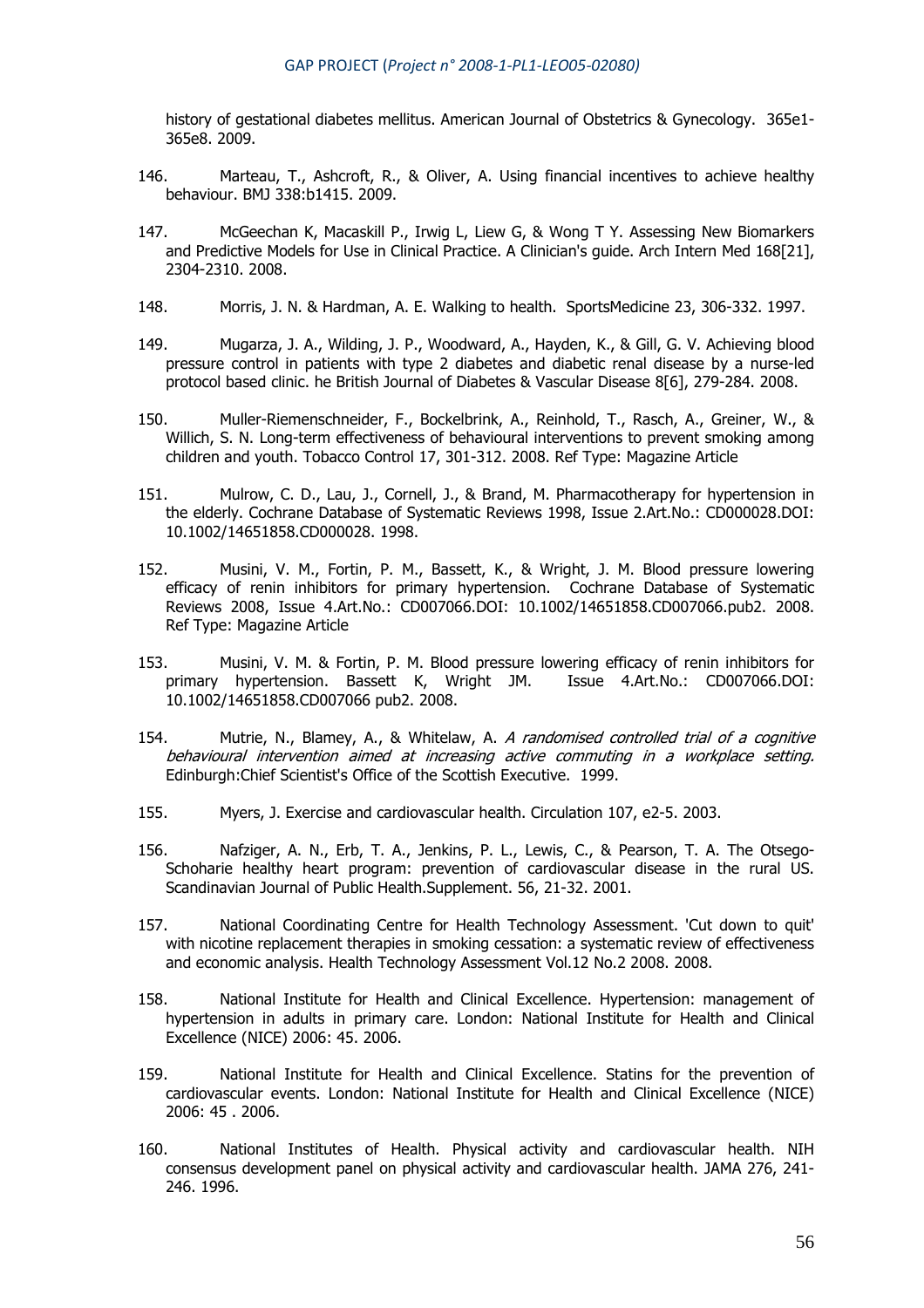history of gestational diabetes mellitus. American Journal of Obstetrics & Gynecology. 365e1- 365e8. 2009.

- 146. Marteau, T., Ashcroft, R., & Oliver, A. Using financial incentives to achieve healthy behaviour. BMJ 338:b1415. 2009.
- 147. McGeechan K, Macaskill P., Irwig L, Liew G, & Wong T Y. Assessing New Biomarkers and Predictive Models for Use in Clinical Practice. A Clinician's guide. Arch Intern Med 168[21], 2304-2310. 2008.
- 148. Morris, J. N. & Hardman, A. E. Walking to health. SportsMedicine 23, 306-332. 1997.
- 149. Mugarza, J. A., Wilding, J. P., Woodward, A., Hayden, K., & Gill, G. V. Achieving blood pressure control in patients with type 2 diabetes and diabetic renal disease by a nurse-led protocol based clinic. he British Journal of Diabetes & Vascular Disease 8[6], 279-284. 2008.
- 150. Muller-Riemenschneider, F., Bockelbrink, A., Reinhold, T., Rasch, A., Greiner, W., & Willich, S. N. Long-term effectiveness of behavioural interventions to prevent smoking among children and youth. Tobacco Control 17, 301-312. 2008. Ref Type: Magazine Article
- 151. Mulrow, C. D., Lau, J., Cornell, J., & Brand, M. Pharmacotherapy for hypertension in the elderly. Cochrane Database of Systematic Reviews 1998, Issue 2.Art.No.: CD000028.DOI: 10.1002/14651858.CD000028. 1998.
- 152. Musini, V. M., Fortin, P. M., Bassett, K., & Wright, J. M. Blood pressure lowering efficacy of renin inhibitors for primary hypertension. Cochrane Database of Systematic Reviews 2008, Issue 4.Art.No.: CD007066.DOI: 10.1002/14651858.CD007066.pub2. 2008. Ref Type: Magazine Article
- 153. Musini, V. M. & Fortin, P. M. Blood pressure lowering efficacy of renin inhibitors for primary hypertension. Bassett K, Wright JM. Issue 4.Art.No.: CD007066.DOI: 10.1002/14651858.CD007066 pub2. 2008.
- 154. Mutrie, N., Blamey, A., & Whitelaw, A. A randomised controlled trial of a cognitive behavioural intervention aimed at increasing active commuting in a workplace setting. Edinburgh:Chief Scientist's Office of the Scottish Executive. 1999.
- 155. Myers, J. Exercise and cardiovascular health. Circulation 107, e2-5. 2003.
- 156. Nafziger, A. N., Erb, T. A., Jenkins, P. L., Lewis, C., & Pearson, T. A. The Otsego-Schoharie healthy heart program: prevention of cardiovascular disease in the rural US. Scandinavian Journal of Public Health.Supplement. 56, 21-32. 2001.
- 157. National Coordinating Centre for Health Technology Assessment. 'Cut down to quit' with nicotine replacement therapies in smoking cessation: a systematic review of effectiveness and economic analysis. Health Technology Assessment Vol.12 No.2 2008. 2008.
- 158. National Institute for Health and Clinical Excellence. Hypertension: management of hypertension in adults in primary care. London: National Institute for Health and Clinical Excellence (NICE) 2006: 45. 2006.
- 159. National Institute for Health and Clinical Excellence. Statins for the prevention of cardiovascular events. London: National Institute for Health and Clinical Excellence (NICE) 2006: 45 . 2006.
- 160. National Institutes of Health. Physical activity and cardiovascular health. NIH consensus development panel on physical activity and cardiovascular health. JAMA 276, 241- 246. 1996.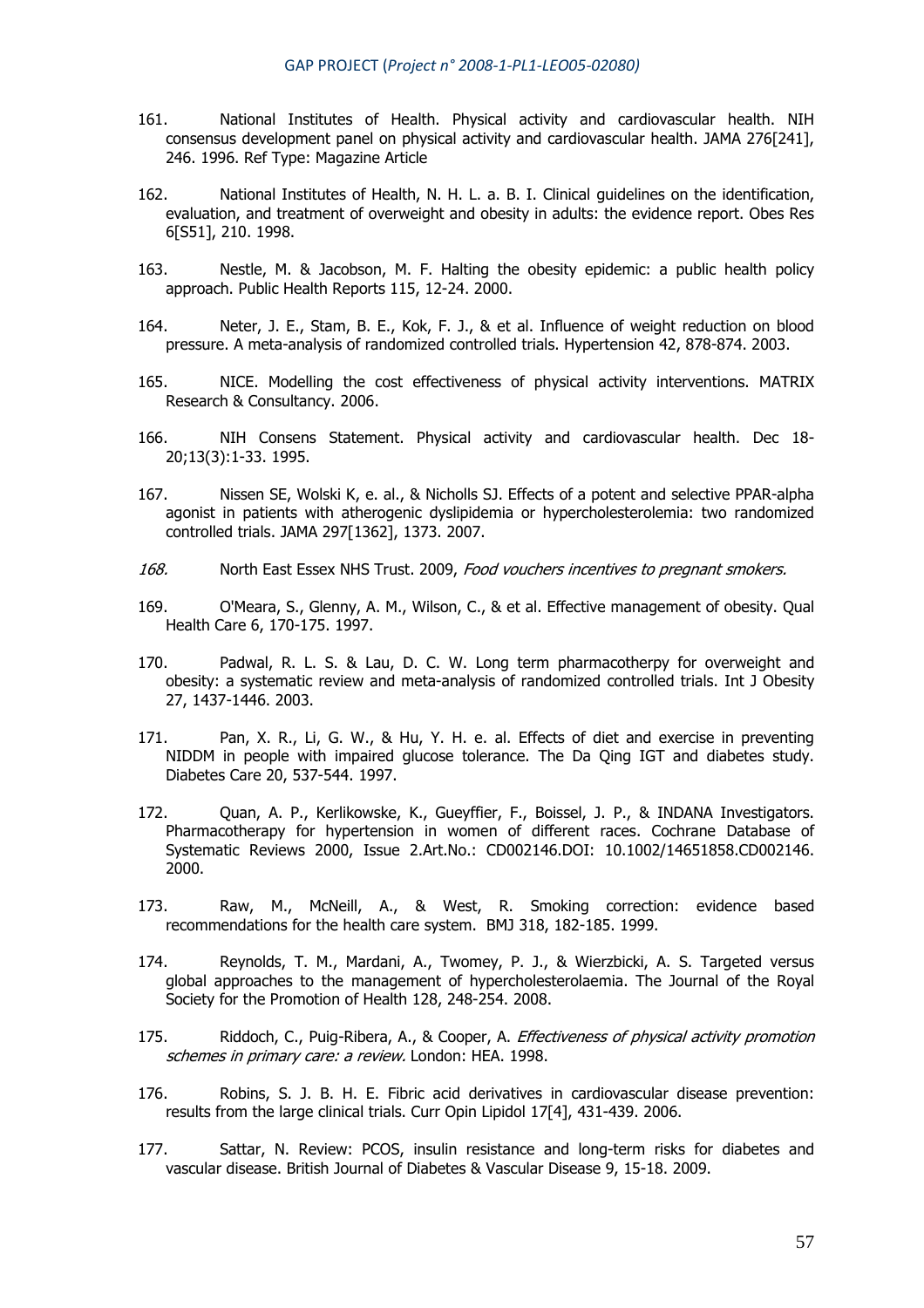- 161. National Institutes of Health. Physical activity and cardiovascular health. NIH consensus development panel on physical activity and cardiovascular health. JAMA 276[241], 246. 1996. Ref Type: Magazine Article
- 162. National Institutes of Health, N. H. L. a. B. I. Clinical guidelines on the identification, evaluation, and treatment of overweight and obesity in adults: the evidence report. Obes Res 6[S51], 210. 1998.
- 163. Nestle, M. & Jacobson, M. F. Halting the obesity epidemic: a public health policy approach. Public Health Reports 115, 12-24. 2000.
- 164. Neter, J. E., Stam, B. E., Kok, F. J., & et al. Influence of weight reduction on blood pressure. A meta-analysis of randomized controlled trials. Hypertension 42, 878-874. 2003.
- 165. NICE. Modelling the cost effectiveness of physical activity interventions. MATRIX Research & Consultancy. 2006.
- 166. NIH Consens Statement. Physical activity and cardiovascular health. Dec 18- 20;13(3):1-33. 1995.
- 167. Nissen SE, Wolski K, e. al., & Nicholls SJ. Effects of a potent and selective PPAR-alpha agonist in patients with atherogenic dyslipidemia or hypercholesterolemia: two randomized controlled trials. JAMA 297[1362], 1373. 2007.
- 168. North East Essex NHS Trust. 2009, Food vouchers incentives to pregnant smokers.
- 169. O'Meara, S., Glenny, A. M., Wilson, C., & et al. Effective management of obesity. Qual Health Care 6, 170-175. 1997.
- 170. Padwal, R. L. S. & Lau, D. C. W. Long term pharmacotherpy for overweight and obesity: a systematic review and meta-analysis of randomized controlled trials. Int J Obesity 27, 1437-1446. 2003.
- 171. Pan, X. R., Li, G. W., & Hu, Y. H. e. al. Effects of diet and exercise in preventing NIDDM in people with impaired glucose tolerance. The Da Qing IGT and diabetes study. Diabetes Care 20, 537-544. 1997.
- 172. Quan, A. P., Kerlikowske, K., Gueyffier, F., Boissel, J. P., & INDANA Investigators. Pharmacotherapy for hypertension in women of different races. Cochrane Database of Systematic Reviews 2000, Issue 2.Art.No.: CD002146.DOI: 10.1002/14651858.CD002146. 2000.
- 173. Raw, M., McNeill, A., & West, R. Smoking correction: evidence based recommendations for the health care system. BMJ 318, 182-185. 1999.
- 174. Reynolds, T. M., Mardani, A., Twomey, P. J., & Wierzbicki, A. S. Targeted versus global approaches to the management of hypercholesterolaemia. The Journal of the Royal Society for the Promotion of Health 128, 248-254. 2008.
- 175. Riddoch, C., Puig-Ribera, A., & Cooper, A. *Effectiveness of physical activity promotion* schemes in primary care: a review. London: HEA. 1998.
- 176. Robins, S. J. B. H. E. Fibric acid derivatives in cardiovascular disease prevention: results from the large clinical trials. Curr Opin Lipidol 17[4], 431-439. 2006.
- 177. Sattar, N. Review: PCOS, insulin resistance and long-term risks for diabetes and vascular disease. British Journal of Diabetes & Vascular Disease 9, 15-18. 2009.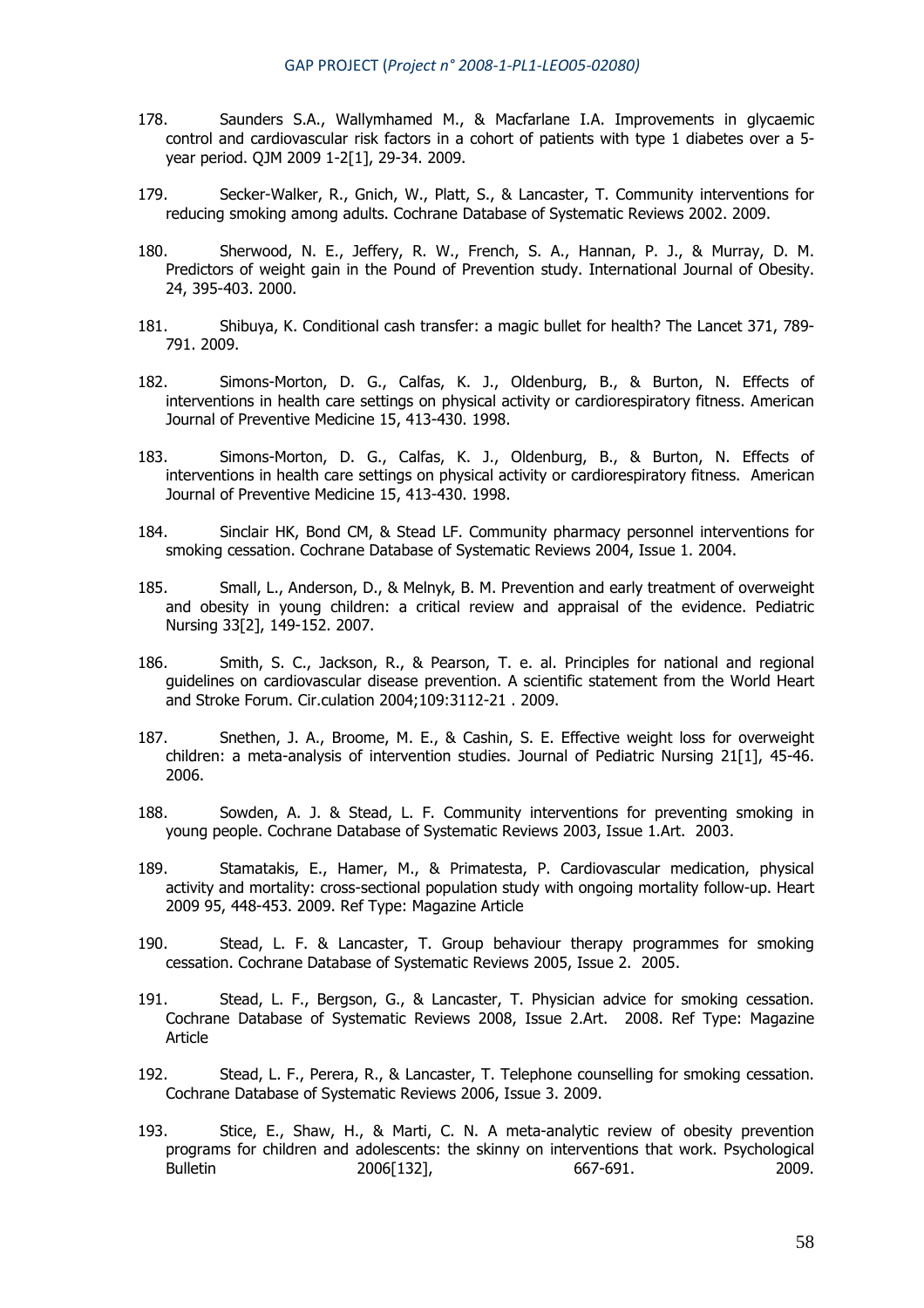- 178. Saunders S.A., Wallymhamed M., & Macfarlane I.A. Improvements in glycaemic control and cardiovascular risk factors in a cohort of patients with type 1 diabetes over a 5 year period. QJM 2009 1-2[1], 29-34. 2009.
- 179. Secker-Walker, R., Gnich, W., Platt, S., & Lancaster, T. Community interventions for reducing smoking among adults. Cochrane Database of Systematic Reviews 2002. 2009.
- 180. Sherwood, N. E., Jeffery, R. W., French, S. A., Hannan, P. J., & Murray, D. M. Predictors of weight gain in the Pound of Prevention study. International Journal of Obesity. 24, 395-403. 2000.
- 181. Shibuya, K. Conditional cash transfer: a magic bullet for health? The Lancet 371, 789- 791. 2009.
- 182. Simons-Morton, D. G., Calfas, K. J., Oldenburg, B., & Burton, N. Effects of interventions in health care settings on physical activity or cardiorespiratory fitness. American Journal of Preventive Medicine 15, 413-430. 1998.
- 183. Simons-Morton, D. G., Calfas, K. J., Oldenburg, B., & Burton, N. Effects of interventions in health care settings on physical activity or cardiorespiratory fitness. American Journal of Preventive Medicine 15, 413-430. 1998.
- 184. Sinclair HK, Bond CM, & Stead LF. Community pharmacy personnel interventions for smoking cessation. Cochrane Database of Systematic Reviews 2004, Issue 1. 2004.
- 185. Small, L., Anderson, D., & Melnyk, B. M. Prevention and early treatment of overweight and obesity in young children: a critical review and appraisal of the evidence. Pediatric Nursing 33[2], 149-152. 2007.
- 186. Smith, S. C., Jackson, R., & Pearson, T. e. al. Principles for national and regional guidelines on cardiovascular disease prevention. A scientific statement from the World Heart and Stroke Forum. Cir.culation 2004;109:3112-21 . 2009.
- 187. Snethen, J. A., Broome, M. E., & Cashin, S. E. Effective weight loss for overweight children: a meta-analysis of intervention studies. Journal of Pediatric Nursing 21[1], 45-46. 2006.
- 188. Sowden, A. J. & Stead, L. F. Community interventions for preventing smoking in young people. Cochrane Database of Systematic Reviews 2003, Issue 1.Art. 2003.
- 189. Stamatakis, E., Hamer, M., & Primatesta, P. Cardiovascular medication, physical activity and mortality: cross-sectional population study with ongoing mortality follow-up. Heart 2009 95, 448-453. 2009. Ref Type: Magazine Article
- 190. Stead, L. F. & Lancaster, T. Group behaviour therapy programmes for smoking cessation. Cochrane Database of Systematic Reviews 2005, Issue 2. 2005.
- 191. Stead, L. F., Bergson, G., & Lancaster, T. Physician advice for smoking cessation. Cochrane Database of Systematic Reviews 2008, Issue 2.Art. 2008. Ref Type: Magazine Article
- 192. Stead, L. F., Perera, R., & Lancaster, T. Telephone counselling for smoking cessation. Cochrane Database of Systematic Reviews 2006, Issue 3. 2009.
- 193. Stice, E., Shaw, H., & Marti, C. N. A meta-analytic review of obesity prevention programs for children and adolescents: the skinny on interventions that work. Psychological Bulletin 2006[132], 667-691. 2009.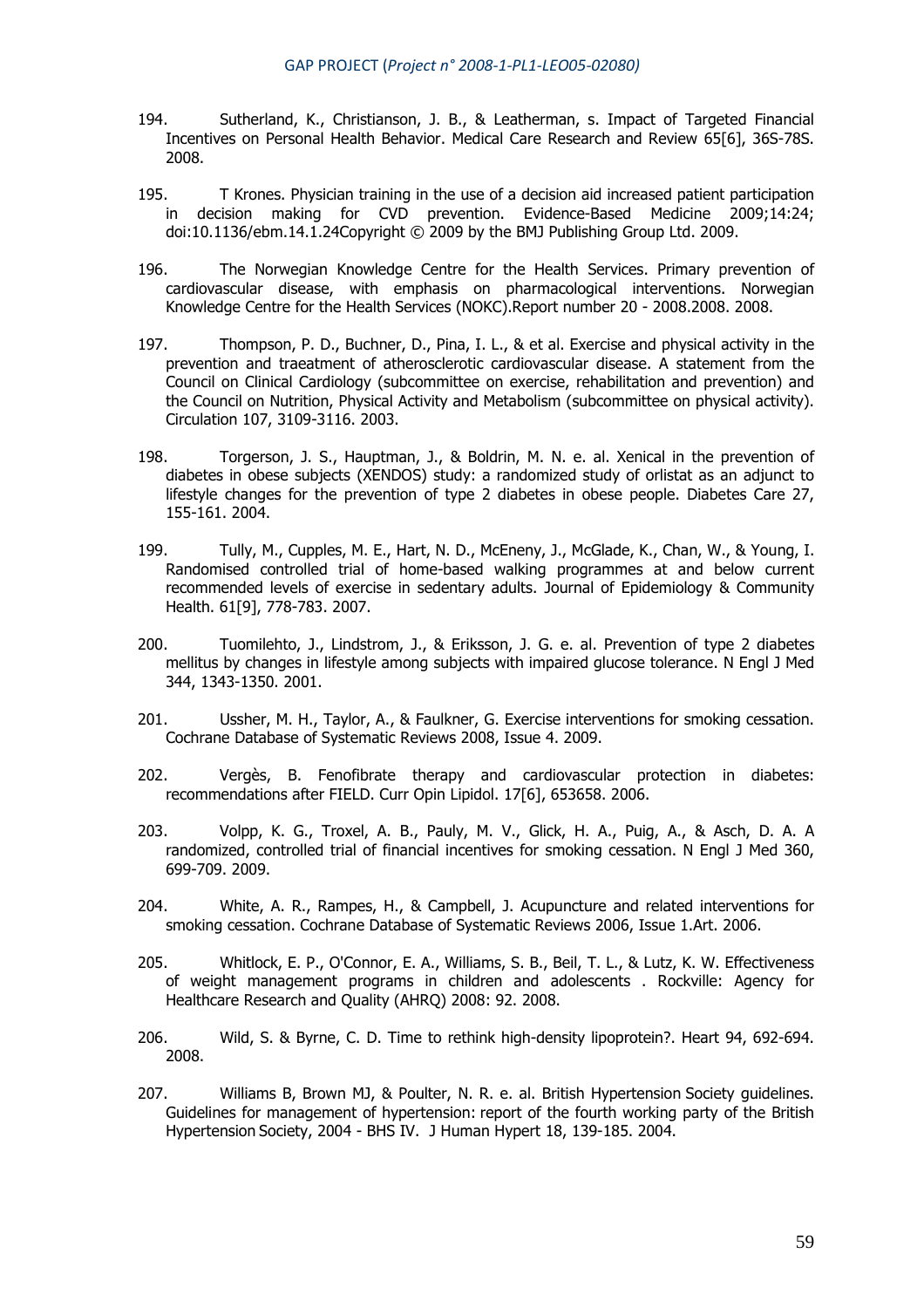- 194. Sutherland, K., Christianson, J. B., & Leatherman, s. Impact of Targeted Financial Incentives on Personal Health Behavior. Medical Care Research and Review 65[6], 36S-78S. 2008.
- 195. T Krones. Physician training in the use of a decision aid increased patient participation in decision making for CVD prevention. Evidence-Based Medicine 2009;14:24; doi:10.1136/ebm.14.1.24Copyright © 2009 by the BMJ Publishing Group Ltd. 2009.
- 196. The Norwegian Knowledge Centre for the Health Services. Primary prevention of cardiovascular disease, with emphasis on pharmacological interventions. Norwegian Knowledge Centre for the Health Services (NOKC).Report number 20 - 2008.2008. 2008.
- 197. Thompson, P. D., Buchner, D., Pina, I. L., & et al. Exercise and physical activity in the prevention and traeatment of atherosclerotic cardiovascular disease. A statement from the Council on Clinical Cardiology (subcommittee on exercise, rehabilitation and prevention) and the Council on Nutrition, Physical Activity and Metabolism (subcommittee on physical activity). Circulation 107, 3109-3116. 2003.
- 198. Torgerson, J. S., Hauptman, J., & Boldrin, M. N. e. al. Xenical in the prevention of diabetes in obese subjects (XENDOS) study: a randomized study of orlistat as an adjunct to lifestyle changes for the prevention of type 2 diabetes in obese people. Diabetes Care 27, 155-161. 2004.
- 199. Tully, M., Cupples, M. E., Hart, N. D., McEneny, J., McGlade, K., Chan, W., & Young, I. Randomised controlled trial of home-based walking programmes at and below current recommended levels of exercise in sedentary adults. Journal of Epidemiology & Community Health. 61[9], 778-783. 2007.
- 200. Tuomilehto, J., Lindstrom, J., & Eriksson, J. G. e. al. Prevention of type 2 diabetes mellitus by changes in lifestyle among subjects with impaired glucose tolerance. N Engl J Med 344, 1343-1350. 2001.
- 201. Ussher, M. H., Taylor, A., & Faulkner, G. Exercise interventions for smoking cessation. Cochrane Database of Systematic Reviews 2008, Issue 4. 2009.
- 202. Vergès, B. Fenofibrate therapy and cardiovascular protection in diabetes: recommendations after FIELD. Curr Opin Lipidol. 17[6], 653658. 2006.
- 203. Volpp, K. G., Troxel, A. B., Pauly, M. V., Glick, H. A., Puig, A., & Asch, D. A. A randomized, controlled trial of financial incentives for smoking cessation. N Engl J Med 360, 699-709. 2009.
- 204. White, A. R., Rampes, H., & Campbell, J. Acupuncture and related interventions for smoking cessation. Cochrane Database of Systematic Reviews 2006, Issue 1.Art. 2006.
- 205. Whitlock, E. P., O'Connor, E. A., Williams, S. B., Beil, T. L., & Lutz, K. W. Effectiveness of weight management programs in children and adolescents . Rockville: Agency for Healthcare Research and Quality (AHRQ) 2008: 92. 2008.
- 206. Wild, S. & Byrne, C. D. Time to rethink high-density lipoprotein?. Heart 94, 692-694. 2008.
- 207. Williams B, Brown MJ, & Poulter, N. R. e. al. British Hypertension Society guidelines. Guidelines for management of hypertension: report of the fourth working party of the British Hypertension Society, 2004 - BHS IV. J Human Hypert 18, 139-185. 2004.